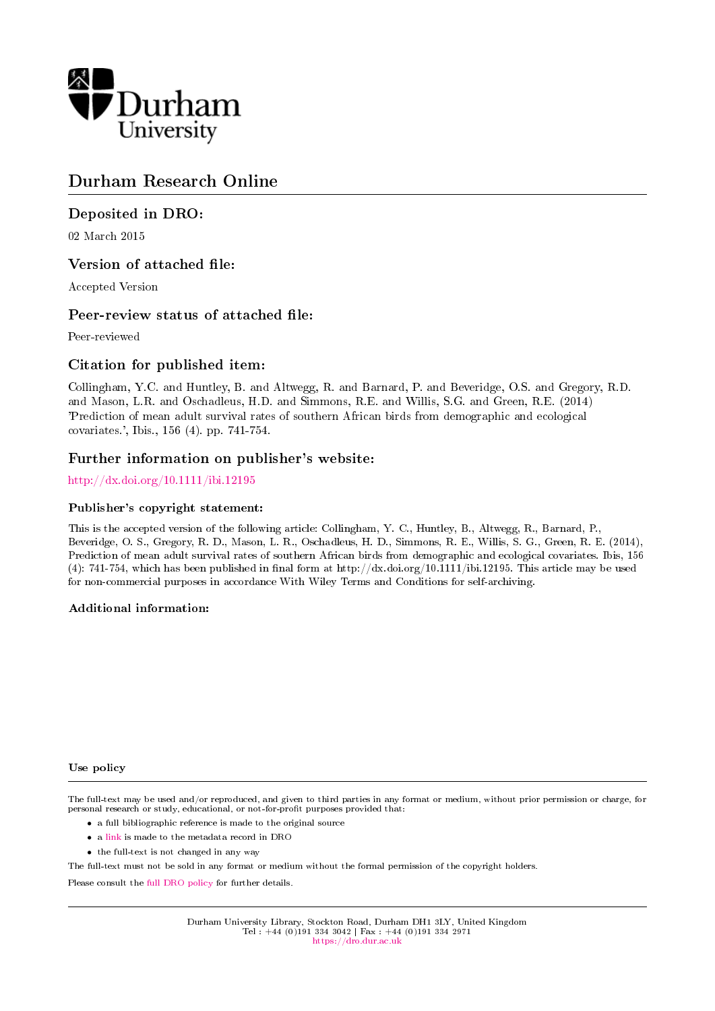

# Durham Research Online

# Deposited in DRO:

02 March 2015

### Version of attached file:

Accepted Version

### Peer-review status of attached file:

Peer-reviewed

### Citation for published item:

Collingham, Y.C. and Huntley, B. and Altwegg, R. and Barnard, P. and Beveridge, O.S. and Gregory, R.D. and Mason, L.R. and Oschadleus, H.D. and Simmons, R.E. and Willis, S.G. and Green, R.E. (2014) 'Prediction of mean adult survival rates of southern African birds from demographic and ecological covariates.', Ibis., 156 (4). pp. 741-754.

#### Further information on publisher's website:

#### <http://dx.doi.org/10.1111/ibi.12195>

#### Publisher's copyright statement:

This is the accepted version of the following article: Collingham, Y. C., Huntley, B., Altwegg, R., Barnard, P., Beveridge, O. S., Gregory, R. D., Mason, L. R., Oschadleus, H. D., Simmons, R. E., Willis, S. G., Green, R. E. (2014), Prediction of mean adult survival rates of southern African birds from demographic and ecological covariates. Ibis, 156 (4): 741-754, which has been published in final form at http://dx.doi.org/10.1111/ibi.12195. This article may be used for non-commercial purposes in accordance With Wiley Terms and Conditions for self-archiving.

#### Additional information:

#### Use policy

The full-text may be used and/or reproduced, and given to third parties in any format or medium, without prior permission or charge, for personal research or study, educational, or not-for-profit purposes provided that:

- a full bibliographic reference is made to the original source
- a [link](http://dro.dur.ac.uk/14693/) is made to the metadata record in DRO
- the full-text is not changed in any way

The full-text must not be sold in any format or medium without the formal permission of the copyright holders.

Please consult the [full DRO policy](https://dro.dur.ac.uk/policies/usepolicy.pdf) for further details.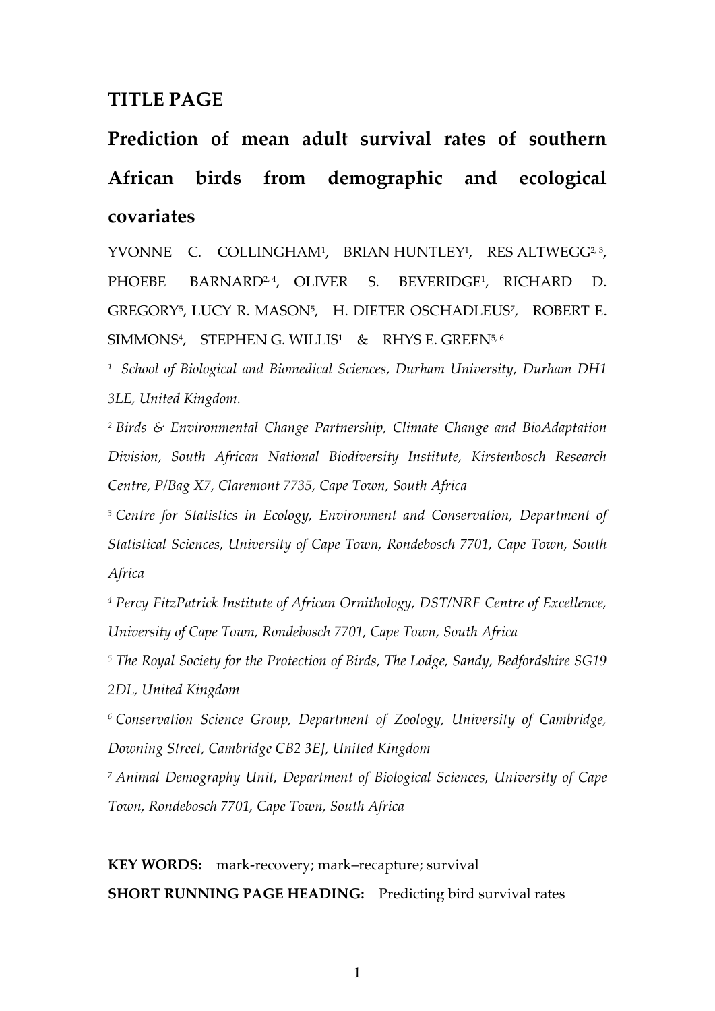# **TITLE PAGE**

**Prediction of mean adult survival rates of southern African birds from demographic and ecological covariates**

YVONNE C. COLLINGHAM<sup>1</sup>, BRIAN HUNTLEY<sup>1</sup>, RES ALTWEGG<sup>2, 3</sup>, PHOEBE BARNARD<sup>2, 4</sup>, OLIVER , OLIVER S. BEVERIDGE<sup>1</sup> , RICHARD D. GREGORY<sup>5</sup> , LUCY R. MASON<sup>5</sup> , H. DIETER OSCHADLEUS<sup>7</sup> , ROBERT E.  $\mathsf{SIMMONS}^4$ ,  $\mathsf{STEPHEN}\ G$ . WILLI $\mathsf{S}^1$  &  $\mathsf{RHYS}\ \mathsf{E}$ . GREEN $^{5,6}$ 

*<sup>1</sup> School of Biological and Biomedical Sciences, Durham University, Durham DH1 3LE, United Kingdom.*

*<sup>2</sup> Birds & Environmental Change Partnership, Climate Change and BioAdaptation Division, South African National Biodiversity Institute, Kirstenbosch Research Centre, P/Bag X7, Claremont 7735, Cape Town, South Africa*

*<sup>3</sup> Centre for Statistics in Ecology, Environment and Conservation, Department of Statistical Sciences, University of Cape Town, Rondebosch 7701, Cape Town, South Africa*

*<sup>4</sup> Percy FitzPatrick Institute of African Ornithology, DST/NRF Centre of Excellence, University of Cape Town, Rondebosch 7701, Cape Town, South Africa*

*<sup>5</sup> The Royal Society for the Protection of Birds, The Lodge, Sandy, Bedfordshire SG19 2DL, United Kingdom*

*<sup>6</sup> Conservation Science Group, Department of Zoology, University of Cambridge, Downing Street, Cambridge CB2 3EJ, United Kingdom*

*<sup>7</sup> Animal Demography Unit, Department of Biological Sciences, University of Cape Town, Rondebosch 7701, Cape Town, South Africa*

**KEY WORDS:** mark-recovery; mark–recapture; survival **SHORT RUNNING PAGE HEADING:** Predicting bird survival rates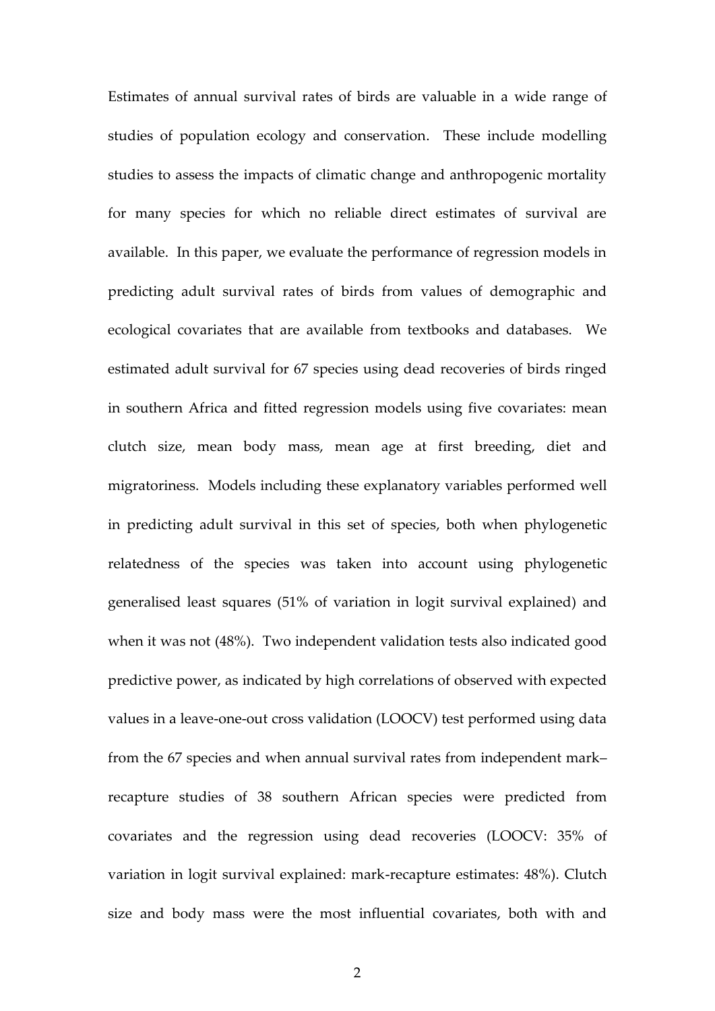Estimates of annual survival rates of birds are valuable in a wide range of studies of population ecology and conservation. These include modelling studies to assess the impacts of climatic change and anthropogenic mortality for many species for which no reliable direct estimates of survival are available. In this paper, we evaluate the performance of regression models in predicting adult survival rates of birds from values of demographic and ecological covariates that are available from textbooks and databases. We estimated adult survival for 67 species using dead recoveries of birds ringed in southern Africa and fitted regression models using five covariates: mean clutch size, mean body mass, mean age at first breeding, diet and migratoriness. Models including these explanatory variables performed well in predicting adult survival in this set of species, both when phylogenetic relatedness of the species was taken into account using phylogenetic generalised least squares (51% of variation in logit survival explained) and when it was not (48%). Two independent validation tests also indicated good predictive power, as indicated by high correlations of observed with expected values in a leave-one-out cross validation (LOOCV) test performed using data from the 67 species and when annual survival rates from independent mark– recapture studies of 38 southern African species were predicted from covariates and the regression using dead recoveries (LOOCV: 35% of variation in logit survival explained: mark-recapture estimates: 48%). Clutch size and body mass were the most influential covariates, both with and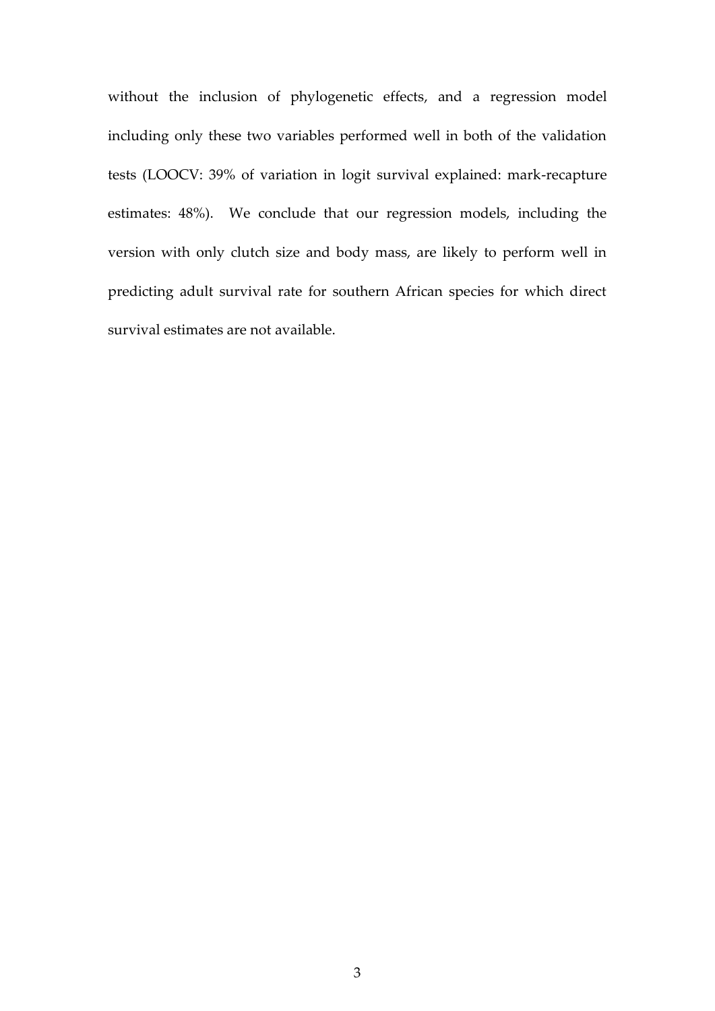without the inclusion of phylogenetic effects, and a regression model including only these two variables performed well in both of the validation tests (LOOCV: 39% of variation in logit survival explained: mark-recapture estimates: 48%). We conclude that our regression models, including the version with only clutch size and body mass, are likely to perform well in predicting adult survival rate for southern African species for which direct survival estimates are not available.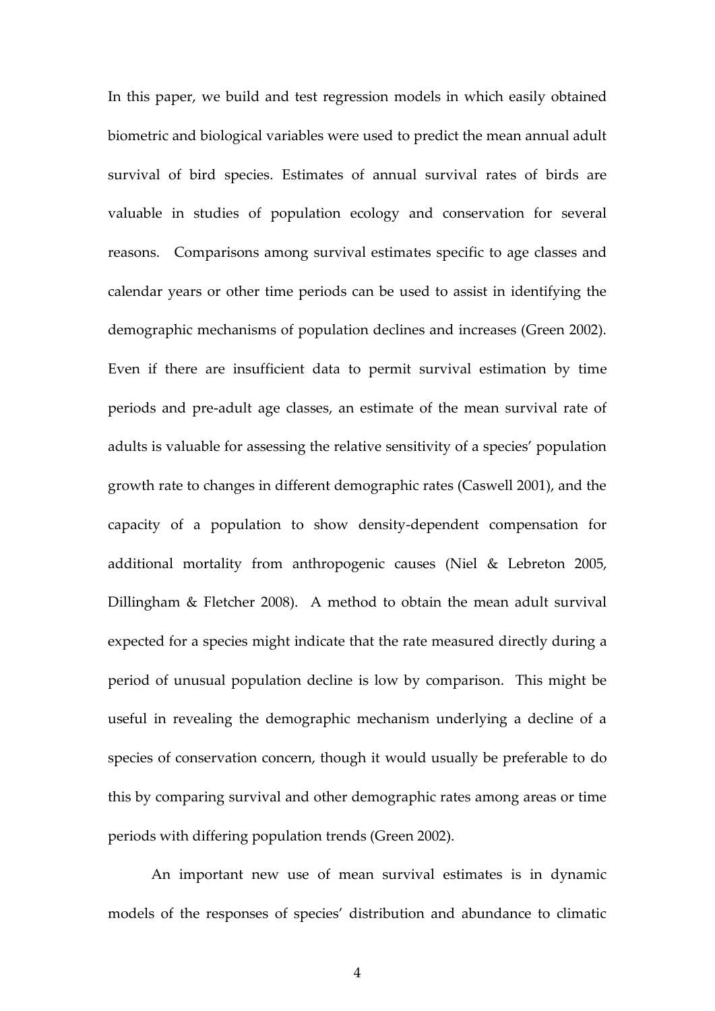In this paper, we build and test regression models in which easily obtained biometric and biological variables were used to predict the mean annual adult survival of bird species. Estimates of annual survival rates of birds are valuable in studies of population ecology and conservation for several reasons. Comparisons among survival estimates specific to age classes and calendar years or other time periods can be used to assist in identifying the demographic mechanisms of population declines and increases (Green 2002). Even if there are insufficient data to permit survival estimation by time periods and pre-adult age classes, an estimate of the mean survival rate of adults is valuable for assessing the relative sensitivity of a species' population growth rate to changes in different demographic rates (Caswell 2001), and the capacity of a population to show density-dependent compensation for additional mortality from anthropogenic causes (Niel & Lebreton 2005, Dillingham & Fletcher 2008). A method to obtain the mean adult survival expected for a species might indicate that the rate measured directly during a period of unusual population decline is low by comparison. This might be useful in revealing the demographic mechanism underlying a decline of a species of conservation concern, though it would usually be preferable to do this by comparing survival and other demographic rates among areas or time periods with differing population trends (Green 2002).

An important new use of mean survival estimates is in dynamic models of the responses of species' distribution and abundance to climatic

4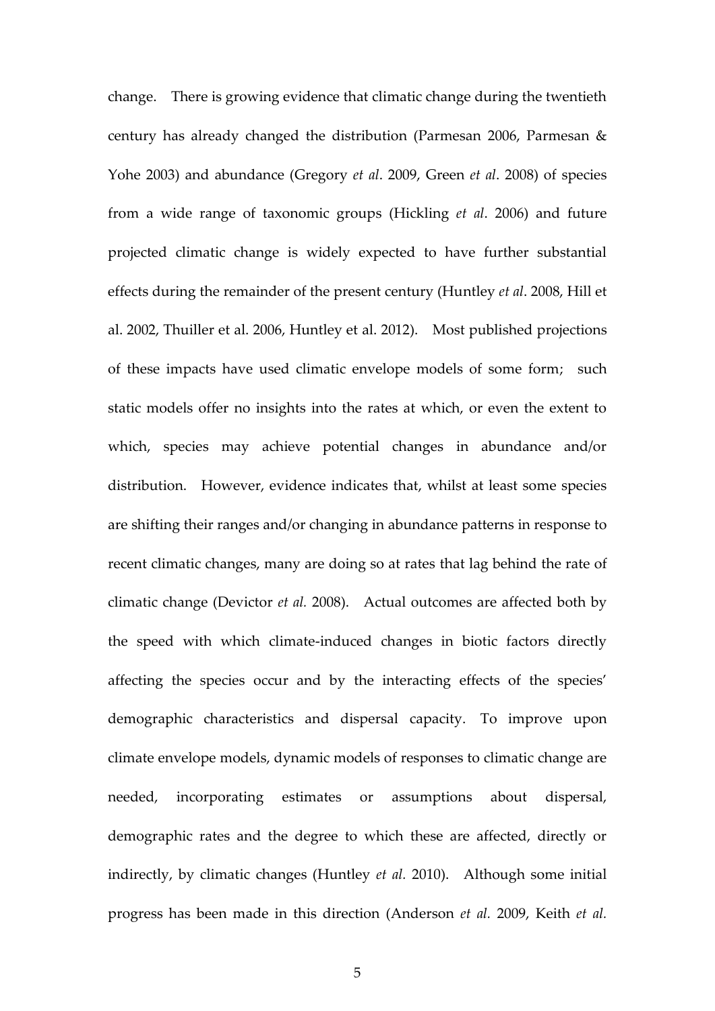change. There is growing evidence that climatic change during the twentieth century has already changed the distribution (Parmesan 2006, Parmesan & Yohe 2003) and abundance (Gregory *et al*. 2009, Green *et al*. 2008) of species from a wide range of taxonomic groups (Hickling *et al*. 2006) and future projected climatic change is widely expected to have further substantial effects during the remainder of the present century (Huntley *et al*. 2008, Hill et al. 2002, Thuiller et al. 2006, Huntley et al. 2012). Most published projections of these impacts have used climatic envelope models of some form; such static models offer no insights into the rates at which, or even the extent to which, species may achieve potential changes in abundance and/or distribution. However, evidence indicates that, whilst at least some species are shifting their ranges and/or changing in abundance patterns in response to recent climatic changes, many are doing so at rates that lag behind the rate of climatic change (Devictor *et al.* 2008). Actual outcomes are affected both by the speed with which climate-induced changes in biotic factors directly affecting the species occur and by the interacting effects of the species' demographic characteristics and dispersal capacity. To improve upon climate envelope models, dynamic models of responses to climatic change are needed, incorporating estimates or assumptions about dispersal, demographic rates and the degree to which these are affected, directly or indirectly, by climatic changes (Huntley *et al.* 2010). Although some initial progress has been made in this direction (Anderson *et al.* 2009, Keith *et al.*

5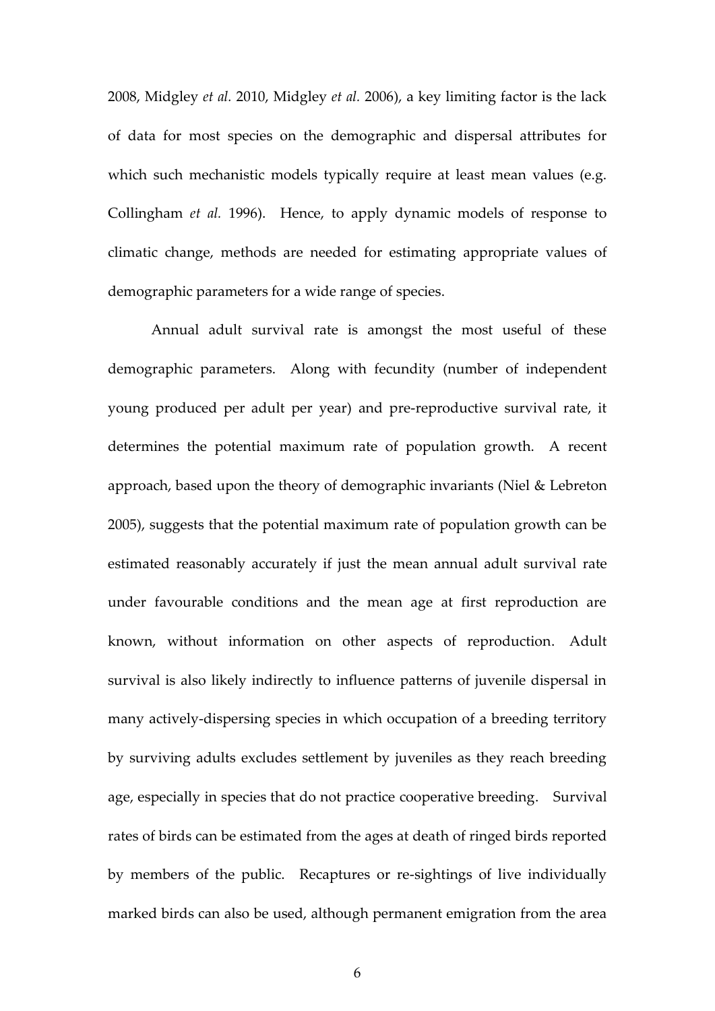2008, Midgley *et al.* 2010, Midgley *et al.* 2006), a key limiting factor is the lack of data for most species on the demographic and dispersal attributes for which such mechanistic models typically require at least mean values (e.g. Collingham *et al.* 1996). Hence, to apply dynamic models of response to climatic change, methods are needed for estimating appropriate values of demographic parameters for a wide range of species.

Annual adult survival rate is amongst the most useful of these demographic parameters. Along with fecundity (number of independent young produced per adult per year) and pre-reproductive survival rate, it determines the potential maximum rate of population growth. A recent approach, based upon the theory of demographic invariants (Niel & Lebreton 2005), suggests that the potential maximum rate of population growth can be estimated reasonably accurately if just the mean annual adult survival rate under favourable conditions and the mean age at first reproduction are known, without information on other aspects of reproduction. Adult survival is also likely indirectly to influence patterns of juvenile dispersal in many actively-dispersing species in which occupation of a breeding territory by surviving adults excludes settlement by juveniles as they reach breeding age, especially in species that do not practice cooperative breeding. Survival rates of birds can be estimated from the ages at death of ringed birds reported by members of the public. Recaptures or re-sightings of live individually marked birds can also be used, although permanent emigration from the area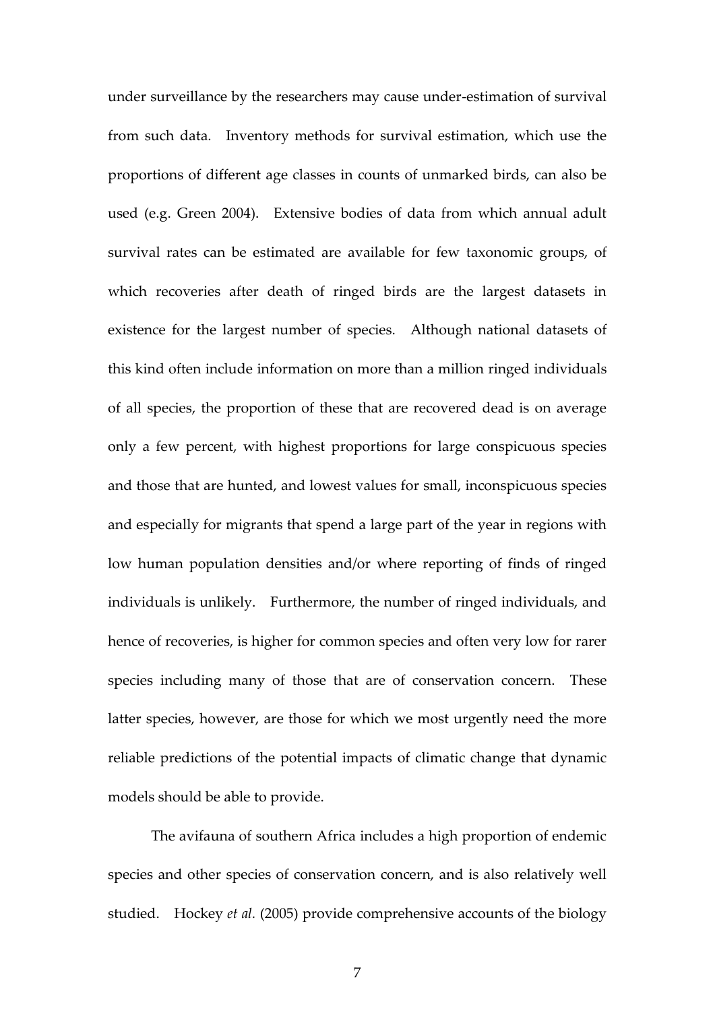under surveillance by the researchers may cause under-estimation of survival from such data. Inventory methods for survival estimation, which use the proportions of different age classes in counts of unmarked birds, can also be used (e.g. Green 2004). Extensive bodies of data from which annual adult survival rates can be estimated are available for few taxonomic groups, of which recoveries after death of ringed birds are the largest datasets in existence for the largest number of species. Although national datasets of this kind often include information on more than a million ringed individuals of all species, the proportion of these that are recovered dead is on average only a few percent, with highest proportions for large conspicuous species and those that are hunted, and lowest values for small, inconspicuous species and especially for migrants that spend a large part of the year in regions with low human population densities and/or where reporting of finds of ringed individuals is unlikely. Furthermore, the number of ringed individuals, and hence of recoveries, is higher for common species and often very low for rarer species including many of those that are of conservation concern. These latter species, however, are those for which we most urgently need the more reliable predictions of the potential impacts of climatic change that dynamic models should be able to provide.

The avifauna of southern Africa includes a high proportion of endemic species and other species of conservation concern, and is also relatively well studied. Hockey *et al.* (2005) provide comprehensive accounts of the biology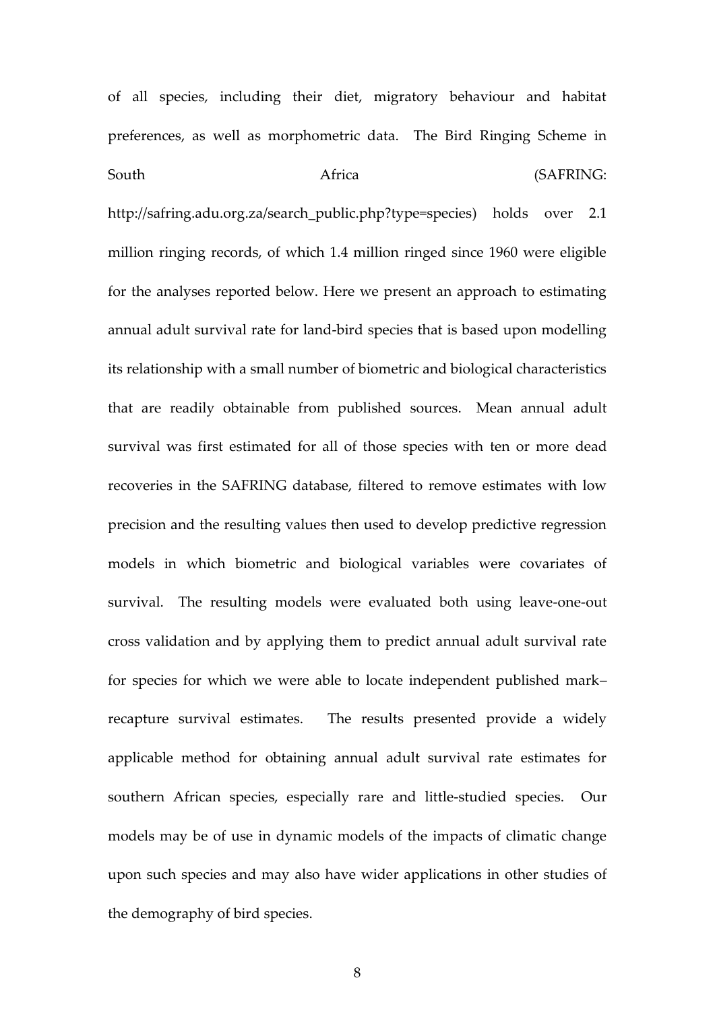of all species, including their diet, migratory behaviour and habitat preferences, as well as morphometric data. The Bird Ringing Scheme in South **Africa** Africa (SAFRING:

http://safring.adu.org.za/search\_public.php?type=species) holds over 2.1 million ringing records, of which 1.4 million ringed since 1960 were eligible for the analyses reported below. Here we present an approach to estimating annual adult survival rate for land-bird species that is based upon modelling its relationship with a small number of biometric and biological characteristics that are readily obtainable from published sources. Mean annual adult survival was first estimated for all of those species with ten or more dead recoveries in the SAFRING database, filtered to remove estimates with low precision and the resulting values then used to develop predictive regression models in which biometric and biological variables were covariates of survival. The resulting models were evaluated both using leave-one-out cross validation and by applying them to predict annual adult survival rate for species for which we were able to locate independent published mark– recapture survival estimates. The results presented provide a widely applicable method for obtaining annual adult survival rate estimates for southern African species, especially rare and little-studied species. Our models may be of use in dynamic models of the impacts of climatic change upon such species and may also have wider applications in other studies of the demography of bird species.

8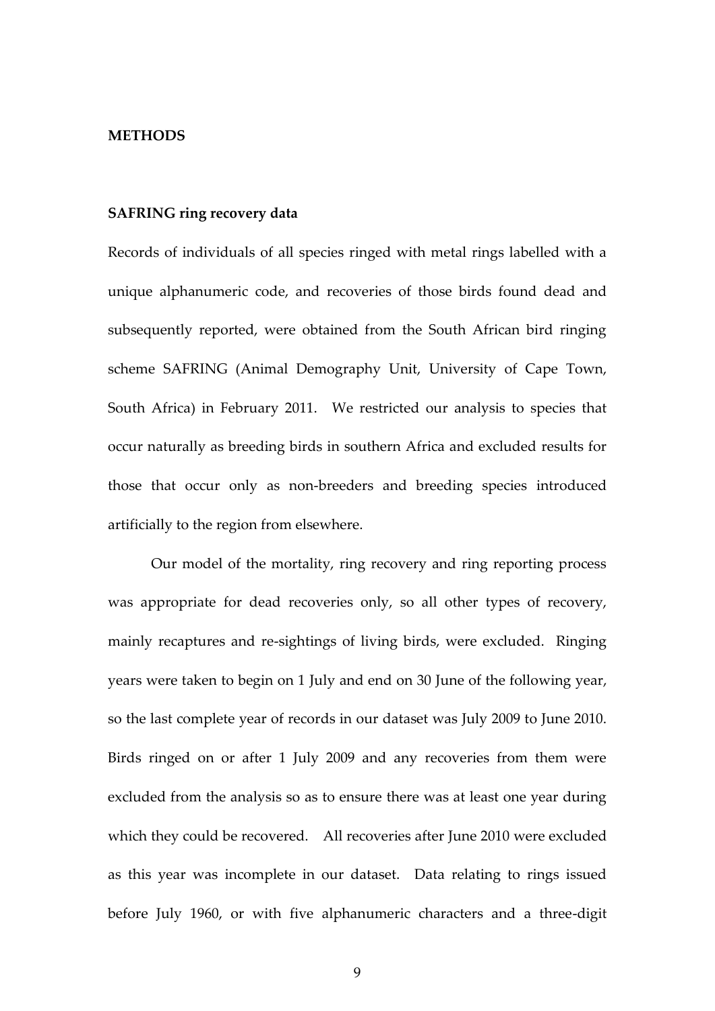#### **METHODS**

### **SAFRING ring recovery data**

Records of individuals of all species ringed with metal rings labelled with a unique alphanumeric code, and recoveries of those birds found dead and subsequently reported, were obtained from the South African bird ringing scheme SAFRING (Animal Demography Unit, University of Cape Town, South Africa) in February 2011. We restricted our analysis to species that occur naturally as breeding birds in southern Africa and excluded results for those that occur only as non-breeders and breeding species introduced artificially to the region from elsewhere.

Our model of the mortality, ring recovery and ring reporting process was appropriate for dead recoveries only, so all other types of recovery, mainly recaptures and re-sightings of living birds, were excluded. Ringing years were taken to begin on 1 July and end on 30 June of the following year, so the last complete year of records in our dataset was July 2009 to June 2010. Birds ringed on or after 1 July 2009 and any recoveries from them were excluded from the analysis so as to ensure there was at least one year during which they could be recovered. All recoveries after June 2010 were excluded as this year was incomplete in our dataset. Data relating to rings issued before July 1960, or with five alphanumeric characters and a three-digit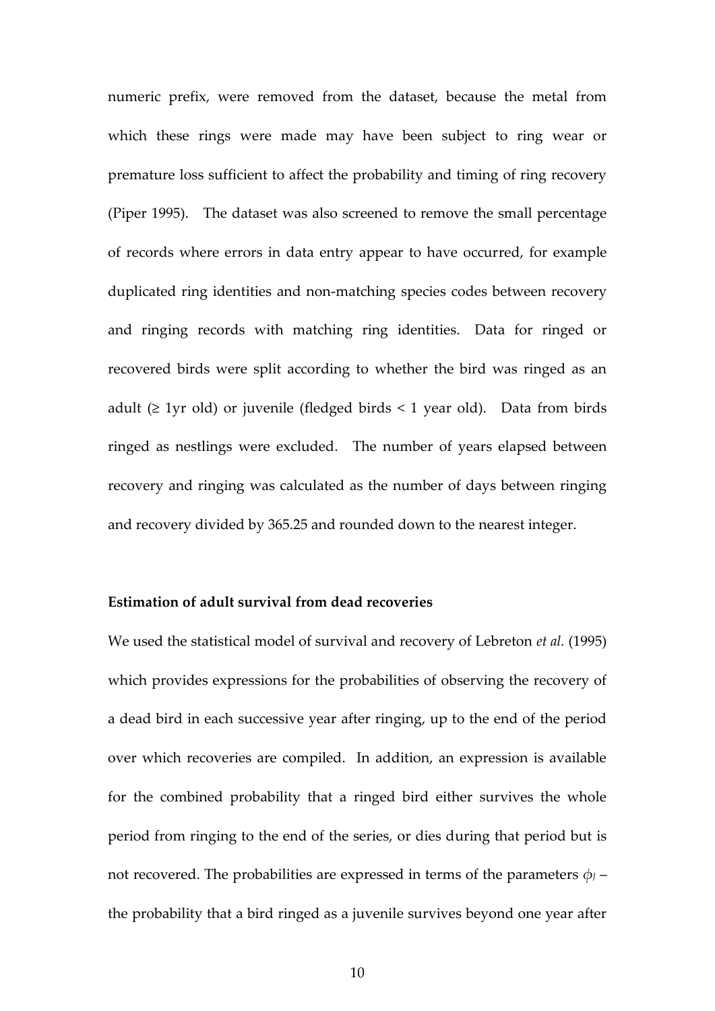numeric prefix, were removed from the dataset, because the metal from which these rings were made may have been subject to ring wear or premature loss sufficient to affect the probability and timing of ring recovery (Piper 1995). The dataset was also screened to remove the small percentage of records where errors in data entry appear to have occurred, for example duplicated ring identities and non-matching species codes between recovery and ringing records with matching ring identities. Data for ringed or recovered birds were split according to whether the bird was ringed as an adult ( $\geq$  1yr old) or juvenile (fledged birds < 1 year old). Data from birds ringed as nestlings were excluded. The number of years elapsed between recovery and ringing was calculated as the number of days between ringing and recovery divided by 365.25 and rounded down to the nearest integer.

## **Estimation of adult survival from dead recoveries**

We used the statistical model of survival and recovery of Lebreton *et al.* (1995) which provides expressions for the probabilities of observing the recovery of a dead bird in each successive year after ringing, up to the end of the period over which recoveries are compiled. In addition, an expression is available for the combined probability that a ringed bird either survives the whole period from ringing to the end of the series, or dies during that period but is not recovered. The probabilities are expressed in terms of the parameters  $\phi$ *J* – the probability that a bird ringed as a juvenile survives beyond one year after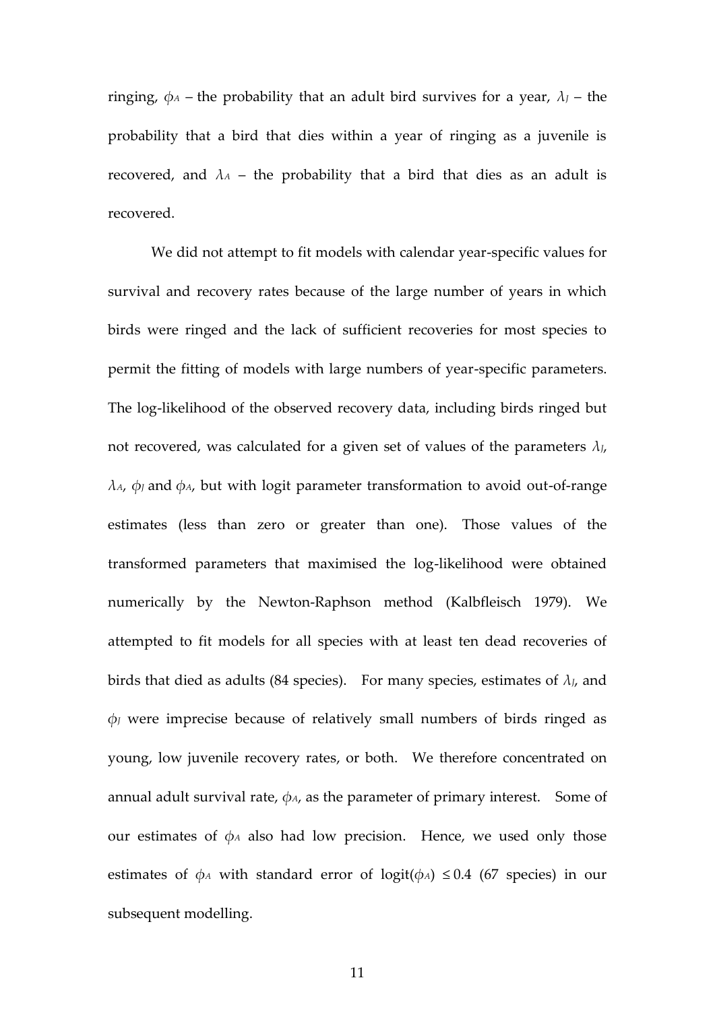ringing,  $\phi$ <sup>*A*</sup> – the probability that an adult bird survives for a year,  $\lambda$ *J* – the probability that a bird that dies within a year of ringing as a juvenile is recovered, and  $\lambda_A$  – the probability that a bird that dies as an adult is recovered.

We did not attempt to fit models with calendar year-specific values for survival and recovery rates because of the large number of years in which birds were ringed and the lack of sufficient recoveries for most species to permit the fitting of models with large numbers of year-specific parameters. The log-likelihood of the observed recovery data, including birds ringed but not recovered, was calculated for a given set of values of the parameters  $\lambda_{J}$ ,  $λ$ <sup>*A*</sup>,  $φ$ <sub>*J*</sub> and  $φ$ <sup>*A*</sup>, but with logit parameter transformation to avoid out-of-range estimates (less than zero or greater than one). Those values of the transformed parameters that maximised the log-likelihood were obtained numerically by the Newton-Raphson method (Kalbfleisch 1979). We attempted to fit models for all species with at least ten dead recoveries of birds that died as adults (84 species). For many species, estimates of *λJ*, and *φ<sup>J</sup>* were imprecise because of relatively small numbers of birds ringed as young, low juvenile recovery rates, or both. We therefore concentrated on annual adult survival rate,  $\phi_A$ , as the parameter of primary interest. Some of our estimates of *φ<sup>A</sup>* also had low precision. Hence, we used only those estimates of  $\phi$ <sup>*A*</sup> with standard error of logit( $\phi$ <sup>*A*</sup>)  $\leq$  0.4 (67 species) in our subsequent modelling.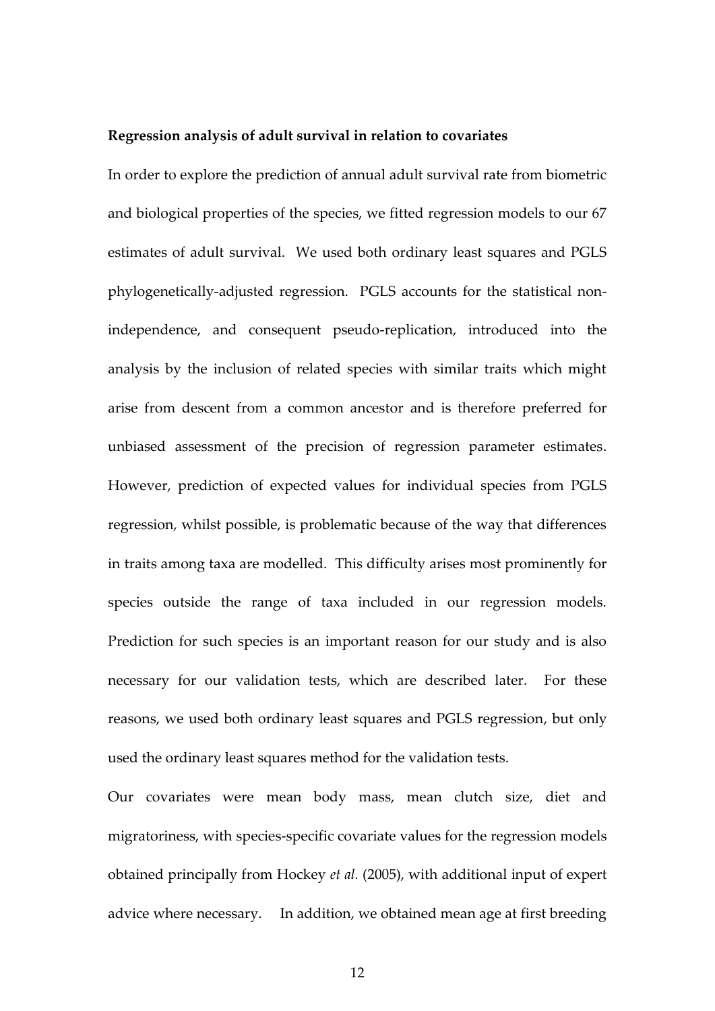#### **Regression analysis of adult survival in relation to covariates**

In order to explore the prediction of annual adult survival rate from biometric and biological properties of the species, we fitted regression models to our 67 estimates of adult survival. We used both ordinary least squares and PGLS phylogenetically-adjusted regression. PGLS accounts for the statistical nonindependence, and consequent pseudo-replication, introduced into the analysis by the inclusion of related species with similar traits which might arise from descent from a common ancestor and is therefore preferred for unbiased assessment of the precision of regression parameter estimates. However, prediction of expected values for individual species from PGLS regression, whilst possible, is problematic because of the way that differences in traits among taxa are modelled. This difficulty arises most prominently for species outside the range of taxa included in our regression models. Prediction for such species is an important reason for our study and is also necessary for our validation tests, which are described later. For these reasons, we used both ordinary least squares and PGLS regression, but only used the ordinary least squares method for the validation tests.

Our covariates were mean body mass, mean clutch size, diet and migratoriness, with species-specific covariate values for the regression models obtained principally from Hockey *et al.* (2005), with additional input of expert advice where necessary. In addition, we obtained mean age at first breeding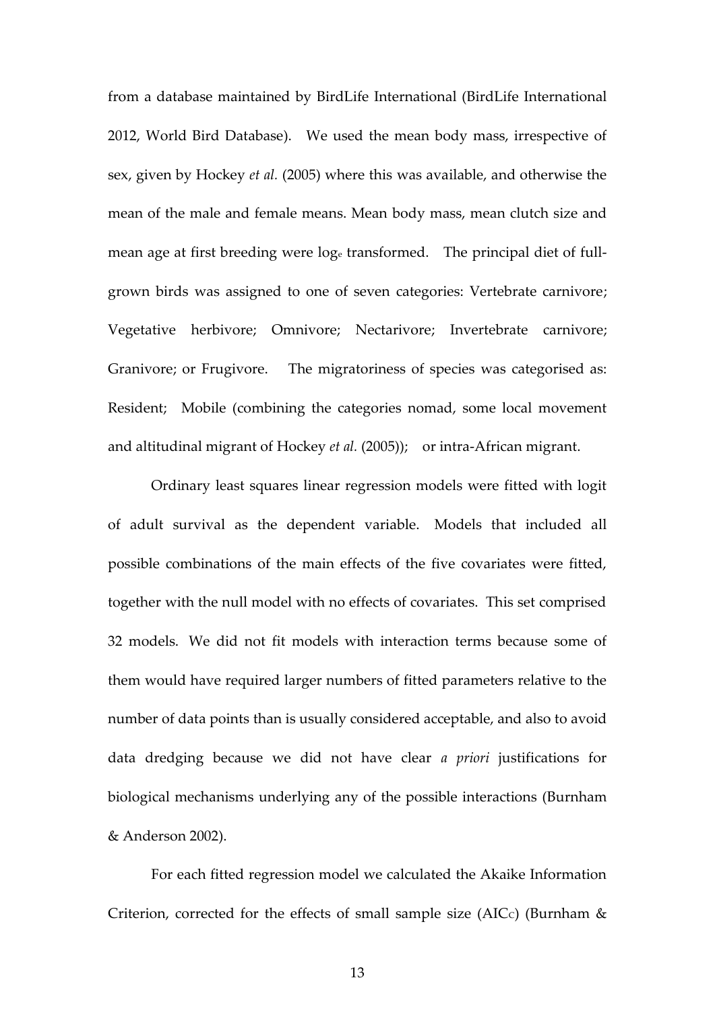from a database maintained by BirdLife International (BirdLife International 2012, World Bird Database). We used the mean body mass, irrespective of sex, given by Hockey *et al.* (2005) where this was available, and otherwise the mean of the male and female means. Mean body mass, mean clutch size and mean age at first breeding were log<sup>e</sup> transformed. The principal diet of fullgrown birds was assigned to one of seven categories: Vertebrate carnivore; Vegetative herbivore; Omnivore; Nectarivore; Invertebrate carnivore; Granivore; or Frugivore. The migratoriness of species was categorised as: Resident; Mobile (combining the categories nomad, some local movement and altitudinal migrant of Hockey *et al.* (2005)); or intra-African migrant.

Ordinary least squares linear regression models were fitted with logit of adult survival as the dependent variable. Models that included all possible combinations of the main effects of the five covariates were fitted, together with the null model with no effects of covariates. This set comprised 32 models. We did not fit models with interaction terms because some of them would have required larger numbers of fitted parameters relative to the number of data points than is usually considered acceptable, and also to avoid data dredging because we did not have clear *a priori* justifications for biological mechanisms underlying any of the possible interactions (Burnham & Anderson 2002).

For each fitted regression model we calculated the Akaike Information Criterion, corrected for the effects of small sample size (AICc) (Burnham  $\&$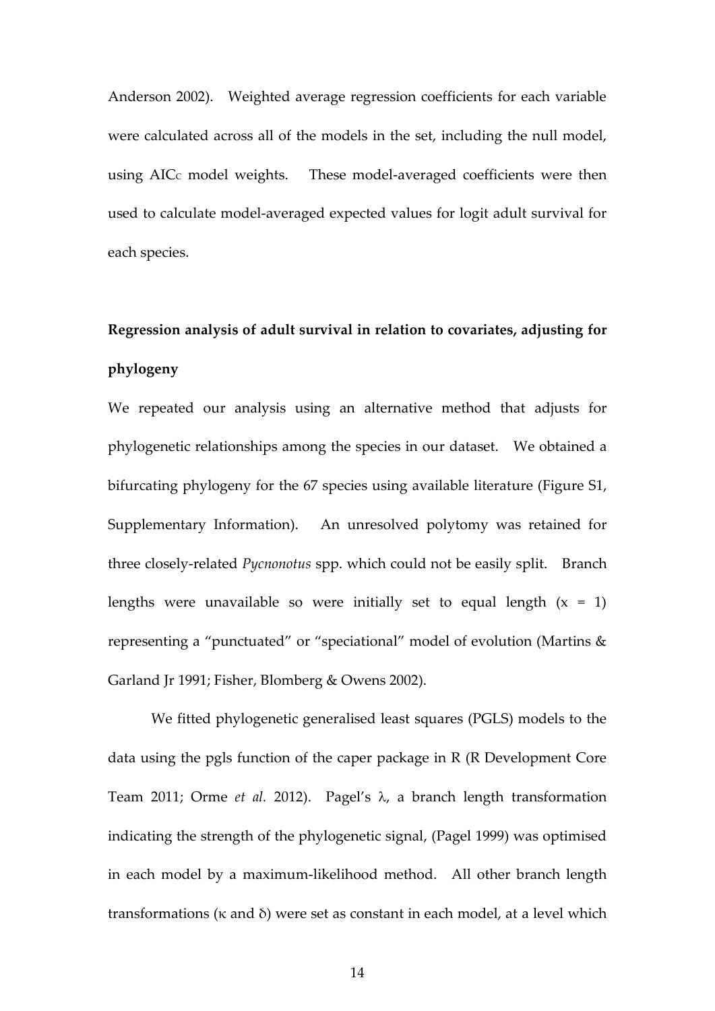Anderson 2002). Weighted average regression coefficients for each variable were calculated across all of the models in the set, including the null model, using AIC<sub>c</sub> model weights. These model-averaged coefficients were then used to calculate model-averaged expected values for logit adult survival for each species.

# **Regression analysis of adult survival in relation to covariates, adjusting for phylogeny**

We repeated our analysis using an alternative method that adjusts for phylogenetic relationships among the species in our dataset. We obtained a bifurcating phylogeny for the 67 species using available literature (Figure S1, Supplementary Information). An unresolved polytomy was retained for three closely-related *Pycnonotus* spp. which could not be easily split. Branch lengths were unavailable so were initially set to equal length  $(x = 1)$ representing a "punctuated" or "speciational" model of evolution (Martins & Garland Jr 1991; Fisher, Blomberg & Owens 2002).

We fitted phylogenetic generalised least squares (PGLS) models to the data using the pgls function of the caper package in R (R Development Core Team 2011; Orme *et al.* 2012). Pagel's  $\lambda$ , a branch length transformation indicating the strength of the phylogenetic signal, (Pagel 1999) was optimised in each model by a maximum-likelihood method. All other branch length transformations (κ and δ) were set as constant in each model, at a level which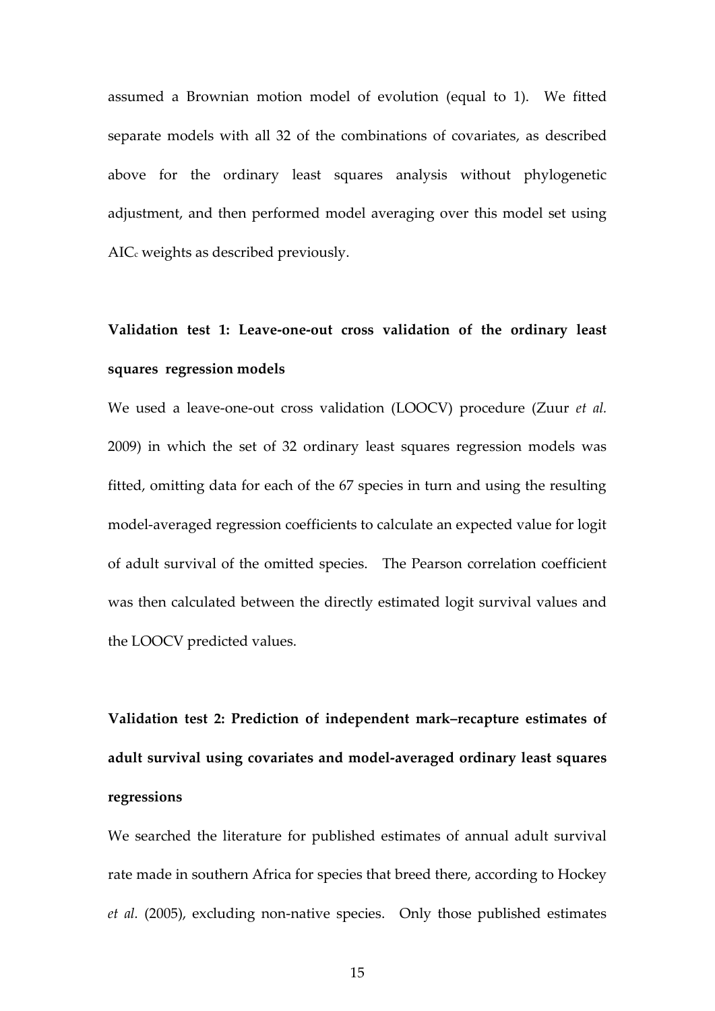assumed a Brownian motion model of evolution (equal to 1). We fitted separate models with all 32 of the combinations of covariates, as described above for the ordinary least squares analysis without phylogenetic adjustment, and then performed model averaging over this model set using AIC<sub>c</sub> weights as described previously.

# **Validation test 1: Leave-one-out cross validation of the ordinary least squares regression models**

We used a leave-one-out cross validation (LOOCV) procedure (Zuur *et al.* 2009) in which the set of 32 ordinary least squares regression models was fitted, omitting data for each of the 67 species in turn and using the resulting model-averaged regression coefficients to calculate an expected value for logit of adult survival of the omitted species. The Pearson correlation coefficient was then calculated between the directly estimated logit survival values and the LOOCV predicted values.

**Validation test 2: Prediction of independent mark–recapture estimates of adult survival using covariates and model-averaged ordinary least squares regressions**

We searched the literature for published estimates of annual adult survival rate made in southern Africa for species that breed there, according to Hockey *et al.* (2005), excluding non-native species. Only those published estimates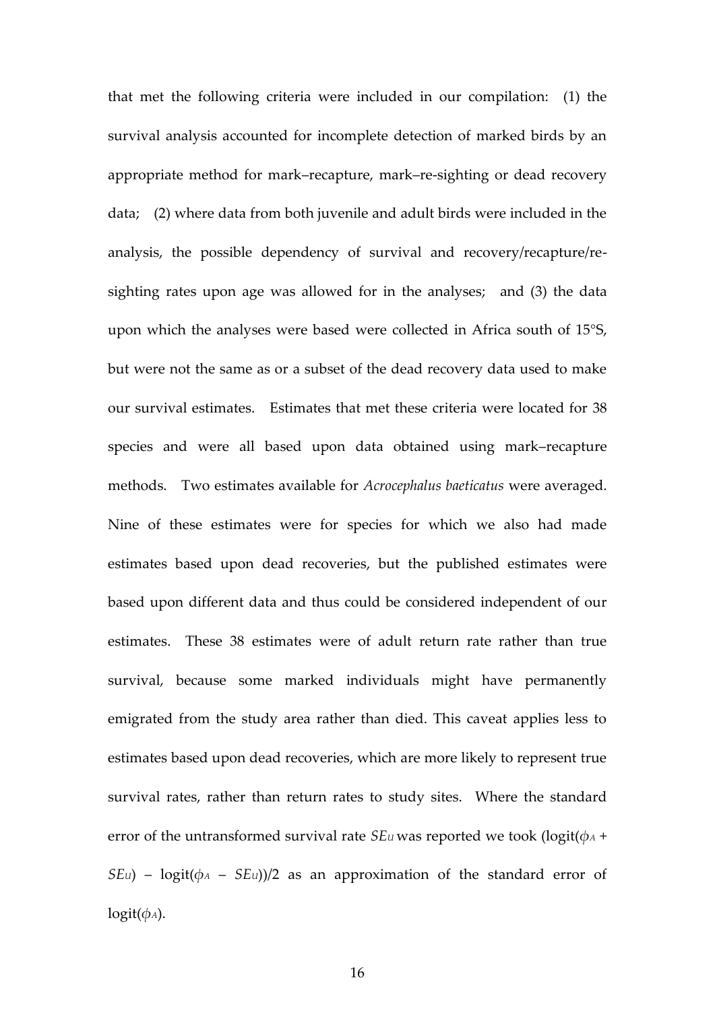that met the following criteria were included in our compilation: (1) the survival analysis accounted for incomplete detection of marked birds by an appropriate method for mark–recapture, mark–re-sighting or dead recovery data; (2) where data from both juvenile and adult birds were included in the analysis, the possible dependency of survival and recovery/recapture/resighting rates upon age was allowed for in the analyses; and (3) the data upon which the analyses were based were collected in Africa south of 15°S, but were not the same as or a subset of the dead recovery data used to make our survival estimates. Estimates that met these criteria were located for 38 species and were all based upon data obtained using mark–recapture methods. Two estimates available for *Acrocephalus baeticatus* were averaged. Nine of these estimates were for species for which we also had made estimates based upon dead recoveries, but the published estimates were based upon different data and thus could be considered independent of our estimates. These 38 estimates were of adult return rate rather than true survival, because some marked individuals might have permanently emigrated from the study area rather than died. This caveat applies less to estimates based upon dead recoveries, which are more likely to represent true survival rates, rather than return rates to study sites. Where the standard error of the untransformed survival rate *SEu* was reported we took (logit( $\phi$ *A* + *SEu*) – logit( $\phi$ *A* – *SEu*))/2 as an approximation of the standard error of  $logit(\phi_A)$ .

16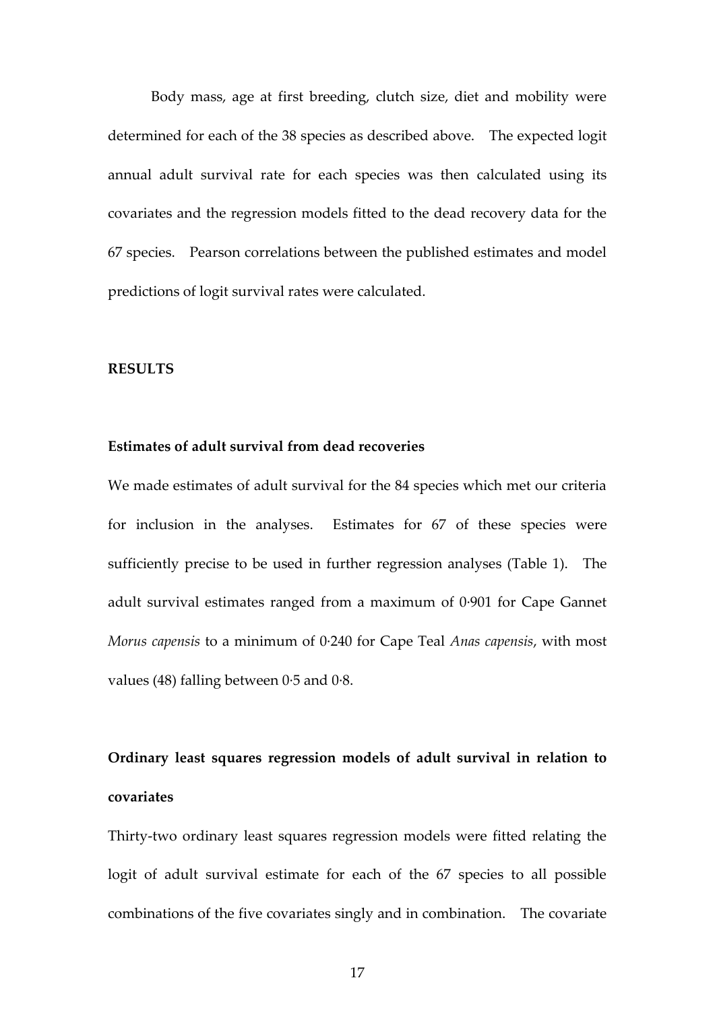Body mass, age at first breeding, clutch size, diet and mobility were determined for each of the 38 species as described above. The expected logit annual adult survival rate for each species was then calculated using its covariates and the regression models fitted to the dead recovery data for the 67 species. Pearson correlations between the published estimates and model predictions of logit survival rates were calculated.

#### **RESULTS**

### **Estimates of adult survival from dead recoveries**

We made estimates of adult survival for the 84 species which met our criteria for inclusion in the analyses. Estimates for 67 of these species were sufficiently precise to be used in further regression analyses (Table 1). The adult survival estimates ranged from a maximum of 0·901 for Cape Gannet *Morus capensis* to a minimum of 0·240 for Cape Teal *Anas capensis*, with most values (48) falling between  $0.5$  and  $0.8$ .

# **Ordinary least squares regression models of adult survival in relation to covariates**

Thirty-two ordinary least squares regression models were fitted relating the logit of adult survival estimate for each of the 67 species to all possible combinations of the five covariates singly and in combination. The covariate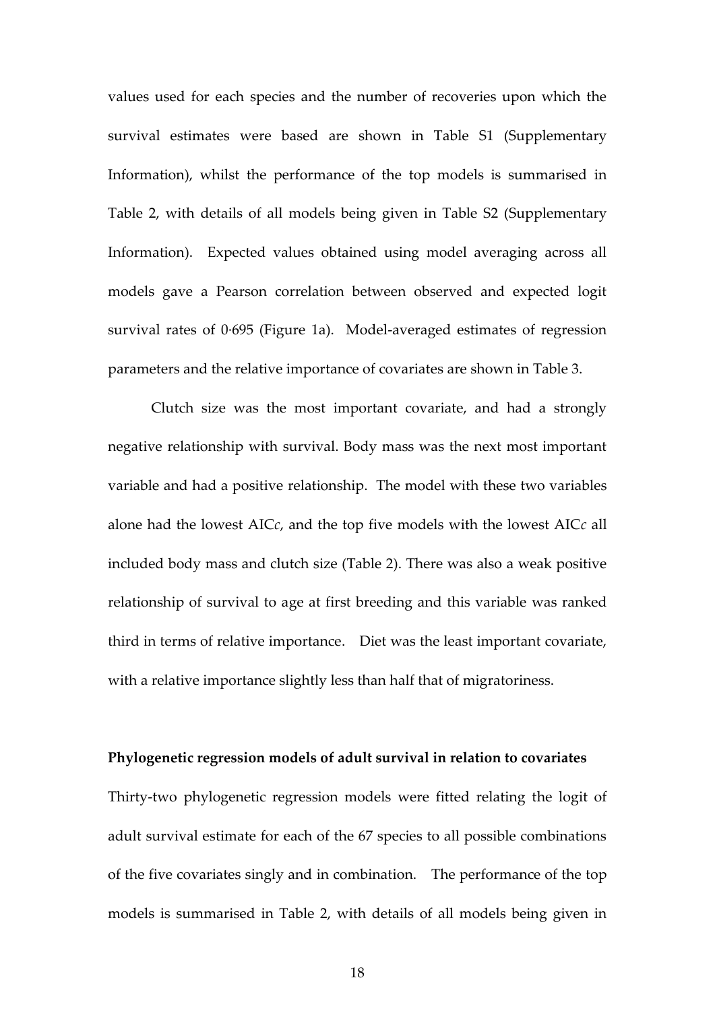values used for each species and the number of recoveries upon which the survival estimates were based are shown in Table S1 (Supplementary Information), whilst the performance of the top models is summarised in Table 2, with details of all models being given in Table S2 (Supplementary Information). Expected values obtained using model averaging across all models gave a Pearson correlation between observed and expected logit survival rates of 0·695 (Figure 1a). Model-averaged estimates of regression parameters and the relative importance of covariates are shown in Table 3.

Clutch size was the most important covariate, and had a strongly negative relationship with survival. Body mass was the next most important variable and had a positive relationship. The model with these two variables alone had the lowest AIC*c*, and the top five models with the lowest AIC*c* all included body mass and clutch size (Table 2). There was also a weak positive relationship of survival to age at first breeding and this variable was ranked third in terms of relative importance. Diet was the least important covariate, with a relative importance slightly less than half that of migratoriness.

#### **Phylogenetic regression models of adult survival in relation to covariates**

Thirty-two phylogenetic regression models were fitted relating the logit of adult survival estimate for each of the 67 species to all possible combinations of the five covariates singly and in combination. The performance of the top models is summarised in Table 2, with details of all models being given in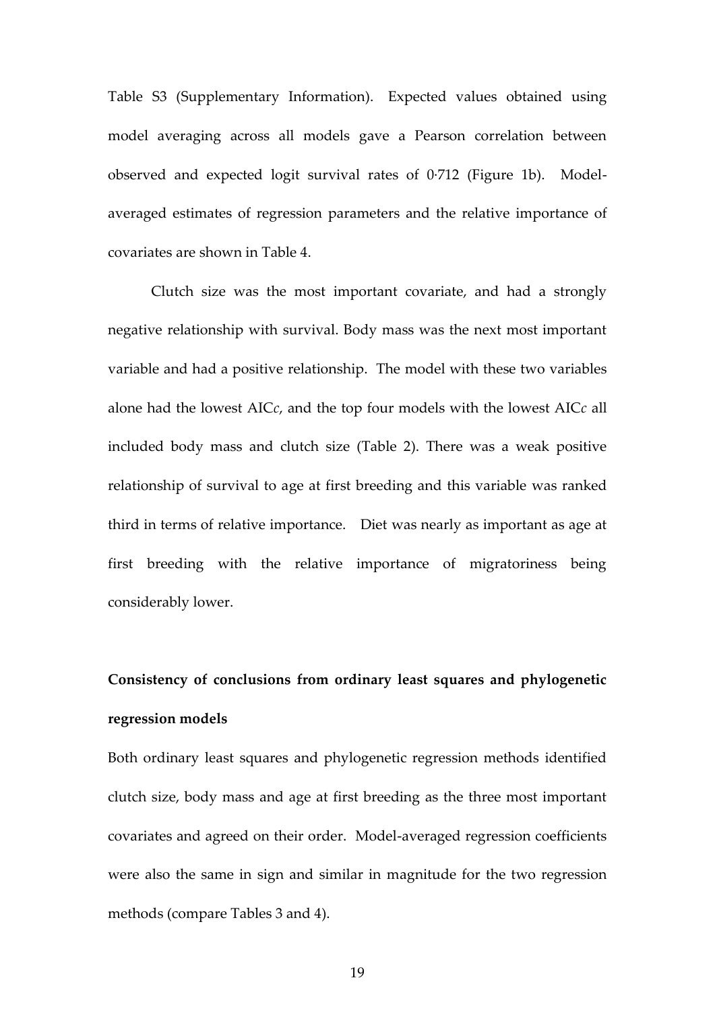Table S3 (Supplementary Information). Expected values obtained using model averaging across all models gave a Pearson correlation between observed and expected logit survival rates of 0·712 (Figure 1b). Modelaveraged estimates of regression parameters and the relative importance of covariates are shown in Table 4.

Clutch size was the most important covariate, and had a strongly negative relationship with survival. Body mass was the next most important variable and had a positive relationship. The model with these two variables alone had the lowest AIC*c*, and the top four models with the lowest AIC*c* all included body mass and clutch size (Table 2). There was a weak positive relationship of survival to age at first breeding and this variable was ranked third in terms of relative importance. Diet was nearly as important as age at first breeding with the relative importance of migratoriness being considerably lower.

# **Consistency of conclusions from ordinary least squares and phylogenetic regression models**

Both ordinary least squares and phylogenetic regression methods identified clutch size, body mass and age at first breeding as the three most important covariates and agreed on their order. Model-averaged regression coefficients were also the same in sign and similar in magnitude for the two regression methods (compare Tables 3 and 4).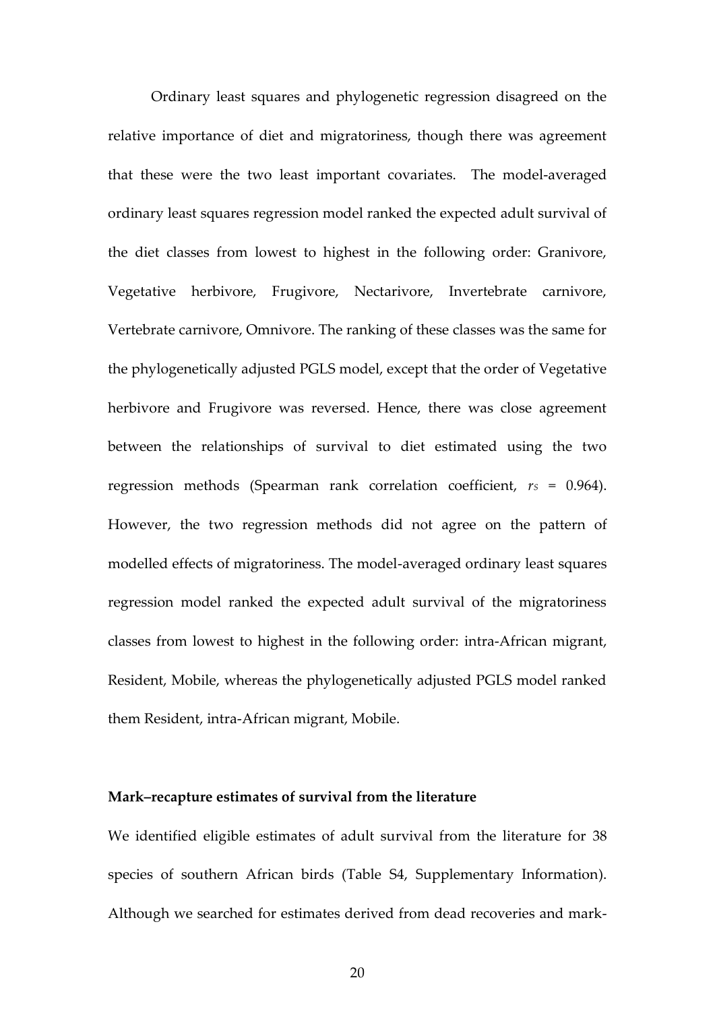Ordinary least squares and phylogenetic regression disagreed on the relative importance of diet and migratoriness, though there was agreement that these were the two least important covariates. The model-averaged ordinary least squares regression model ranked the expected adult survival of the diet classes from lowest to highest in the following order: Granivore, Vegetative herbivore, Frugivore, Nectarivore, Invertebrate carnivore, Vertebrate carnivore, Omnivore. The ranking of these classes was the same for the phylogenetically adjusted PGLS model, except that the order of Vegetative herbivore and Frugivore was reversed. Hence, there was close agreement between the relationships of survival to diet estimated using the two regression methods (Spearman rank correlation coefficient,  $r<sub>S</sub> = 0.964$ ). However, the two regression methods did not agree on the pattern of modelled effects of migratoriness. The model-averaged ordinary least squares regression model ranked the expected adult survival of the migratoriness classes from lowest to highest in the following order: intra-African migrant, Resident, Mobile, whereas the phylogenetically adjusted PGLS model ranked them Resident, intra-African migrant, Mobile.

# **Mark–recapture estimates of survival from the literature**

We identified eligible estimates of adult survival from the literature for 38 species of southern African birds (Table S4, Supplementary Information). Although we searched for estimates derived from dead recoveries and mark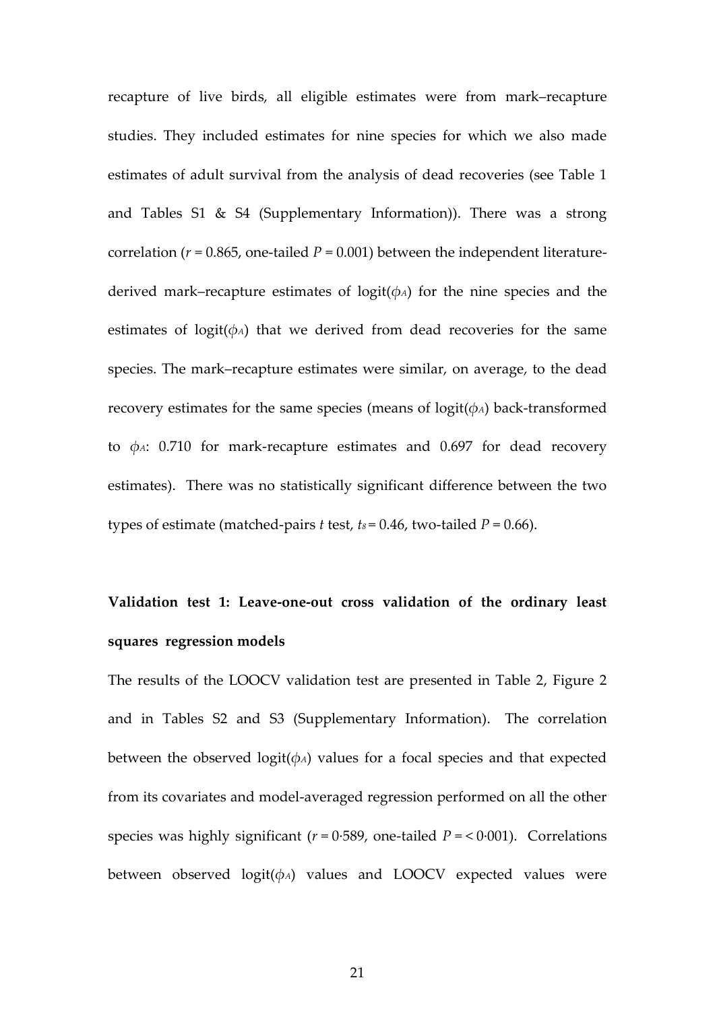recapture of live birds, all eligible estimates were from mark–recapture studies. They included estimates for nine species for which we also made estimates of adult survival from the analysis of dead recoveries (see Table 1 and Tables S1 & S4 (Supplementary Information)). There was a strong correlation ( $r = 0.865$ , one-tailed  $P = 0.001$ ) between the independent literaturederived mark–recapture estimates of logit(*φA*) for the nine species and the estimates of logit( $\phi$ *A*) that we derived from dead recoveries for the same species. The mark–recapture estimates were similar, on average, to the dead recovery estimates for the same species (means of logit(*φA*) back-transformed to *φA*: 0.710 for mark-recapture estimates and 0.697 for dead recovery estimates). There was no statistically significant difference between the two types of estimate (matched-pairs *t* test,  $t_0 = 0.46$ , two-tailed  $P = 0.66$ ).

# **Validation test 1: Leave-one-out cross validation of the ordinary least squares regression models**

The results of the LOOCV validation test are presented in Table 2, Figure 2 and in Tables S2 and S3 (Supplementary Information). The correlation between the observed logit(*φA*) values for a focal species and that expected from its covariates and model-averaged regression performed on all the other species was highly significant  $(r = 0.589)$ , one-tailed  $P = < 0.001$ ). Correlations between observed logit(*φA*) values and LOOCV expected values were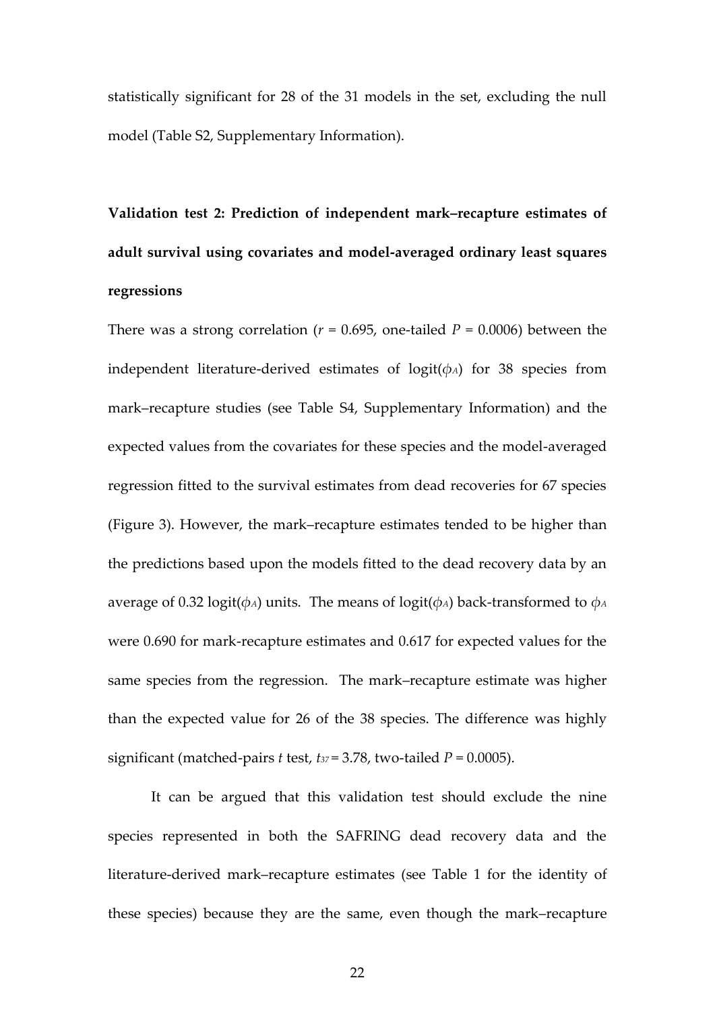statistically significant for 28 of the 31 models in the set, excluding the null model (Table S2, Supplementary Information).

**Validation test 2: Prediction of independent mark–recapture estimates of adult survival using covariates and model-averaged ordinary least squares regressions**

There was a strong correlation ( $r = 0.695$ , one-tailed  $P = 0.0006$ ) between the independent literature-derived estimates of logit(*φA*) for 38 species from mark–recapture studies (see Table S4, Supplementary Information) and the expected values from the covariates for these species and the model-averaged regression fitted to the survival estimates from dead recoveries for 67 species (Figure 3). However, the mark–recapture estimates tended to be higher than the predictions based upon the models fitted to the dead recovery data by an average of 0.32 logit( $\phi$ *A*) units. The means of logit( $\phi$ *A*) back-transformed to  $\phi$ *A* were 0.690 for mark-recapture estimates and 0.617 for expected values for the same species from the regression. The mark–recapture estimate was higher than the expected value for 26 of the 38 species. The difference was highly significant (matched-pairs *t* test,  $t_{37} = 3.78$ , two-tailed  $P = 0.0005$ ).

It can be argued that this validation test should exclude the nine species represented in both the SAFRING dead recovery data and the literature-derived mark–recapture estimates (see Table 1 for the identity of these species) because they are the same, even though the mark–recapture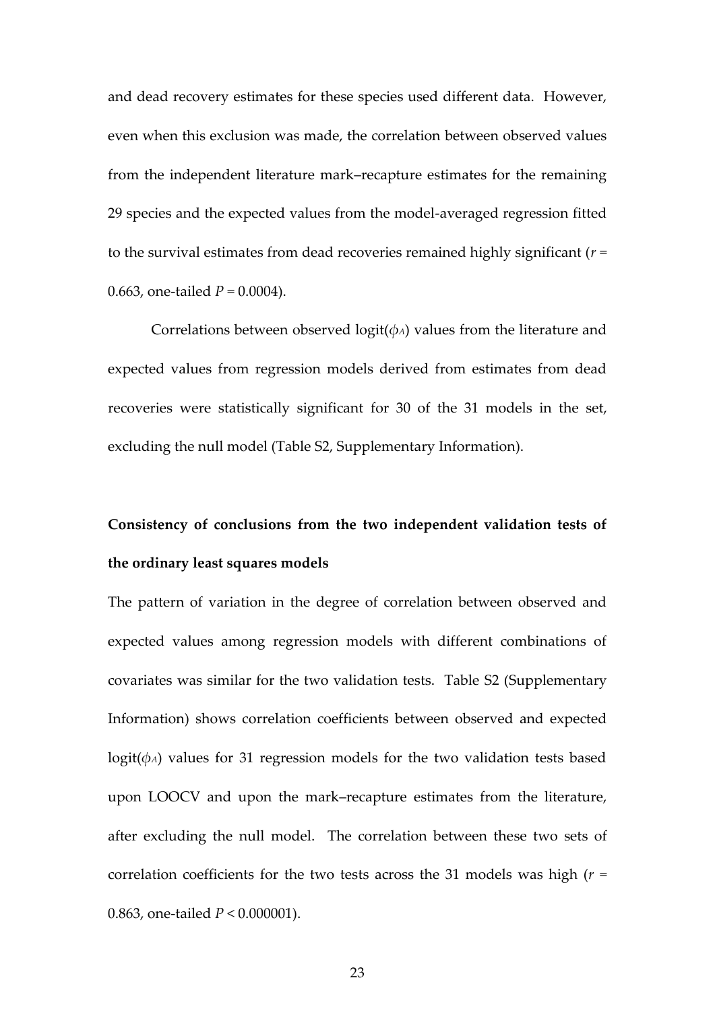and dead recovery estimates for these species used different data. However, even when this exclusion was made, the correlation between observed values from the independent literature mark–recapture estimates for the remaining 29 species and the expected values from the model-averaged regression fitted to the survival estimates from dead recoveries remained highly significant (*r* = 0.663, one-tailed *P* = 0.0004).

Correlations between observed logit(*φA*) values from the literature and expected values from regression models derived from estimates from dead recoveries were statistically significant for 30 of the 31 models in the set, excluding the null model (Table S2, Supplementary Information).

# **Consistency of conclusions from the two independent validation tests of the ordinary least squares models**

The pattern of variation in the degree of correlation between observed and expected values among regression models with different combinations of covariates was similar for the two validation tests. Table S2 (Supplementary Information) shows correlation coefficients between observed and expected logit( $\phi$ *A*) values for 31 regression models for the two validation tests based upon LOOCV and upon the mark–recapture estimates from the literature, after excluding the null model. The correlation between these two sets of correlation coefficients for the two tests across the 31 models was high (*r* = 0.863, one-tailed *P* < 0.000001).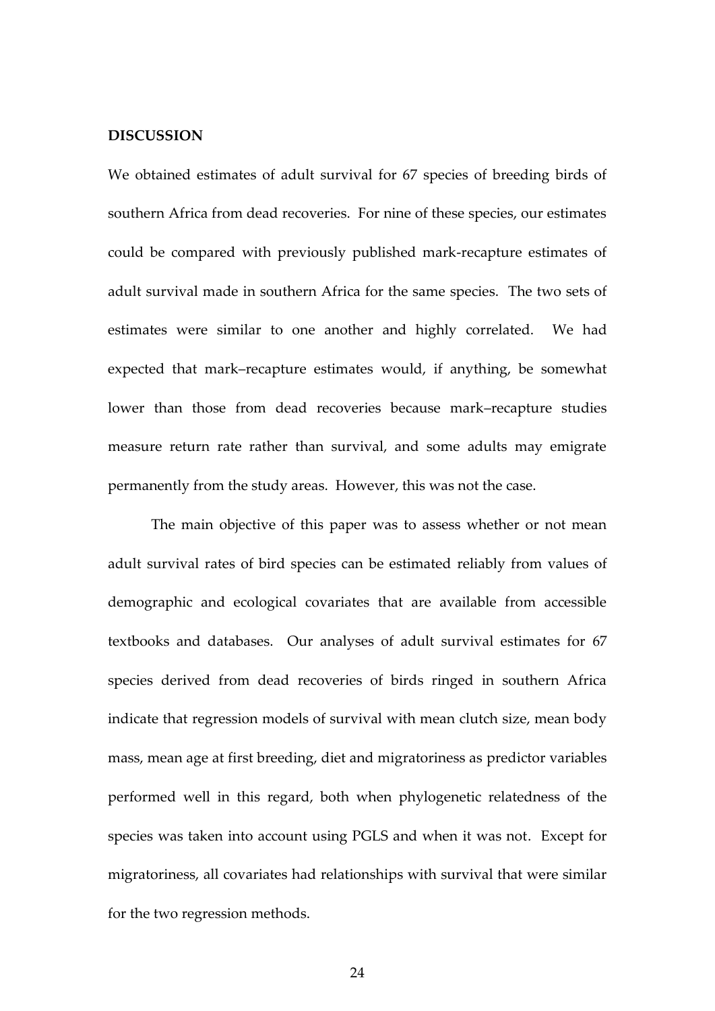### **DISCUSSION**

We obtained estimates of adult survival for 67 species of breeding birds of southern Africa from dead recoveries. For nine of these species, our estimates could be compared with previously published mark-recapture estimates of adult survival made in southern Africa for the same species. The two sets of estimates were similar to one another and highly correlated. We had expected that mark–recapture estimates would, if anything, be somewhat lower than those from dead recoveries because mark–recapture studies measure return rate rather than survival, and some adults may emigrate permanently from the study areas. However, this was not the case.

The main objective of this paper was to assess whether or not mean adult survival rates of bird species can be estimated reliably from values of demographic and ecological covariates that are available from accessible textbooks and databases. Our analyses of adult survival estimates for 67 species derived from dead recoveries of birds ringed in southern Africa indicate that regression models of survival with mean clutch size, mean body mass, mean age at first breeding, diet and migratoriness as predictor variables performed well in this regard, both when phylogenetic relatedness of the species was taken into account using PGLS and when it was not. Except for migratoriness, all covariates had relationships with survival that were similar for the two regression methods.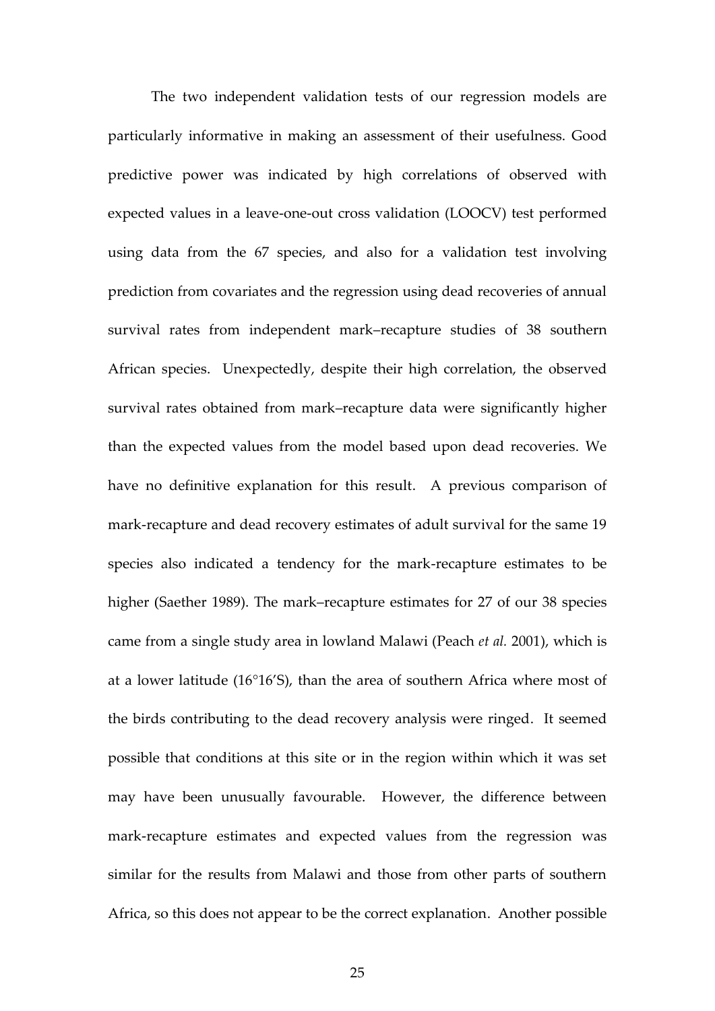The two independent validation tests of our regression models are particularly informative in making an assessment of their usefulness. Good predictive power was indicated by high correlations of observed with expected values in a leave-one-out cross validation (LOOCV) test performed using data from the 67 species, and also for a validation test involving prediction from covariates and the regression using dead recoveries of annual survival rates from independent mark–recapture studies of 38 southern African species. Unexpectedly, despite their high correlation, the observed survival rates obtained from mark–recapture data were significantly higher than the expected values from the model based upon dead recoveries. We have no definitive explanation for this result. A previous comparison of mark-recapture and dead recovery estimates of adult survival for the same 19 species also indicated a tendency for the mark-recapture estimates to be higher (Saether 1989). The mark–recapture estimates for 27 of our 38 species came from a single study area in lowland Malawi (Peach *et al.* 2001), which is at a lower latitude (16°16'S), than the area of southern Africa where most of the birds contributing to the dead recovery analysis were ringed. It seemed possible that conditions at this site or in the region within which it was set may have been unusually favourable. However, the difference between mark-recapture estimates and expected values from the regression was similar for the results from Malawi and those from other parts of southern Africa, so this does not appear to be the correct explanation. Another possible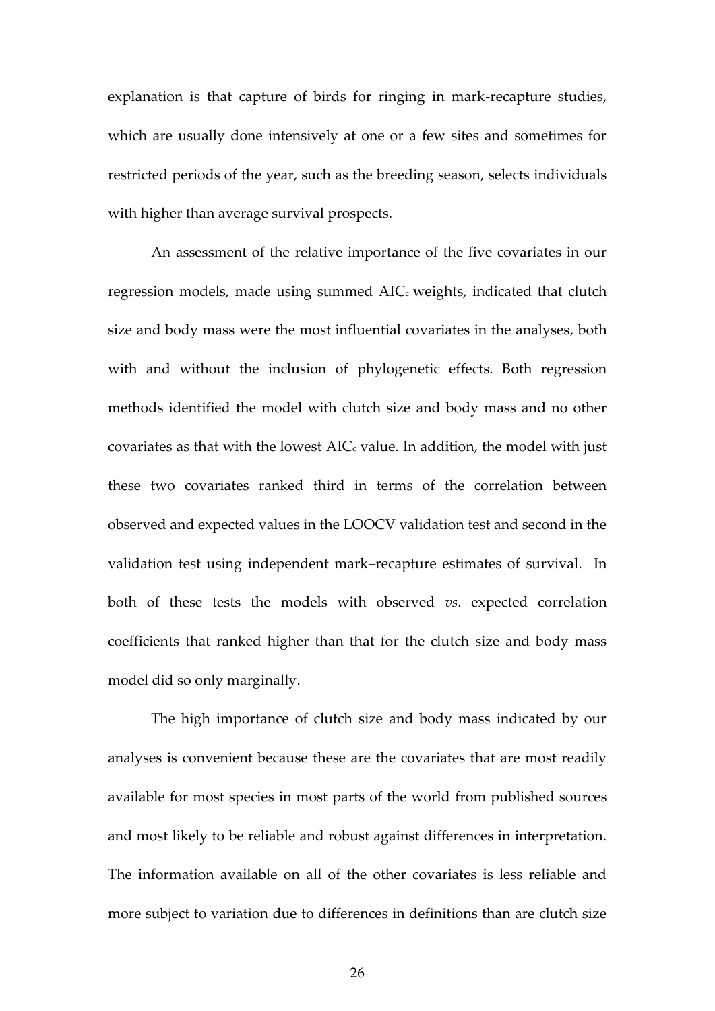explanation is that capture of birds for ringing in mark-recapture studies, which are usually done intensively at one or a few sites and sometimes for restricted periods of the year, such as the breeding season, selects individuals with higher than average survival prospects.

An assessment of the relative importance of the five covariates in our regression models, made using summed AIC<sub>c</sub> weights, indicated that clutch size and body mass were the most influential covariates in the analyses, both with and without the inclusion of phylogenetic effects. Both regression methods identified the model with clutch size and body mass and no other covariates as that with the lowest  $AIC_c$  value. In addition, the model with just these two covariates ranked third in terms of the correlation between observed and expected values in the LOOCV validation test and second in the validation test using independent mark–recapture estimates of survival. In both of these tests the models with observed *vs*. expected correlation coefficients that ranked higher than that for the clutch size and body mass model did so only marginally.

The high importance of clutch size and body mass indicated by our analyses is convenient because these are the covariates that are most readily available for most species in most parts of the world from published sources and most likely to be reliable and robust against differences in interpretation. The information available on all of the other covariates is less reliable and more subject to variation due to differences in definitions than are clutch size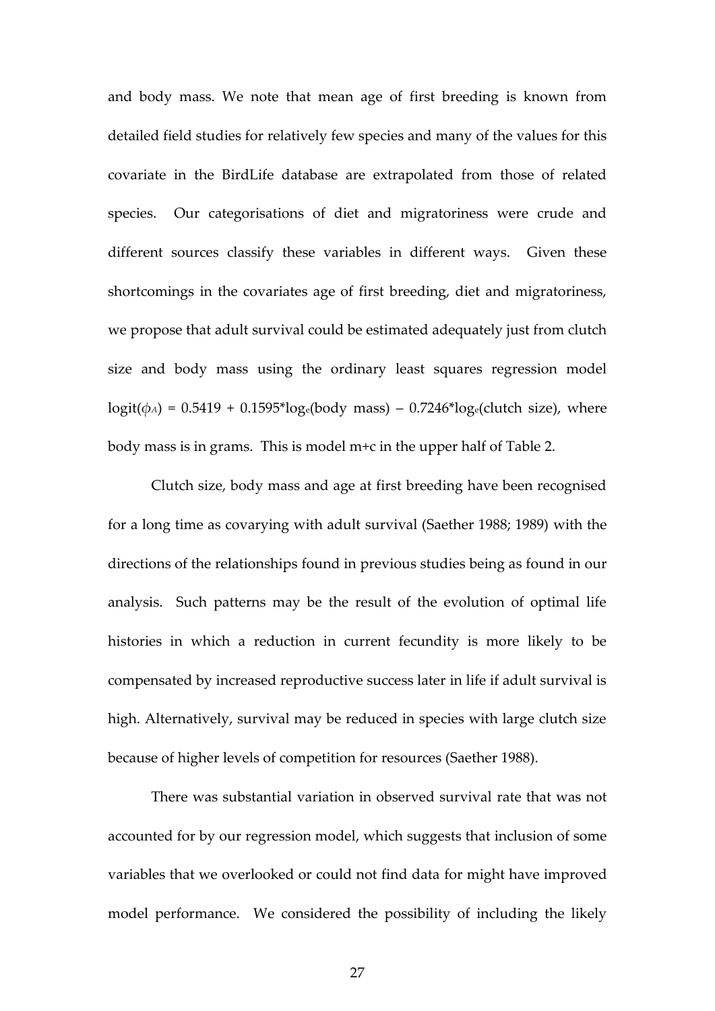and body mass. We note that mean age of first breeding is known from detailed field studies for relatively few species and many of the values for this covariate in the BirdLife database are extrapolated from those of related species. Our categorisations of diet and migratoriness were crude and different sources classify these variables in different ways. Given these shortcomings in the covariates age of first breeding, diet and migratoriness, we propose that adult survival could be estimated adequately just from clutch size and body mass using the ordinary least squares regression model  $logit(\phi_A) = 0.5419 + 0.1595*log_e(body mass) - 0.7246*log_e(clutch size)$ , where body mass is in grams. This is model m+c in the upper half of Table 2.

Clutch size, body mass and age at first breeding have been recognised for a long time as covarying with adult survival (Saether 1988; 1989) with the directions of the relationships found in previous studies being as found in our analysis. Such patterns may be the result of the evolution of optimal life histories in which a reduction in current fecundity is more likely to be compensated by increased reproductive success later in life if adult survival is high. Alternatively, survival may be reduced in species with large clutch size because of higher levels of competition for resources (Saether 1988).

There was substantial variation in observed survival rate that was not accounted for by our regression model, which suggests that inclusion of some variables that we overlooked or could not find data for might have improved model performance. We considered the possibility of including the likely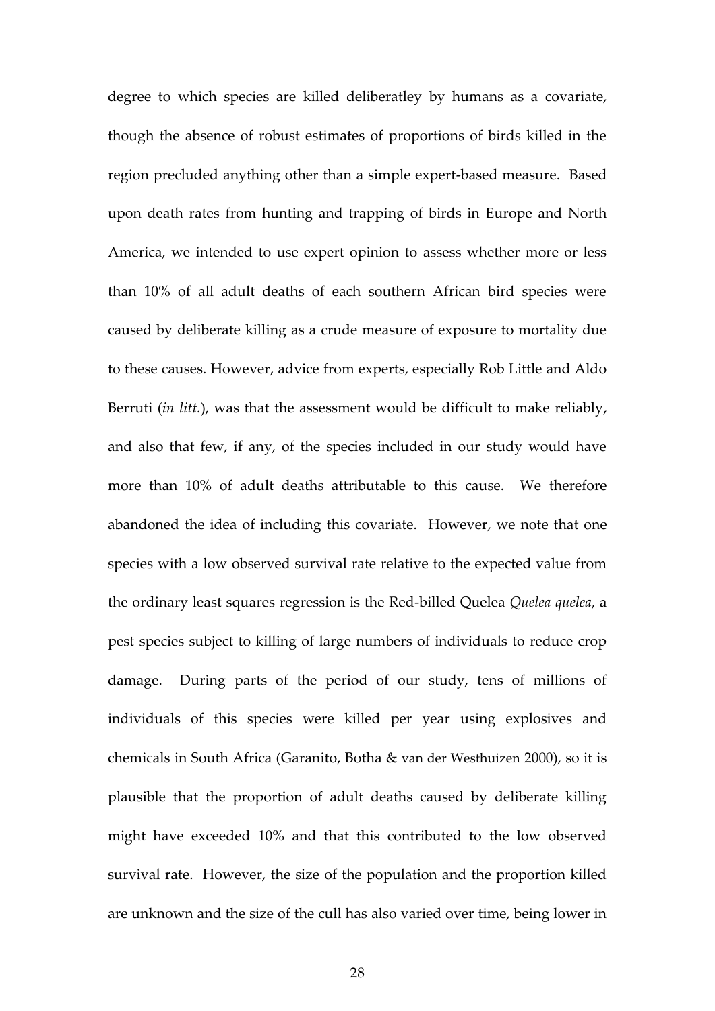degree to which species are killed deliberatley by humans as a covariate, though the absence of robust estimates of proportions of birds killed in the region precluded anything other than a simple expert-based measure. Based upon death rates from hunting and trapping of birds in Europe and North America, we intended to use expert opinion to assess whether more or less than 10% of all adult deaths of each southern African bird species were caused by deliberate killing as a crude measure of exposure to mortality due to these causes. However, advice from experts, especially Rob Little and Aldo Berruti (*in litt.*), was that the assessment would be difficult to make reliably, and also that few, if any, of the species included in our study would have more than 10% of adult deaths attributable to this cause. We therefore abandoned the idea of including this covariate. However, we note that one species with a low observed survival rate relative to the expected value from the ordinary least squares regression is the Red-billed Quelea *Quelea quelea*, a pest species subject to killing of large numbers of individuals to reduce crop damage. During parts of the period of our study, tens of millions of individuals of this species were killed per year using explosives and chemicals in South Africa (Garanito, Botha & van der Westhuizen 2000), so it is plausible that the proportion of adult deaths caused by deliberate killing might have exceeded 10% and that this contributed to the low observed survival rate. However, the size of the population and the proportion killed are unknown and the size of the cull has also varied over time, being lower in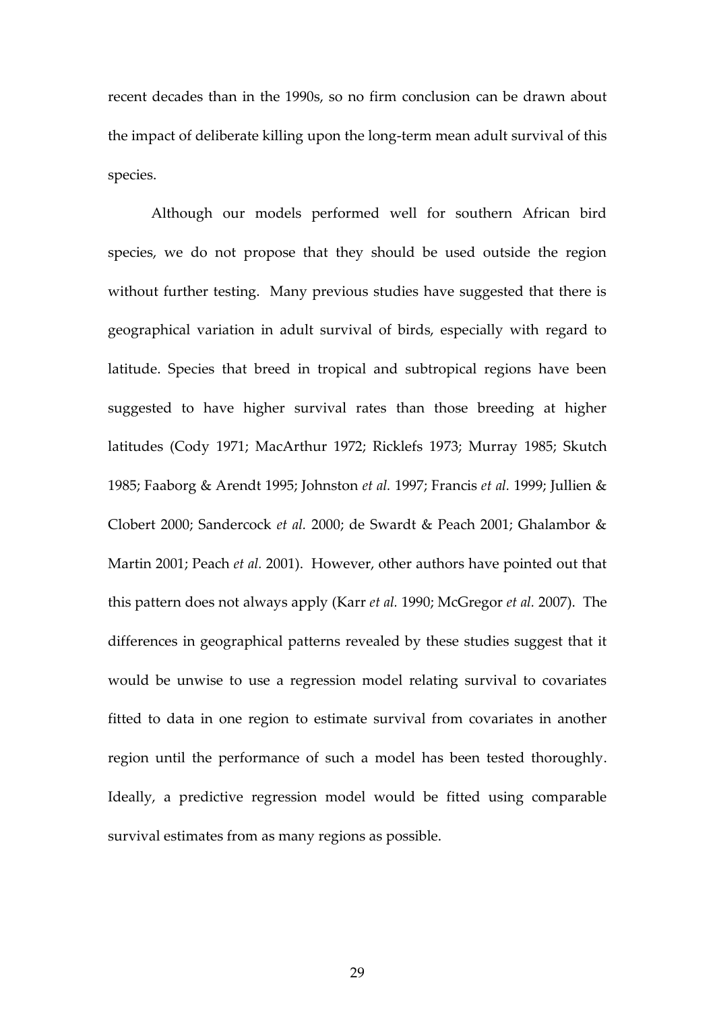recent decades than in the 1990s, so no firm conclusion can be drawn about the impact of deliberate killing upon the long-term mean adult survival of this species.

Although our models performed well for southern African bird species, we do not propose that they should be used outside the region without further testing. Many previous studies have suggested that there is geographical variation in adult survival of birds, especially with regard to latitude. Species that breed in tropical and subtropical regions have been suggested to have higher survival rates than those breeding at higher latitudes (Cody 1971; MacArthur 1972; Ricklefs 1973; Murray 1985; Skutch 1985; Faaborg & Arendt 1995; Johnston *et al.* 1997; Francis *et al.* 1999; Jullien & Clobert 2000; Sandercock *et al.* 2000; de Swardt & Peach 2001; Ghalambor & Martin 2001; Peach *et al.* 2001). However, other authors have pointed out that this pattern does not always apply (Karr *et al.* 1990; McGregor *et al.* 2007). The differences in geographical patterns revealed by these studies suggest that it would be unwise to use a regression model relating survival to covariates fitted to data in one region to estimate survival from covariates in another region until the performance of such a model has been tested thoroughly. Ideally, a predictive regression model would be fitted using comparable survival estimates from as many regions as possible.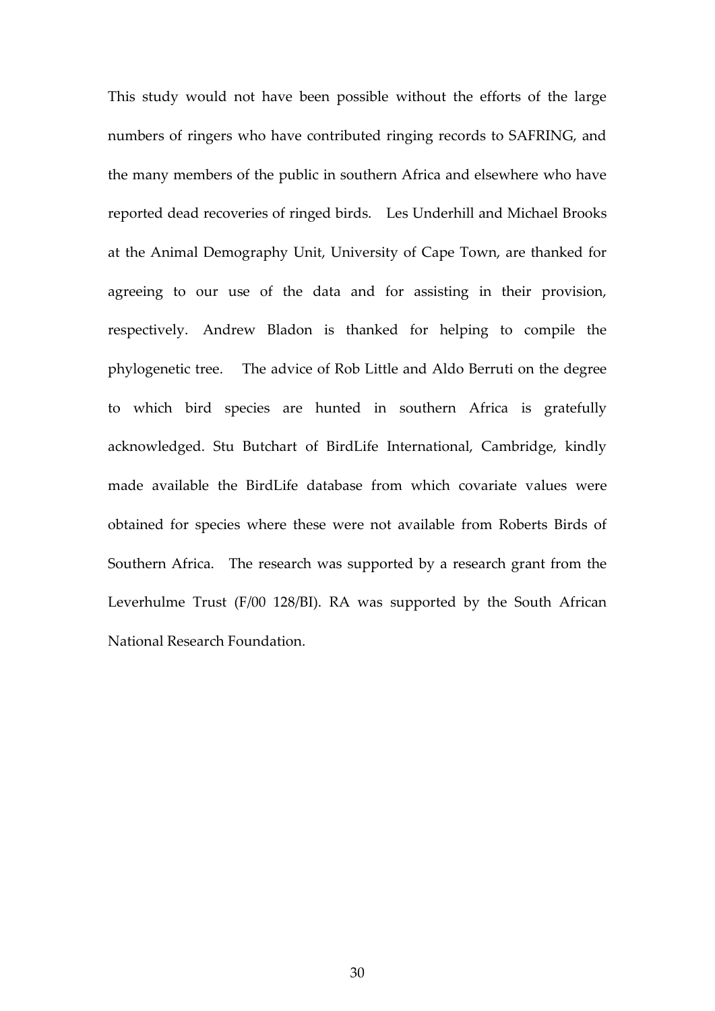This study would not have been possible without the efforts of the large numbers of ringers who have contributed ringing records to SAFRING, and the many members of the public in southern Africa and elsewhere who have reported dead recoveries of ringed birds. Les Underhill and Michael Brooks at the Animal Demography Unit, University of Cape Town, are thanked for agreeing to our use of the data and for assisting in their provision, respectively. Andrew Bladon is thanked for helping to compile the phylogenetic tree. The advice of Rob Little and Aldo Berruti on the degree to which bird species are hunted in southern Africa is gratefully acknowledged. Stu Butchart of BirdLife International, Cambridge, kindly made available the BirdLife database from which covariate values were obtained for species where these were not available from Roberts Birds of Southern Africa. The research was supported by a research grant from the Leverhulme Trust (F/00 128/BI). RA was supported by the South African National Research Foundation.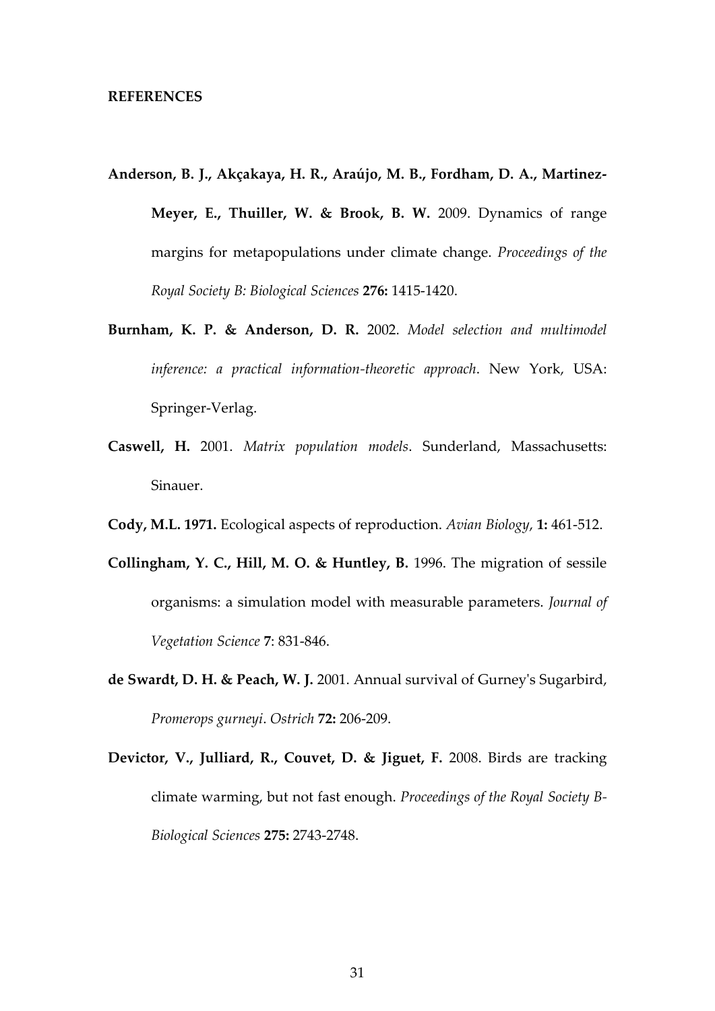#### **REFERENCES**

- **Anderson, B. J., Akçakaya, H. R., Araújo, M. B., Fordham, D. A., Martinez-Meyer, E., Thuiller, W. & Brook, B. W.** 2009. Dynamics of range margins for metapopulations under climate change. *Proceedings of the Royal Society B: Biological Sciences* **276:** 1415-1420.
- **Burnham, K. P. & Anderson, D. R.** 2002. *Model selection and multimodel inference: a practical information-theoretic approach*. New York, USA: Springer-Verlag.
- **Caswell, H.** 2001. *Matrix population models*. Sunderland, Massachusetts: Sinauer.
- **Cody, M.L. 1971.** Ecological aspects of reproduction. *Avian Biology*, **1:** 461-512.
- **Collingham, Y. C., Hill, M. O. & Huntley, B.** 1996. The migration of sessile organisms: a simulation model with measurable parameters. *Journal of Vegetation Science* **7**: 831-846.
- **de Swardt, D. H. & Peach, W. J.** 2001. Annual survival of Gurney's Sugarbird, *Promerops gurneyi*. *Ostrich* **72:** 206-209.
- **Devictor, V., Julliard, R., Couvet, D. & Jiguet, F.** 2008. Birds are tracking climate warming, but not fast enough. *Proceedings of the Royal Society B-Biological Sciences* **275:** 2743-2748.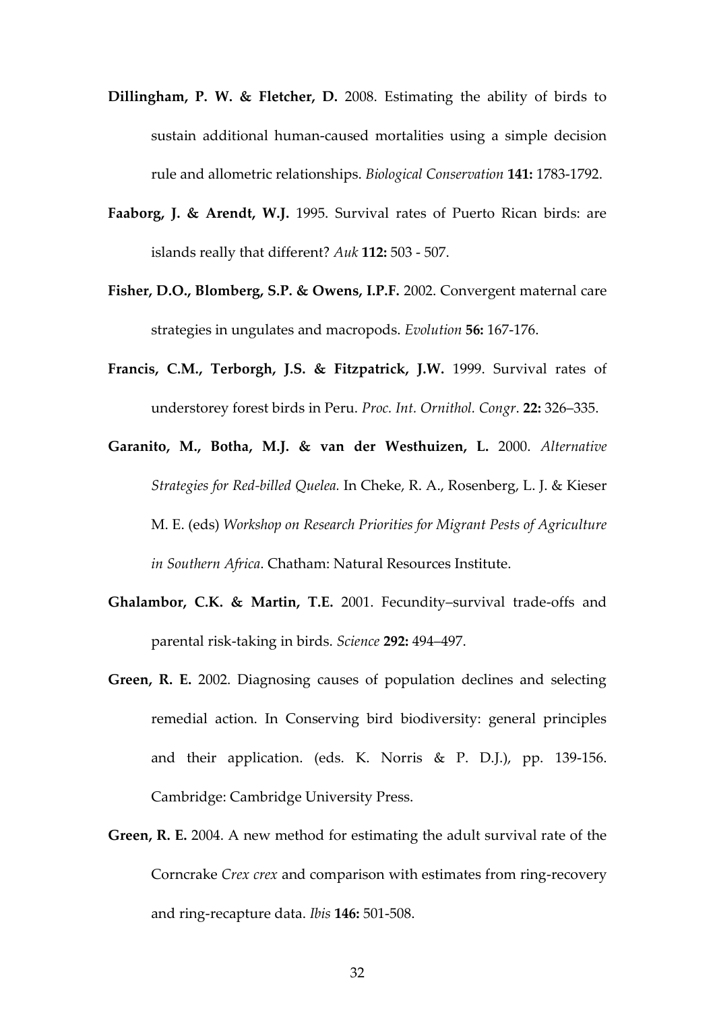- **Dillingham, P. W. & Fletcher, D.** 2008. Estimating the ability of birds to sustain additional human-caused mortalities using a simple decision rule and allometric relationships. *Biological Conservation* **141:** 1783-1792.
- **Faaborg, J. & Arendt, W.J.** 1995. Survival rates of Puerto Rican birds: are islands really that different? *Auk* **112:** 503 - 507.
- **Fisher, D.O., Blomberg, S.P. & Owens, I.P.F.** 2002. Convergent maternal care strategies in ungulates and macropods. *Evolution* **56:** 167-176.
- **Francis, C.M., Terborgh, J.S. & Fitzpatrick, J.W.** 1999. Survival rates of understorey forest birds in Peru. *Proc. Int. Ornithol. Congr*. **22:** 326–335.
- **Garanito, M., Botha, M.J. & van der Westhuizen, L.** 2000. *Alternative Strategies for Red-billed Quelea.* In Cheke, R. A., Rosenberg, L. J. & Kieser M. E. (eds) *Workshop on Research Priorities for Migrant Pests of Agriculture in Southern Africa*. Chatham: Natural Resources Institute.
- **Ghalambor, C.K. & Martin, T.E.** 2001. Fecundity–survival trade-offs and parental risk-taking in birds. *Science* **292:** 494–497.
- **Green, R. E.** 2002. Diagnosing causes of population declines and selecting remedial action. In Conserving bird biodiversity: general principles and their application. (eds. K. Norris & P. D.J.), pp. 139-156. Cambridge: Cambridge University Press.
- **Green, R. E.** 2004. A new method for estimating the adult survival rate of the Corncrake *Crex crex* and comparison with estimates from ring-recovery and ring-recapture data. *Ibis* **146:** 501-508.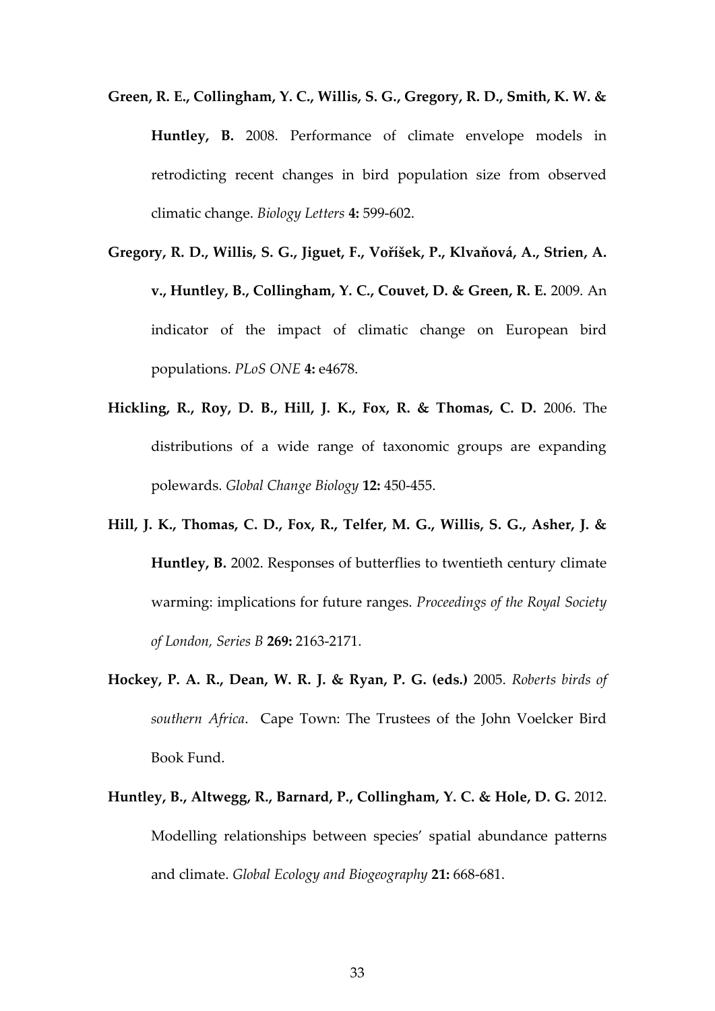- **Green, R. E., Collingham, Y. C., Willis, S. G., Gregory, R. D., Smith, K. W. & Huntley, B.** 2008. Performance of climate envelope models in retrodicting recent changes in bird population size from observed climatic change. *Biology Letters* **4:** 599-602.
- **Gregory, R. D., Willis, S. G., Jiguet, F., Voříšek, P., Klvaňová, A., Strien, A. v., Huntley, B., Collingham, Y. C., Couvet, D. & Green, R. E.** 2009. An indicator of the impact of climatic change on European bird populations. *PLoS ONE* **4:** e4678.
- **Hickling, R., Roy, D. B., Hill, J. K., Fox, R. & Thomas, C. D.** 2006. The distributions of a wide range of taxonomic groups are expanding polewards. *Global Change Biology* **12:** 450-455.
- **Hill, J. K., Thomas, C. D., Fox, R., Telfer, M. G., Willis, S. G., Asher, J. & Huntley, B.** 2002. Responses of butterflies to twentieth century climate warming: implications for future ranges. *Proceedings of the Royal Society of London, Series B* **269:** 2163-2171.
- **Hockey, P. A. R., Dean, W. R. J. & Ryan, P. G. (eds.)** 2005. *Roberts birds of southern Africa*. Cape Town: The Trustees of the John Voelcker Bird Book Fund.
- **Huntley, B., Altwegg, R., Barnard, P., Collingham, Y. C. & Hole, D. G.** 2012. Modelling relationships between species' spatial abundance patterns and climate. *Global Ecology and Biogeography* **21:** 668-681.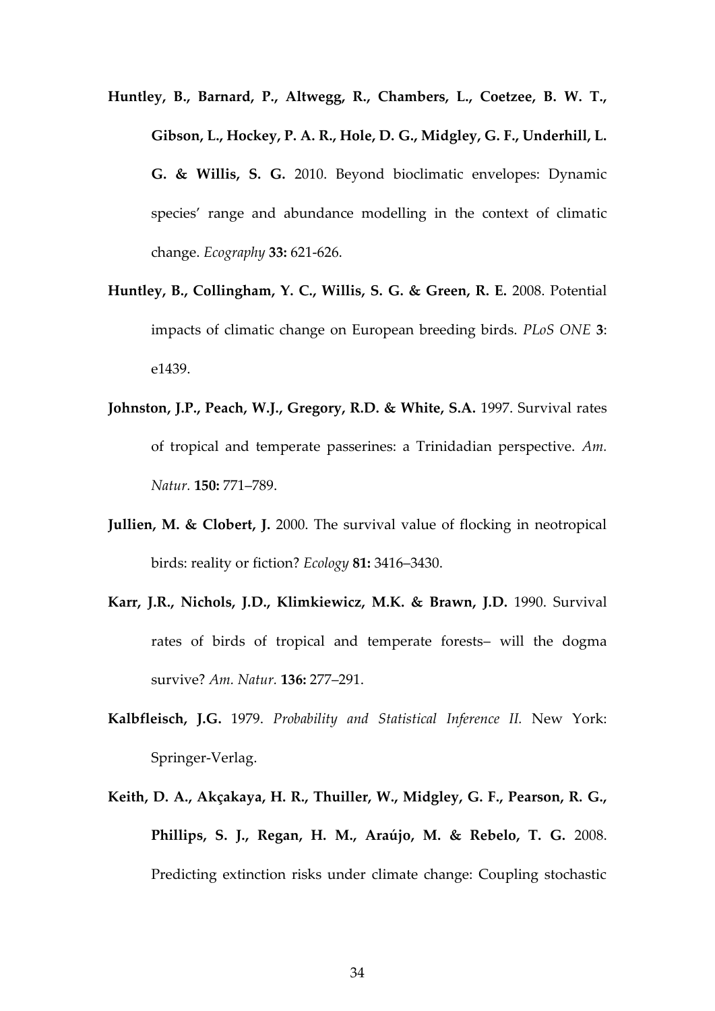- **Huntley, B., Barnard, P., Altwegg, R., Chambers, L., Coetzee, B. W. T., Gibson, L., Hockey, P. A. R., Hole, D. G., Midgley, G. F., Underhill, L. G. & Willis, S. G.** 2010. Beyond bioclimatic envelopes: Dynamic species' range and abundance modelling in the context of climatic change. *Ecography* **33:** 621-626.
- **Huntley, B., Collingham, Y. C., Willis, S. G. & Green, R. E.** 2008. Potential impacts of climatic change on European breeding birds. *PLoS ONE* **3**: e1439.
- **Johnston, J.P., Peach, W.J., Gregory, R.D. & White, S.A.** 1997. Survival rates of tropical and temperate passerines: a Trinidadian perspective. *Am. Natur.* **150:** 771–789.
- **Jullien, M. & Clobert, J.** 2000. The survival value of flocking in neotropical birds: reality or fiction? *Ecology* **81:** 3416–3430.
- **Karr, J.R., Nichols, J.D., Klimkiewicz, M.K. & Brawn, J.D.** 1990. Survival rates of birds of tropical and temperate forests– will the dogma survive? *Am. Natur.* **136:** 277–291.
- **Kalbfleisch, J.G.** 1979. *Probability and Statistical Inference II.* New York: Springer-Verlag.
- **Keith, D. A., Akçakaya, H. R., Thuiller, W., Midgley, G. F., Pearson, R. G., Phillips, S. J., Regan, H. M., Araújo, M. & Rebelo, T. G.** 2008. Predicting extinction risks under climate change: Coupling stochastic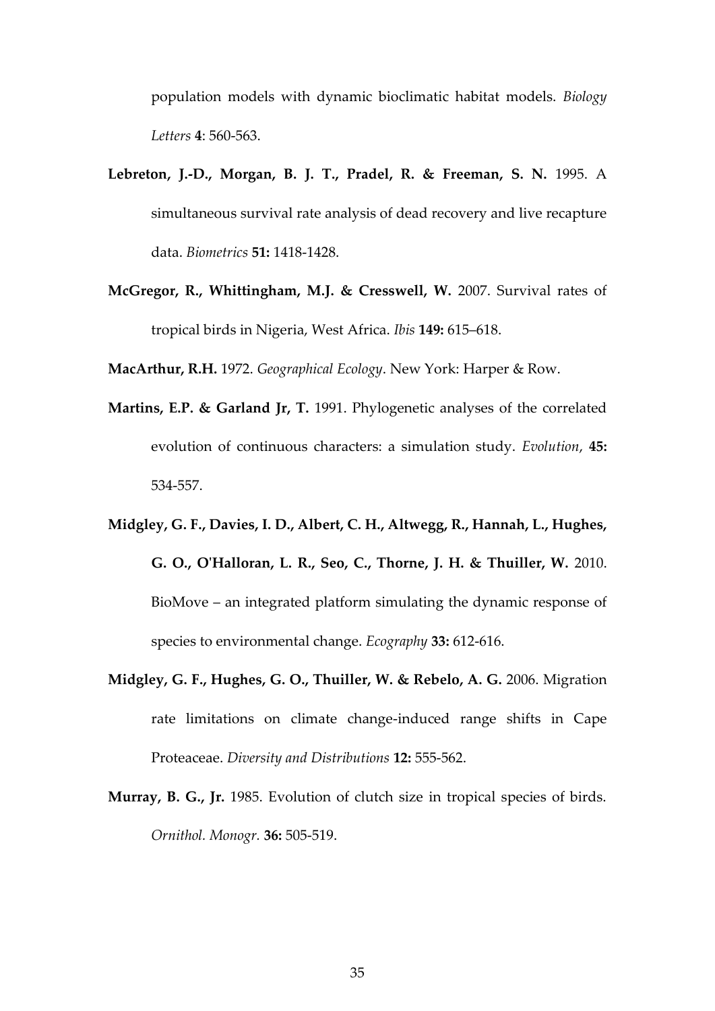population models with dynamic bioclimatic habitat models. *Biology Letters* **4**: 560-563.

- **Lebreton, J.-D., Morgan, B. J. T., Pradel, R. & Freeman, S. N.** 1995. A simultaneous survival rate analysis of dead recovery and live recapture data. *Biometrics* **51:** 1418-1428.
- **McGregor, R., Whittingham, M.J. & Cresswell, W.** 2007. Survival rates of tropical birds in Nigeria, West Africa. *Ibis* **149:** 615–618.

**MacArthur, R.H.** 1972. *Geographical Ecology*. New York: Harper & Row.

- **Martins, E.P. & Garland Jr, T.** 1991. Phylogenetic analyses of the correlated evolution of continuous characters: a simulation study. *Evolution*, **45:** 534-557.
- **Midgley, G. F., Davies, I. D., Albert, C. H., Altwegg, R., Hannah, L., Hughes, G. O., O'Halloran, L. R., Seo, C., Thorne, J. H. & Thuiller, W.** 2010. BioMove – an integrated platform simulating the dynamic response of species to environmental change. *Ecography* **33:** 612-616.
- **Midgley, G. F., Hughes, G. O., Thuiller, W. & Rebelo, A. G.** 2006. Migration rate limitations on climate change-induced range shifts in Cape Proteaceae. *Diversity and Distributions* **12:** 555-562.
- **Murray, B. G., Jr.** 1985. Evolution of clutch size in tropical species of birds. *Ornithol. Monogr.* **36:** 505-519.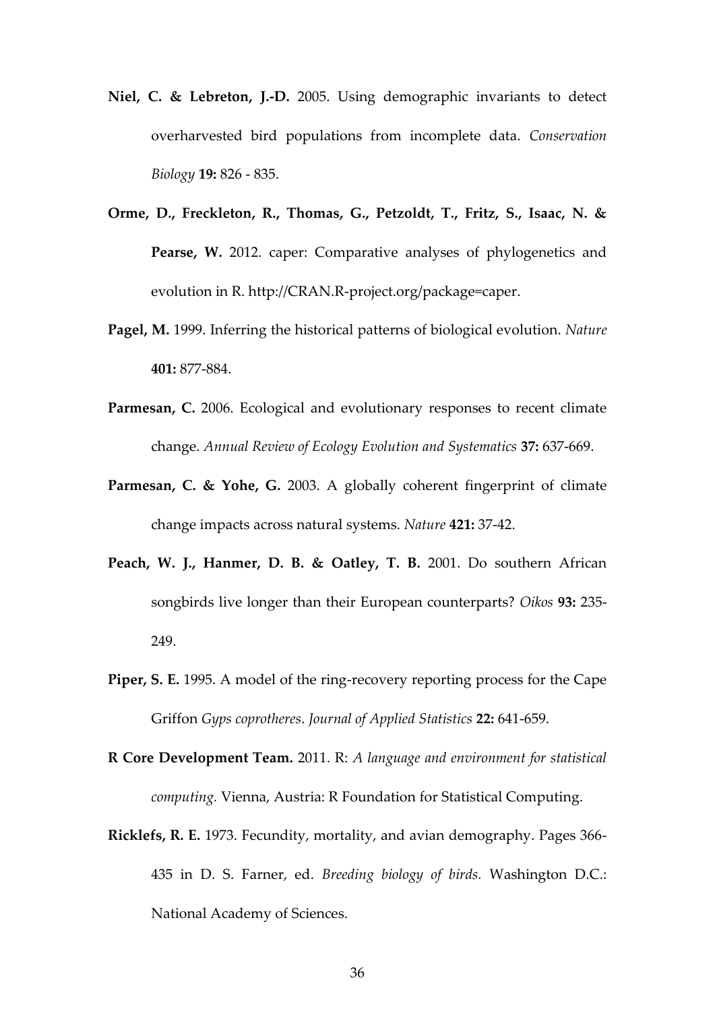- **Niel, C. & Lebreton, J.-D.** 2005. Using demographic invariants to detect overharvested bird populations from incomplete data. *Conservation Biology* **19:** 826 - 835.
- **Orme, D., Freckleton, R., Thomas, G., Petzoldt, T., Fritz, S., Isaac, N. & Pearse, W.** 2012. caper: Comparative analyses of phylogenetics and evolution in R. http://CRAN.R-project.org/package=caper.
- **Pagel, M.** 1999. Inferring the historical patterns of biological evolution. *Nature*  **401:** 877-884.
- Parmesan, C. 2006. Ecological and evolutionary responses to recent climate change. *Annual Review of Ecology Evolution and Systematics* **37:** 637-669.
- **Parmesan, C. & Yohe, G.** 2003. A globally coherent fingerprint of climate change impacts across natural systems. *Nature* **421:** 37-42.
- **Peach, W. J., Hanmer, D. B. & Oatley, T. B.** 2001. Do southern African songbirds live longer than their European counterparts? *Oikos* **93:** 235- 249.
- **Piper, S. E.** 1995. A model of the ring-recovery reporting process for the Cape Griffon *Gyps coprotheres*. *Journal of Applied Statistics* **22:** 641-659.
- **R Core Development Team.** 2011. R: *A language and environment for statistical computing.* Vienna, Austria: R Foundation for Statistical Computing.
- **Ricklefs, R. E.** 1973. Fecundity, mortality, and avian demography. Pages 366- 435 in D. S. Farner, ed. *Breeding biology of birds.* Washington D.C.: National Academy of Sciences.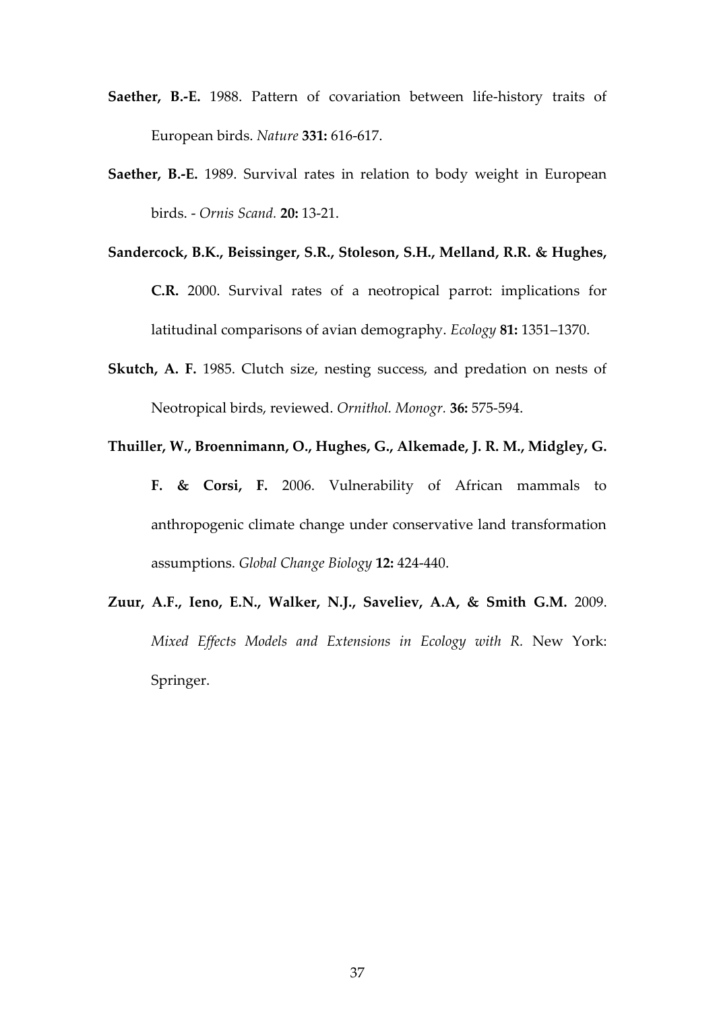- **Saether, B.-E.** 1988. Pattern of covariation between life-history traits of European birds. *Nature* **331:** 616-617.
- **Saether, B.-E.** 1989. Survival rates in relation to body weight in European birds. - *Ornis Scand.* **20:** 13-21.
- **Sandercock, B.K., Beissinger, S.R., Stoleson, S.H., Melland, R.R. & Hughes, C.R.** 2000. Survival rates of a neotropical parrot: implications for latitudinal comparisons of avian demography. *Ecology* **81:** 1351–1370.
- **Skutch, A. F.** 1985. Clutch size, nesting success, and predation on nests of Neotropical birds, reviewed. *Ornithol. Monogr.* **36:** 575-594.
- **Thuiller, W., Broennimann, O., Hughes, G., Alkemade, J. R. M., Midgley, G. F. & Corsi, F.** 2006. Vulnerability of African mammals to anthropogenic climate change under conservative land transformation

assumptions. *Global Change Biology* **12:** 424-440.

**Zuur, A.F., Ieno, E.N., Walker, N.J., Saveliev, A.A, & Smith G.M.** 2009. *Mixed Effects Models and Extensions in Ecology with R.* New York: Springer.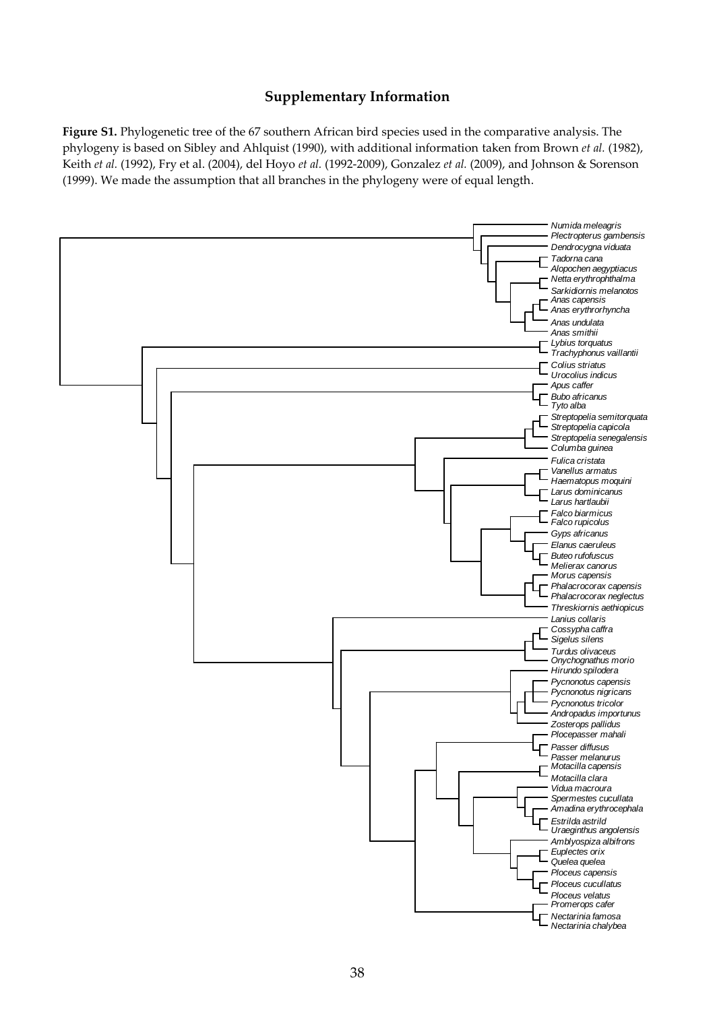# **Supplementary Information**

**Figure S1.** Phylogenetic tree of the 67 southern African bird species used in the comparative analysis. The phylogeny is based on Sibley and Ahlquist (1990), with additional information taken from Brown *et al.* (1982), Keith *et al.* (1992), Fry et al. (2004), del Hoyo *et al.* (1992-2009), Gonzalez *et al.* (2009), and Johnson & Sorenson (1999). We made the assumption that all branches in the phylogeny were of equal length.

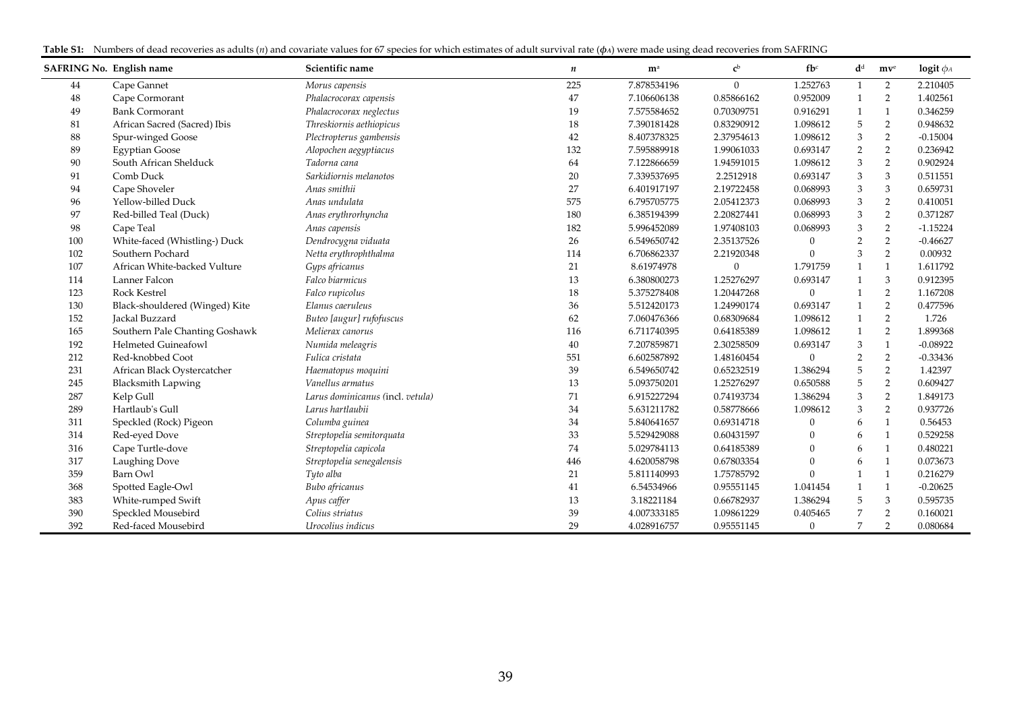|  | Table S1: Numbers of dead recoveries as adults (n) and covariate values for 67 species for which estimates of adult survival rate ( $\phi$ A) were made using dead recoveries from SAFRING |  |  |  |
|--|--------------------------------------------------------------------------------------------------------------------------------------------------------------------------------------------|--|--|--|
|--|--------------------------------------------------------------------------------------------------------------------------------------------------------------------------------------------|--|--|--|

| <b>SAFRING No. English name</b> |                                | Scientific name                  | n   | m <sup>a</sup> | c <sup>b</sup> | $f b$ <sup>c</sup> | $\mathbf{d}^{\text{d}}$   | mv <sup>e</sup> | logit $\phi_A$ |
|---------------------------------|--------------------------------|----------------------------------|-----|----------------|----------------|--------------------|---------------------------|-----------------|----------------|
| 44                              | Cape Gannet                    | Morus capensis                   | 225 | 7.878534196    | $\mathbf{0}$   | 1.252763           | 1                         | 2               | 2.210405       |
| 48                              | Cape Cormorant                 | Phalacrocorax capensis           | 47  | 7.106606138    | 0.85866162     | 0.952009           | $\mathbf{1}$              | 2               | 1.402561       |
| 49                              | <b>Bank Cormorant</b>          | Phalacrocorax neglectus          | 19  | 7.575584652    | 0.70309751     | 0.916291           | 1                         | $\mathbf{1}$    | 0.346259       |
| 81                              | African Sacred (Sacred) Ibis   | Threskiornis aethiopicus         | 18  | 7.390181428    | 0.83290912     | 1.098612           | 5                         | 2               | 0.948632       |
| 88                              | Spur-winged Goose              | Plectropterus gambensis          | 42  | 8.407378325    | 2.37954613     | 1.098612           | $\mathfrak{Z}$            | $\overline{2}$  | $-0.15004$     |
| 89                              | <b>Egyptian Goose</b>          | Alopochen aegyptiacus            | 132 | 7.595889918    | 1.99061033     | 0.693147           | $\sqrt{2}$                | $\overline{2}$  | 0.236942       |
| 90                              | South African Shelduck         | Tadorna cana                     | 64  | 7.122866659    | 1.94591015     | 1.098612           | $\mathfrak{Z}$            | $\overline{2}$  | 0.902924       |
| 91                              | Comb Duck                      | Sarkidiornis melanotos           | 20  | 7.339537695    | 2.2512918      | 0.693147           | $\ensuremath{\mathsf{3}}$ | 3               | 0.511551       |
| 94                              | Cape Shoveler                  | Anas smithii                     | 27  | 6.401917197    | 2.19722458     | 0.068993           | 3                         | 3               | 0.659731       |
| 96                              | Yellow-billed Duck             | Anas undulata                    | 575 | 6.795705775    | 2.05412373     | 0.068993           | 3                         | 2               | 0.410051       |
| 97                              | Red-billed Teal (Duck)         | Anas erythrorhyncha              | 180 | 6.385194399    | 2.20827441     | 0.068993           | 3                         | $\overline{2}$  | 0.371287       |
| 98                              | Cape Teal                      | Anas capensis                    | 182 | 5.996452089    | 1.97408103     | 0.068993           | 3                         | $\overline{2}$  | $-1.15224$     |
| 100                             | White-faced (Whistling-) Duck  | Dendrocygna viduata              | 26  | 6.549650742    | 2.35137526     | $\mathbf{0}$       | $\overline{2}$            | $\overline{2}$  | $-0.46627$     |
| 102                             | Southern Pochard               | Netta erythrophthalma            | 114 | 6.706862337    | 2.21920348     | $\Omega$           | 3                         | $\overline{2}$  | 0.00932        |
| 107                             | African White-backed Vulture   | Gyps africanus                   | 21  | 8.61974978     | $\mathbf{0}$   | 1.791759           | $\mathbf{1}$              | $\mathbf{1}$    | 1.611792       |
| 114                             | Lanner Falcon                  | Falco biarmicus                  | 13  | 6.380800273    | 1.25276297     | 0.693147           | $\mathbf{1}$              | 3               | 0.912395       |
| 123                             | <b>Rock Kestrel</b>            | Falco rupicolus                  | 18  | 5.375278408    | 1.20447268     | $\overline{0}$     | $\mathbf{1}$              | 2               | 1.167208       |
| 130                             | Black-shouldered (Winged) Kite | Elanus caeruleus                 | 36  | 5.512420173    | 1.24990174     | 0.693147           | $\mathbf{1}$              | 2               | 0.477596       |
| 152                             | Jackal Buzzard                 | Buteo [augur] rufofuscus         | 62  | 7.060476366    | 0.68309684     | 1.098612           | $\mathbf{1}$              | 2               | 1.726          |
| 165                             | Southern Pale Chanting Goshawk | Melierax canorus                 | 116 | 6.711740395    | 0.64185389     | 1.098612           | $\mathbf{1}$              | 2               | 1.899368       |
| 192                             | <b>Helmeted Guineafowl</b>     | Numida meleagris                 | 40  | 7.207859871    | 2.30258509     | 0.693147           | 3                         | 1               | $-0.08922$     |
| 212                             | Red-knobbed Coot               | Fulica cristata                  | 551 | 6.602587892    | 1.48160454     | $\overline{0}$     | $\overline{2}$            | $\overline{2}$  | $-0.33436$     |
| 231                             | African Black Oystercatcher    | Haematopus moquini               | 39  | 6.549650742    | 0.65232519     | 1.386294           | 5                         | 2               | 1.42397        |
| 245                             | <b>Blacksmith Lapwing</b>      | Vanellus armatus                 | 13  | 5.093750201    | 1.25276297     | 0.650588           | 5                         | 2               | 0.609427       |
| 287                             | Kelp Gull                      | Larus dominicanus (incl. vetula) | 71  | 6.915227294    | 0.74193734     | 1.386294           | 3                         | 2               | 1.849173       |
| 289                             | Hartlaub's Gull                | Larus hartlaubii                 | 34  | 5.631211782    | 0.58778666     | 1.098612           | 3                         | 2               | 0.937726       |
| 311                             | Speckled (Rock) Pigeon         | Columba guinea                   | 34  | 5.840641657    | 0.69314718     | $\mathbf{0}$       | 6                         | $\mathbf{1}$    | 0.56453        |
| 314                             | Red-eyed Dove                  | Streptopelia semitorquata        | 33  | 5.529429088    | 0.60431597     | $\Omega$           | 6                         | $\mathbf{1}$    | 0.529258       |
| 316                             | Cape Turtle-dove               | Streptopelia capicola            | 74  | 5.029784113    | 0.64185389     | $\theta$           | 6                         | $\mathbf{1}$    | 0.480221       |
| 317                             | Laughing Dove                  | Streptopelia senegalensis        | 446 | 4.620058798    | 0.67803354     | $\Omega$           | 6                         | $\mathbf{1}$    | 0.073673       |
| 359                             | Barn Owl                       | Tyto alba                        | 21  | 5.811140993    | 1.75785792     | $\Omega$           | $\mathbf{1}$              | $\mathbf{1}$    | 0.216279       |
| 368                             | Spotted Eagle-Owl              | Bubo africanus                   | 41  | 6.54534966     | 0.95551145     | 1.041454           | $\mathbf{1}$              | $\mathbf{1}$    | $-0.20625$     |
| 383                             | White-rumped Swift             | Apus caffer                      | 13  | 3.18221184     | 0.66782937     | 1.386294           | 5                         | 3               | 0.595735       |
| 390                             | Speckled Mousebird             | Colius striatus                  | 39  | 4.007333185    | 1.09861229     | 0.405465           | $\overline{7}$            | $\overline{2}$  | 0.160021       |
| 392                             | Red-faced Mousebird            | Urocolius indicus                | 29  | 4.028916757    | 0.95551145     | $\boldsymbol{0}$   | $\overline{7}$            | 2               | 0.080684       |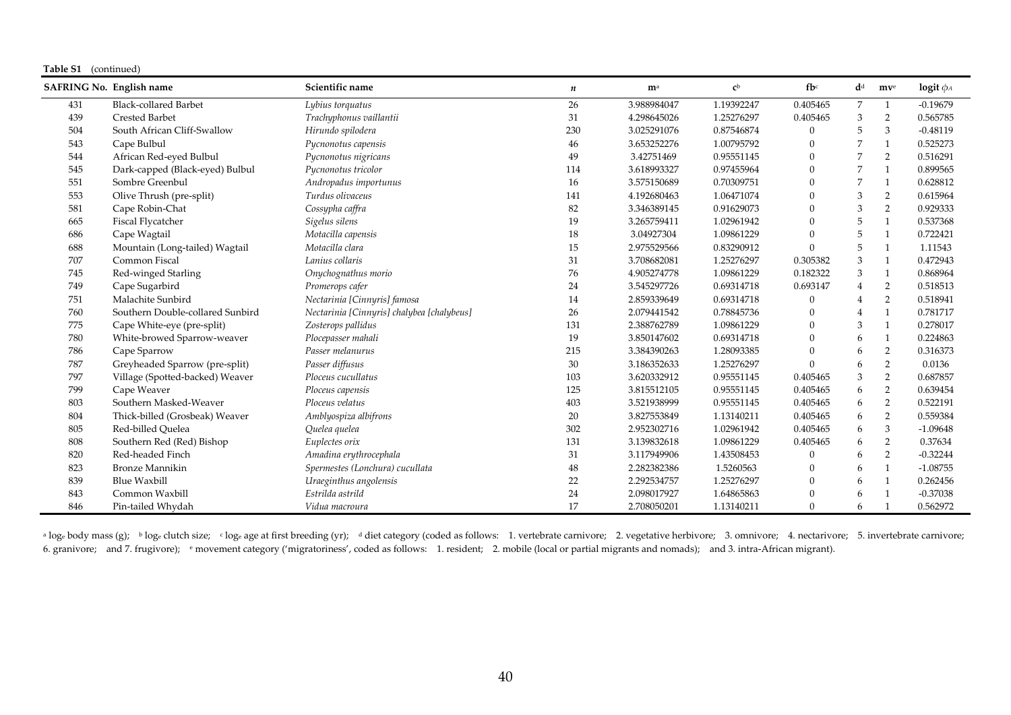#### **Table S1** (continued)

|     | <b>SAFRING No. English name</b>  | Scientific name                            | $\boldsymbol{n}$ | m <sup>a</sup> | c <sub>b</sub> | $f b$ <sup>c</sup> | $\mathbf{d}^{\text{d}}$ | mv <sup>e</sup> | logit $\phi_A$ |
|-----|----------------------------------|--------------------------------------------|------------------|----------------|----------------|--------------------|-------------------------|-----------------|----------------|
| 431 | <b>Black-collared Barbet</b>     | Lybius torquatus                           | 26               | 3.988984047    | 1.19392247     | 0.405465           | $\overline{7}$          | $\mathbf{1}$    | $-0.19679$     |
| 439 | <b>Crested Barbet</b>            | Trachyphonus vaillantii                    | 31               | 4.298645026    | 1.25276297     | 0.405465           | 3                       | 2               | 0.565785       |
| 504 | South African Cliff-Swallow      | Hirundo spilodera                          | 230              | 3.025291076    | 0.87546874     | 0                  | .5                      | 3               | $-0.48119$     |
| 543 | Cape Bulbul                      | Pycnonotus capensis                        | 46               | 3.653252276    | 1.00795792     | 0                  |                         | $\mathbf{1}$    | 0.525273       |
| 544 | African Red-eyed Bulbul          | Pycnonotus nigricans                       | 49               | 3.42751469     | 0.95551145     | $\theta$           |                         | 2               | 0.516291       |
| 545 | Dark-capped (Black-eyed) Bulbul  | Pycnonotus tricolor                        | 114              | 3.618993327    | 0.97455964     | $\theta$           |                         | $\mathbf{1}$    | 0.899565       |
| 551 | Sombre Greenbul                  | Andropadus importunus                      | 16               | 3.575150689    | 0.70309751     | $\theta$           |                         | $\mathbf{1}$    | 0.628812       |
| 553 | Olive Thrush (pre-split)         | Turdus olivaceus                           | 141              | 4.192680463    | 1.06471074     | 0                  | 3                       | 2               | 0.615964       |
| 581 | Cape Robin-Chat                  | Cossypha caffra                            | 82               | 3.346389145    | 0.91629073     | 0                  | 3                       | 2               | 0.929333       |
| 665 | Fiscal Flycatcher                | Sigelus silens                             | 19               | 3.265759411    | 1.02961942     | $\theta$           | 5                       | $\mathbf{1}$    | 0.537368       |
| 686 | Cape Wagtail                     | Motacilla capensis                         | 18               | 3.04927304     | 1.09861229     | $\theta$           | 5                       | $\mathbf{1}$    | 0.722421       |
| 688 | Mountain (Long-tailed) Wagtail   | Motacilla clara                            | 15               | 2.975529566    | 0.83290912     | $\theta$           | 5                       | $\mathbf{1}$    | 1.11543        |
| 707 | Common Fiscal                    | Lanius collaris                            | 31               | 3.708682081    | 1.25276297     | 0.305382           | 3                       | $\mathbf{1}$    | 0.472943       |
| 745 | Red-winged Starling              | Onychognathus morio                        | 76               | 4.905274778    | 1.09861229     | 0.182322           | 3                       | $\mathbf{1}$    | 0.868964       |
| 749 | Cape Sugarbird                   | Promerops cafer                            | 24               | 3.545297726    | 0.69314718     | 0.693147           | $\overline{4}$          | 2               | 0.518513       |
| 751 | Malachite Sunbird                | Nectarinia [Cinnyris] famosa               | 14               | 2.859339649    | 0.69314718     | 0                  |                         | $\overline{2}$  | 0.518941       |
| 760 | Southern Double-collared Sunbird | Nectarinia [Cinnyris] chalybea [chalybeus] | 26               | 2.079441542    | 0.78845736     | 0                  |                         | $\mathbf{1}$    | 0.781717       |
| 775 | Cape White-eye (pre-split)       | Zosterops pallidus                         | 131              | 2.388762789    | 1.09861229     | 0                  | 3                       | $\mathbf{1}$    | 0.278017       |
| 780 | White-browed Sparrow-weaver      | Plocepasser mahali                         | 19               | 3.850147602    | 0.69314718     | $\theta$           | 6                       | $\mathbf{1}$    | 0.224863       |
| 786 | Cape Sparrow                     | Passer melanurus                           | 215              | 3.384390263    | 1.28093385     | 0                  | 6                       | $\overline{2}$  | 0.316373       |
| 787 | Greyheaded Sparrow (pre-split)   | Passer diffusus                            | 30               | 3.186352633    | 1.25276297     | $\Omega$           | 6                       | $\overline{2}$  | 0.0136         |
| 797 | Village (Spotted-backed) Weaver  | Ploceus cucullatus                         | 103              | 3.620332912    | 0.95551145     | 0.405465           | 3                       | 2               | 0.687857       |
| 799 | Cape Weaver                      | Ploceus capensis                           | 125              | 3.815512105    | 0.95551145     | 0.405465           | 6                       | $\overline{2}$  | 0.639454       |
| 803 | Southern Masked-Weaver           | Ploceus velatus                            | 403              | 3.521938999    | 0.95551145     | 0.405465           | 6                       | $\overline{2}$  | 0.522191       |
| 804 | Thick-billed (Grosbeak) Weaver   | Amblyospiza albifrons                      | 20               | 3.827553849    | 1.13140211     | 0.405465           | 6                       | $\overline{2}$  | 0.559384       |
| 805 | Red-billed Quelea                | Quelea quelea                              | 302              | 2.952302716    | 1.02961942     | 0.405465           | 6                       | 3               | $-1.09648$     |
| 808 | Southern Red (Red) Bishop        | Euplectes orix                             | 131              | 3.139832618    | 1.09861229     | 0.405465           | 6                       | $\overline{2}$  | 0.37634        |
| 820 | Red-headed Finch                 | Amadina erythrocephala                     | 31               | 3.117949906    | 1.43508453     |                    | 6                       | $\overline{2}$  | $-0.32244$     |
| 823 | <b>Bronze Mannikin</b>           | Spermestes (Lonchura) cucullata            | 48               | 2.282382386    | 1.5260563      | 0                  | 6                       | $\mathbf{1}$    | $-1.08755$     |
| 839 | <b>Blue Waxbill</b>              | Uraeginthus angolensis                     | 22               | 2.292534757    | 1.25276297     | $\theta$           | 6                       | $\mathbf{1}$    | 0.262456       |
| 843 | Common Waxbill                   | Estrilda astrild                           | 24               | 2.098017927    | 1.64865863     | 0                  | 6                       |                 | $-0.37038$     |
| 846 | Pin-tailed Whydah                | Vidua macroura                             | 17               | 2.708050201    | 1.13140211     | $\Omega$           | 6                       |                 | 0.562972       |

<sup>a</sup> log<sub>e</sub> body mass (g); bloge clutch size; cloge age at first breeding (yr); diet category (coded as follows: 1. vertebrate carnivore; 2. vegetative herbivore; 3. omnivore; 4. nectarivore; 5. invertebrate carnivore; 6. granivore; and 7. frugivore); <sup>e</sup> movement category ('migratoriness', coded as follows: 1. resident; 2. mobile (local or partial migrants and nomads); and 3. intra-African migrant).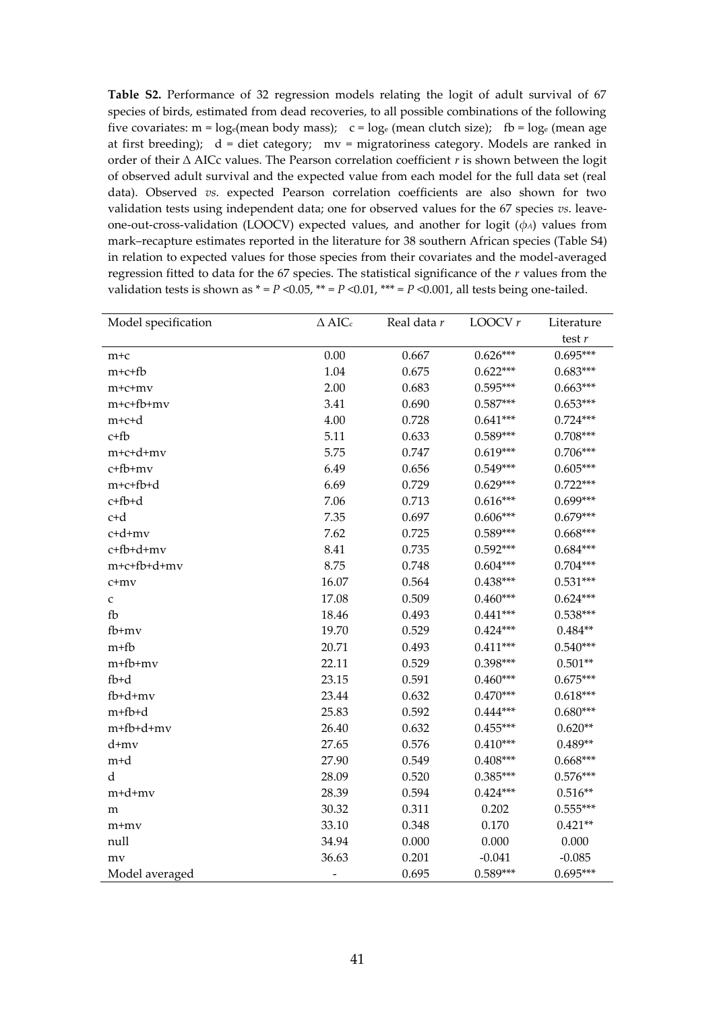**Table S2.** Performance of 32 regression models relating the logit of adult survival of 67 species of birds, estimated from dead recoveries, to all possible combinations of the following five covariates:  $m = log_e(mean body mass)$ ;  $c = log_e(mean clutch size)$ ;  $fb = log_e(mean age)$ at first breeding);  $d =$  diet category;  $mv =$  migratoriness category. Models are ranked in order of their ∆ AICc values. The Pearson correlation coefficient *r* is shown between the logit of observed adult survival and the expected value from each model for the full data set (real data). Observed *vs*. expected Pearson correlation coefficients are also shown for two validation tests using independent data; one for observed values for the 67 species *vs*. leaveone-out-cross-validation (LOOCV) expected values, and another for logit (*φA*) values from mark–recapture estimates reported in the literature for 38 southern African species (Table S4) in relation to expected values for those species from their covariates and the model-averaged regression fitted to data for the 67 species. The statistical significance of the *r* values from the validation tests is shown as  $* = P < 0.05$ ,  $** = P < 0.01$ ,  $** = P < 0.001$ , all tests being one-tailed.

| Model specification | $\Delta$ AIC <sub>c</sub> | Real data r | LOOCV $r$  |            |
|---------------------|---------------------------|-------------|------------|------------|
|                     |                           |             |            | test $r$   |
| $m+c$               | 0.00                      | 0.667       | $0.626***$ | $0.695***$ |
| $m+c+fb$            | 1.04                      | 0.675       | $0.622***$ | $0.683***$ |
| $m+c+mv$            | 2.00                      | 0.683       | $0.595***$ | $0.663***$ |
| m+c+fb+mv           | 3.41                      | 0.690       | $0.587***$ | $0.653***$ |
| m+c+d               | 4.00                      | 0.728       | $0.641***$ | $0.724***$ |
| $c + fb$            | 5.11                      | 0.633       | $0.589***$ | $0.708***$ |
| $m+c+d+mv$          | 5.75                      | 0.747       | $0.619***$ | $0.706***$ |
| c+fb+mv             | 6.49                      | 0.656       | $0.549***$ | $0.605***$ |
| m+c+fb+d            | 6.69                      | 0.729       | $0.629***$ | $0.722***$ |
| c+fb+d              | 7.06                      | 0.713       | $0.616***$ | 0.699***   |
| c+d                 | 7.35                      | 0.697       | $0.606***$ | $0.679***$ |
| c+d+mv              | 7.62                      | 0.725       | $0.589***$ | $0.668***$ |
| c+fb+d+mv           | 8.41                      | 0.735       | $0.592***$ | $0.684***$ |
| m+c+fb+d+mv         | 8.75                      | 0.748       | $0.604***$ | $0.704***$ |
| c+mv                | 16.07                     | 0.564       | $0.438***$ | $0.531***$ |
| $\mathsf{C}$        | 17.08                     | 0.509       | $0.460***$ | $0.624***$ |
| fb                  | 18.46                     | 0.493       | $0.441***$ | $0.538***$ |
| $fb+mv$             | 19.70                     | 0.529       | $0.424***$ | $0.484**$  |
| $m+fb$              | 20.71                     | 0.493       | $0.411***$ | $0.540***$ |
| m+fb+mv             | 22.11                     | 0.529       | 0.398***   | $0.501**$  |
| $fb+d$              | 23.15                     | 0.591       | $0.460***$ | $0.675***$ |
| $fb+ d+mv$          | 23.44                     | 0.632       | $0.470***$ | $0.618***$ |
| m+fb+d              | 25.83                     | 0.592       | $0.444***$ | $0.680***$ |
| m+fb+d+mv           | 26.40                     | 0.632       | $0.455***$ | $0.620**$  |
| d+mv                | 27.65                     | 0.576       | $0.410***$ | $0.489**$  |
| m+d                 | 27.90                     | 0.549       | $0.408***$ | $0.668***$ |
| d                   | 28.09                     | 0.520       | $0.385***$ | $0.576***$ |
| m+d+mv              | 28.39                     | 0.594       | $0.424***$ | $0.516**$  |
| m                   | 30.32                     | 0.311       | 0.202      | $0.555***$ |
| $m+mv$              | 33.10                     | 0.348       | 0.170      | $0.421**$  |
| null                | 34.94                     | 0.000       | 0.000      | 0.000      |
| mv                  | 36.63                     | 0.201       | $-0.041$   | $-0.085$   |
| Model averaged      |                           | 0.695       | $0.589***$ | $0.695***$ |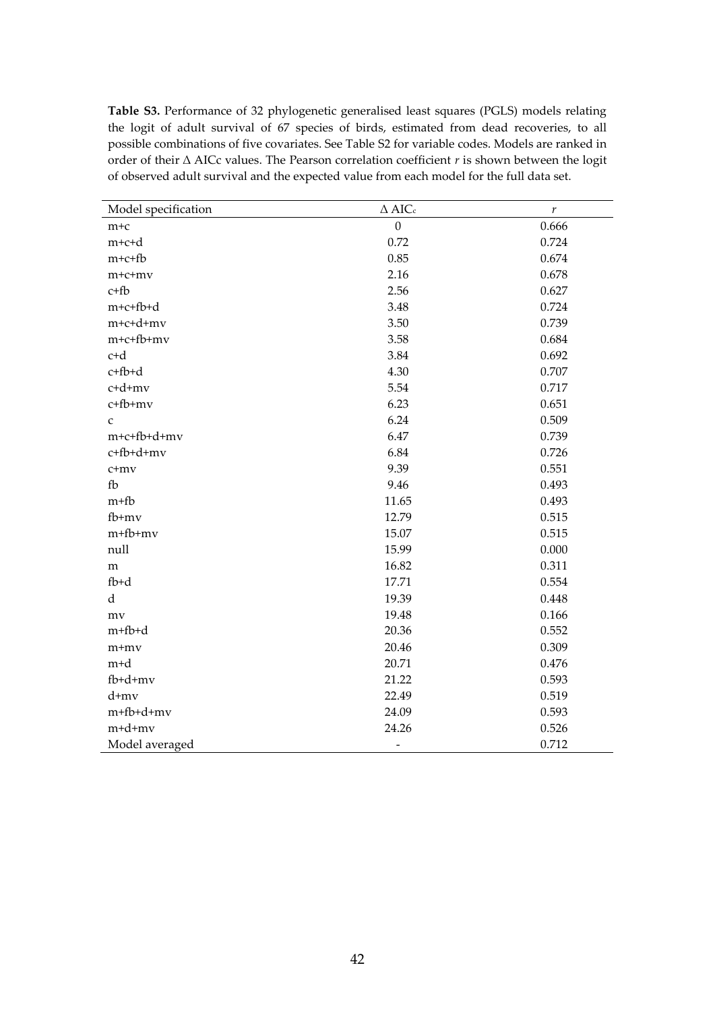**Table S3.** Performance of 32 phylogenetic generalised least squares (PGLS) models relating the logit of adult survival of 67 species of birds, estimated from dead recoveries, to all possible combinations of five covariates. See Table S2 for variable codes. Models are ranked in order of their ∆ AICc values. The Pearson correlation coefficient *r* is shown between the logit of observed adult survival and the expected value from each model for the full data set.

| Model specification | $\Delta$ AIC.            | $\boldsymbol{r}$ |
|---------------------|--------------------------|------------------|
| $m+c$               | $\boldsymbol{0}$         | 0.666            |
| m+c+d               | 0.72                     | 0.724            |
| $m+c+fb$            | 0.85                     | 0.674            |
| $m+c+mv$            | 2.16                     | 0.678            |
| $c+fb$              | 2.56                     | 0.627            |
| m+c+fb+d            | 3.48                     | 0.724            |
| m+c+d+mv            | 3.50                     | 0.739            |
| $m+c+fb+mv$         | 3.58                     | 0.684            |
| c+d                 | 3.84                     | 0.692            |
| c+fb+d              | 4.30                     | 0.707            |
| c+d+mv              | 5.54                     | 0.717            |
| c+fb+mv             | 6.23                     | 0.651            |
| $\mathsf C$         | 6.24                     | 0.509            |
| m+c+fb+d+mv         | 6.47                     | 0.739            |
| c+fb+d+mv           | 6.84                     | 0.726            |
| $c+mv$              | 9.39                     | 0.551            |
| fb                  | 9.46                     | 0.493            |
| $m+fb$              | 11.65                    | 0.493            |
| fb+mv               | 12.79                    | 0.515            |
| m+fb+mv             | 15.07                    | 0.515            |
| null                | 15.99                    | 0.000            |
| ${\bf m}$           | 16.82                    | 0.311            |
| $fb+d$              | 17.71                    | 0.554            |
| $\rm d$             | 19.39                    | 0.448            |
| mv                  | 19.48                    | 0.166            |
| m+fb+d              | 20.36                    | 0.552            |
| m+mv                | 20.46                    | 0.309            |
| m <sup>+</sup> d    | 20.71                    | 0.476            |
| fb+d+mv             | 21.22                    | 0.593            |
| d+mv                | 22.49                    | 0.519            |
| m+fb+d+mv           | 24.09                    | 0.593            |
| m+d+mv              | 24.26                    | 0.526            |
| Model averaged      | $\overline{\phantom{0}}$ | 0.712            |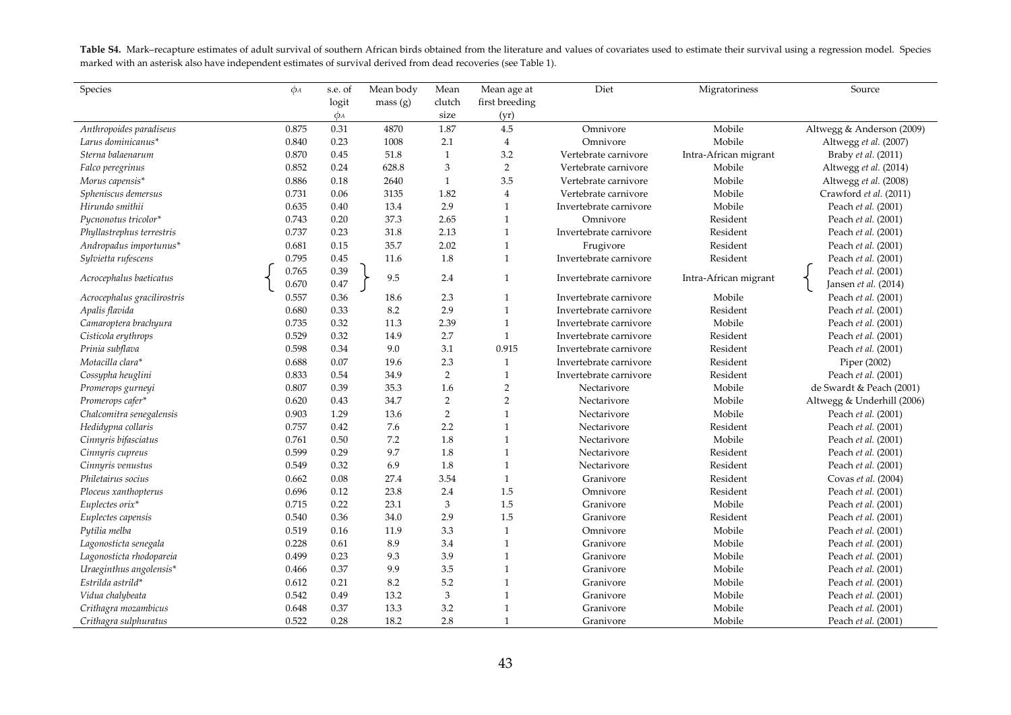Table S4. Mark–recapture estimates of adult survival of southern African birds obtained from the literature and values of covariates used to estimate their survival using a regression model. Species marked with an asterisk also have independent estimates of survival derived from dead recoveries (see Table 1).

| Species                     | $\phi_A$ | s.e. of  | Mean body | Mean           | Mean age at    | Diet                   | Migratoriness         | Source                     |
|-----------------------------|----------|----------|-----------|----------------|----------------|------------------------|-----------------------|----------------------------|
|                             |          | logit    | mass(g)   | clutch         | first breeding |                        |                       |                            |
|                             |          | $\phi_A$ |           | size           | (yr)           |                        |                       |                            |
| Anthropoides paradiseus     | 0.875    | 0.31     | 4870      | 1.87           | 4.5            | Omnivore               | Mobile                | Altwegg & Anderson (2009)  |
| Larus dominicanus*          | 0.840    | 0.23     | 1008      | 2.1            | $\overline{4}$ | Omnivore               | Mobile                | Altwegg et al. (2007)      |
| Sterna balaenarum           | 0.870    | 0.45     | 51.8      | $\mathbf{1}$   | 3.2            | Vertebrate carnivore   | Intra-African migrant | Braby et al. (2011)        |
| Falco peregrinus            | 0.852    | 0.24     | 628.8     | 3              | $\sqrt{2}$     | Vertebrate carnivore   | Mobile                | Altwegg et al. (2014)      |
| Morus capensis*             | 0.886    | 0.18     | 2640      | $\mathbf{1}$   | 3.5            | Vertebrate carnivore   | Mobile                | Altwegg et al. (2008)      |
| Spheniscus demersus         | 0.731    | 0.06     | 3135      | 1.82           | $\overline{4}$ | Vertebrate carnivore   | Mobile                | Crawford et al. (2011)     |
| Hirundo smithii             | 0.635    | 0.40     | 13.4      | 2.9            | $\mathbf{1}$   | Invertebrate carnivore | Mobile                | Peach et al. (2001)        |
| Pucnonotus tricolor*        | 0.743    | 0.20     | 37.3      | 2.65           | $\mathbf{1}$   | Omnivore               | Resident              | Peach et al. (2001)        |
| Phyllastrephus terrestris   | 0.737    | 0.23     | 31.8      | 2.13           | $\mathbf{1}$   | Invertebrate carnivore | Resident              | Peach et al. (2001)        |
| Andropadus importunus*      | 0.681    | 0.15     | 35.7      | 2.02           | $\mathbf{1}$   | Frugivore              | Resident              | Peach et al. (2001)        |
| Sylvietta rufescens         | 0.795    | 0.45     | 11.6      | 1.8            | $\mathbf{1}$   | Invertebrate carnivore | Resident              | Peach et al. (2001)        |
|                             | 0.765    | 0.39     | 9.5       | 2.4            | 1              |                        |                       | Peach et al. (2001)        |
| Acrocephalus baeticatus     | 0.670    | 0.47     |           |                |                | Invertebrate carnivore | Intra-African migrant | Jansen et al. (2014)       |
| Acrocephalus gracilirostris | 0.557    | 0.36     | 18.6      | 2.3            | $\mathbf{1}$   | Invertebrate carnivore | Mobile                | Peach et al. (2001)        |
| Apalis flavida              | 0.680    | 0.33     | 8.2       | 2.9            | $\mathbf{1}$   | Invertebrate carnivore | Resident              | Peach et al. (2001)        |
| Camaroptera brachyura       | 0.735    | 0.32     | 11.3      | 2.39           | $\mathbf{1}$   | Invertebrate carnivore | Mobile                | Peach et al. (2001)        |
| Cisticola erythrops         | 0.529    | 0.32     | 14.9      | 2.7            | $\mathbf{1}$   | Invertebrate carnivore | Resident              | Peach et al. (2001)        |
| Prinia subflava             | 0.598    | 0.34     | 9.0       | 3.1            | 0.915          | Invertebrate carnivore | Resident              | Peach et al. (2001)        |
| Motacilla clara*            | 0.688    | 0.07     | 19.6      | 2.3            | $\mathbf{1}$   | Invertebrate carnivore | Resident              | Piper (2002)               |
| Cossypha heuglini           | 0.833    | 0.54     | 34.9      | $\sqrt{2}$     | $\mathbf{1}$   | Invertebrate carnivore | Resident              | Peach et al. (2001)        |
| Promerops gurneyi           | 0.807    | 0.39     | 35.3      | 1.6            | $\overline{2}$ | Nectarivore            | Mobile                | de Swardt & Peach (2001)   |
| Promerops cafer*            | 0.620    | 0.43     | 34.7      | $\sqrt{2}$     | $\overline{2}$ | Nectarivore            | Mobile                | Altwegg & Underhill (2006) |
| Chalcomitra senegalensis    | 0.903    | 1.29     | 13.6      | $\overline{2}$ | 1              | Nectarivore            | Mobile                | Peach et al. (2001)        |
| Hedidypna collaris          | 0.757    | 0.42     | 7.6       | 2.2            | $\mathbf{1}$   | Nectarivore            | Resident              | Peach et al. (2001)        |
| Cinnyris bifasciatus        | 0.761    | 0.50     | 7.2       | 1.8            | $\mathbf{1}$   | Nectarivore            | Mobile                | Peach et al. (2001)        |
| Cinnyris cupreus            | 0.599    | 0.29     | 9.7       | 1.8            | $\mathbf{1}$   | Nectarivore            | Resident              | Peach et al. (2001)        |
| Cinnyris venustus           | 0.549    | 0.32     | 6.9       | 1.8            | $\mathbf{1}$   | Nectarivore            | Resident              | Peach et al. (2001)        |
| Philetairus socius          | 0.662    | 0.08     | 27.4      | 3.54           | $\mathbf{1}$   | Granivore              | Resident              | Covas et al. (2004)        |
| Ploceus xanthopterus        | 0.696    | 0.12     | 23.8      | 2.4            | 1.5            | Omnivore               | Resident              | Peach et al. (2001)        |
| Euplectes orix*             | 0.715    | 0.22     | 23.1      | 3              | 1.5            | Granivore              | Mobile                | Peach et al. (2001)        |
| Euplectes capensis          | 0.540    | 0.36     | 34.0      | 2.9            | 1.5            | Granivore              | Resident              | Peach et al. (2001)        |
| Pytilia melba               | 0.519    | 0.16     | 11.9      | 3.3            | $\mathbf{1}$   | Omnivore               | Mobile                | Peach et al. (2001)        |
| Lagonosticta senegala       | 0.228    | 0.61     | 8.9       | 3.4            | $\mathbf{1}$   | Granivore              | Mobile                | Peach et al. (2001)        |
| Lagonosticta rhodopareia    | 0.499    | 0.23     | 9.3       | 3.9            | $\mathbf{1}$   | Granivore              | Mobile                | Peach et al. (2001)        |
| Uraeginthus angolensis*     | 0.466    | 0.37     | 9.9       | 3.5            | $\mathbf{1}$   | Granivore              | Mobile                | Peach et al. (2001)        |
| Estrilda astrild*           | 0.612    | 0.21     | 8.2       | 5.2            | $\mathbf{1}$   | Granivore              | Mobile                | Peach et al. (2001)        |
| Vidua chalybeata            | 0.542    | 0.49     | 13.2      | $\mathfrak{Z}$ | 1              | Granivore              | Mobile                | Peach et al. (2001)        |
| Crithagra mozambicus        | 0.648    | 0.37     | 13.3      | 3.2            | $\mathbf{1}$   | Granivore              | Mobile                | Peach et al. (2001)        |
| Crithagra sulphuratus       | 0.522    | 0.28     | 18.2      | 2.8            | $\mathbf{1}$   | Granivore              | Mobile                | Peach et al. (2001)        |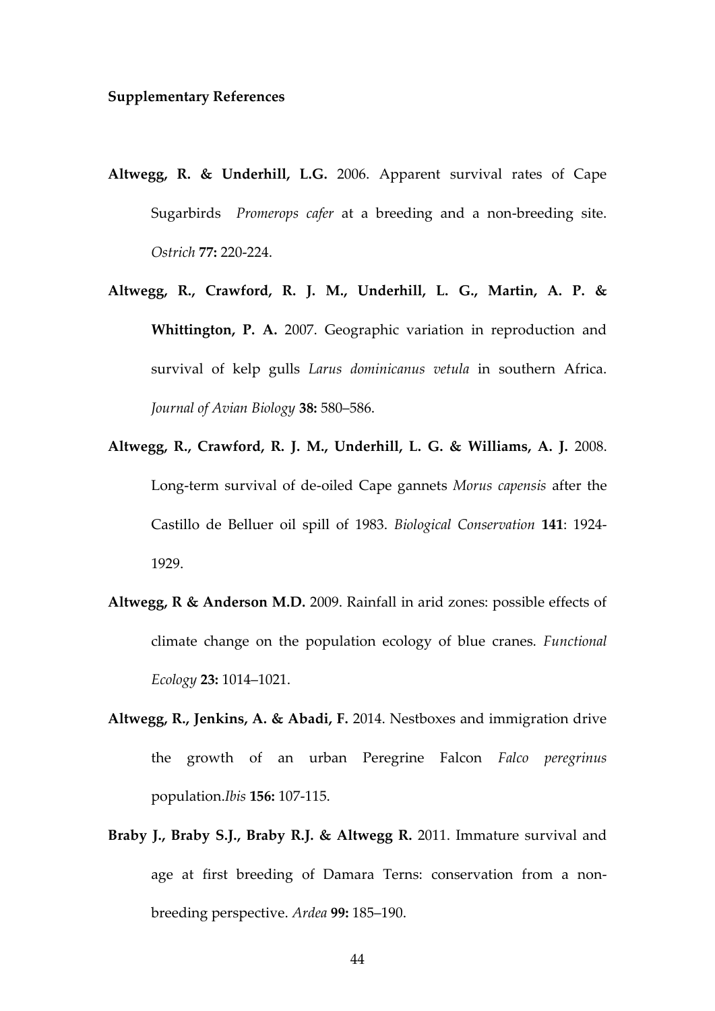- **Altwegg, R. & Underhill, L.G.** 2006. Apparent survival rates of Cape Sugarbirds *Promerops cafer* at a breeding and a non-breeding site. *Ostrich* **77:** 220-224.
- **Altwegg, R., Crawford, R. J. M., Underhill, L. G., Martin, A. P. & Whittington, P. A.** 2007. Geographic variation in reproduction and survival of kelp gulls *Larus dominicanus vetula* in southern Africa. *Journal of Avian Biology* **38:** 580–586.
- **Altwegg, R., Crawford, R. J. M., Underhill, L. G. & Williams, A. J.** 2008. Long-term survival of de-oiled Cape gannets *Morus capensis* after the Castillo de Belluer oil spill of 1983. *Biological Conservation* **141**: 1924- 1929.
- **Altwegg, R & Anderson M.D.** 2009. Rainfall in arid zones: possible effects of climate change on the population ecology of blue cranes. *Functional Ecology* **23:** 1014–1021.
- **Altwegg, R., Jenkins, A. & Abadi, F.** 2014. Nestboxes and immigration drive the growth of an urban Peregrine Falcon *Falco peregrinus* population.*Ibis* **156:** 107-115.
- **Braby J., Braby S.J., Braby R.J. & Altwegg R.** 2011. Immature survival and age at first breeding of Damara Terns: conservation from a nonbreeding perspective. *Ardea* **99:** 185–190.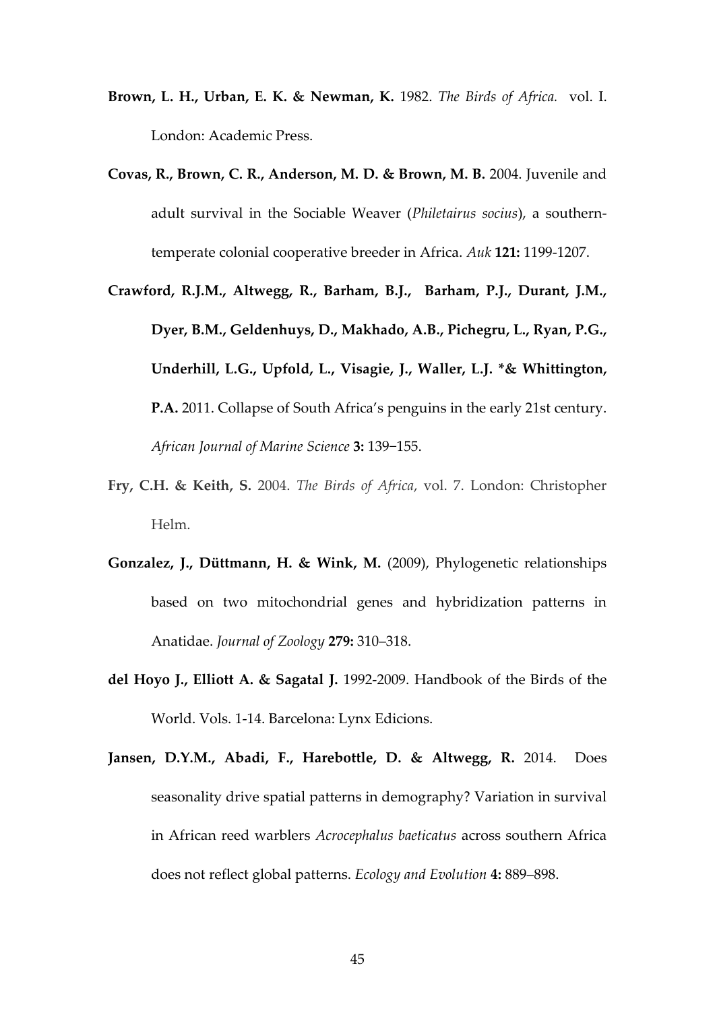- **Brown, L. H., Urban, E. K. & Newman, K.** 1982. *The Birds of Africa.* vol. I. London: Academic Press.
- **Covas, R., Brown, C. R., Anderson, M. D. & Brown, M. B.** 2004. Juvenile and adult survival in the Sociable Weaver (*Philetairus socius*), a southerntemperate colonial cooperative breeder in Africa. *Auk* **121:** 1199-1207.
- **Crawford, R.J.M., Altwegg, R., Barham, B.J., Barham, P.J., Durant, J.M., Dyer, B.M., Geldenhuys, D., Makhado, A.B., Pichegru, L., Ryan, P.G., Underhill, L.G., Upfold, L., Visagie, J., Waller, L.J. \*& Whittington, P.A.** 2011. Collapse of South Africa's penguins in the early 21st century. *African Journal of Marine Science* **3:** 139−155.
- **Fry, C.H. & Keith, S.** 2004. *The Birds of Africa*, vol. 7. London: Christopher Helm.
- **Gonzalez, J., Düttmann, H. & Wink, M.** (2009), Phylogenetic relationships based on two mitochondrial genes and hybridization patterns in Anatidae. *Journal of Zoology* **279:** 310–318.
- **del Hoyo J., Elliott A. & Sagatal J.** 1992-2009. Handbook of the Birds of the World. Vols. 1-14. Barcelona: Lynx Edicions.
- **Jansen, D.Y.M., Abadi, F., Harebottle, D. & Altwegg, R.** 2014. Does seasonality drive spatial patterns in demography? Variation in survival in African reed warblers *Acrocephalus baeticatus* across southern Africa does not reflect global patterns. *Ecology and Evolution* **4:** 889–898.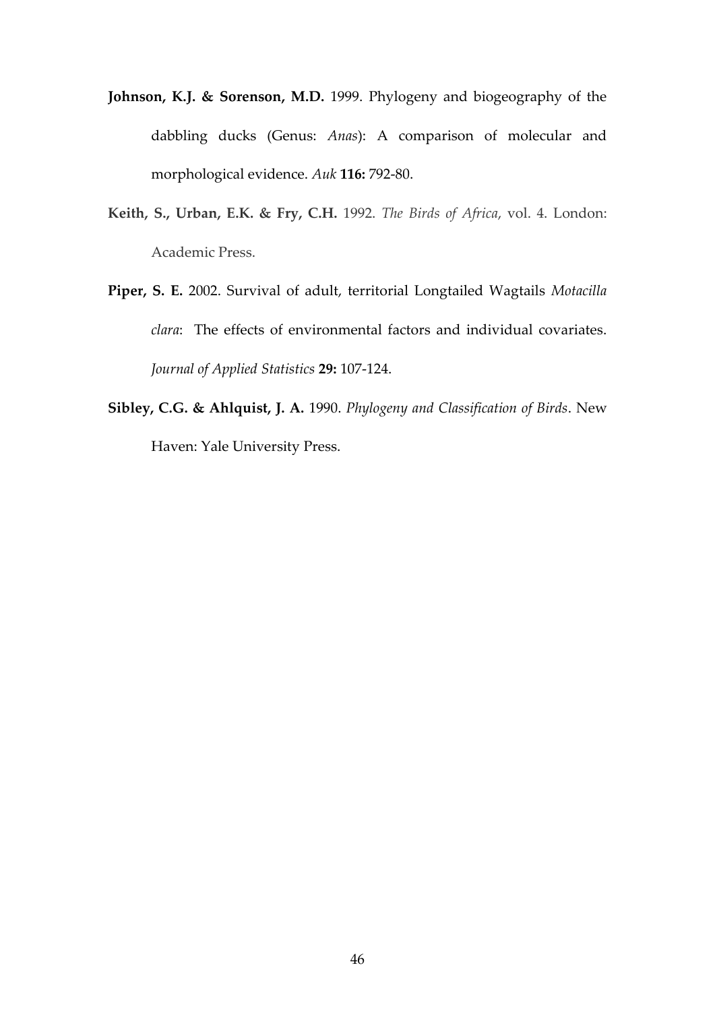- **Johnson, K.J. & Sorenson, M.D.** 1999. Phylogeny and biogeography of the dabbling ducks (Genus: *Anas*): A comparison of molecular and morphological evidence. *Auk* **116:** 792-80.
- **Keith, S., Urban, E.K. & Fry, C.H.** 1992. *The Birds of Africa*, vol. 4. London: Academic Press.
- **Piper, S. E.** 2002. Survival of adult, territorial Longtailed Wagtails *Motacilla clara*: The effects of environmental factors and individual covariates. *Journal of Applied Statistics* **29:** 107-124.
- **Sibley, C.G. & Ahlquist, J. A.** 1990. *Phylogeny and Classification of Birds*. New Haven: Yale University Press.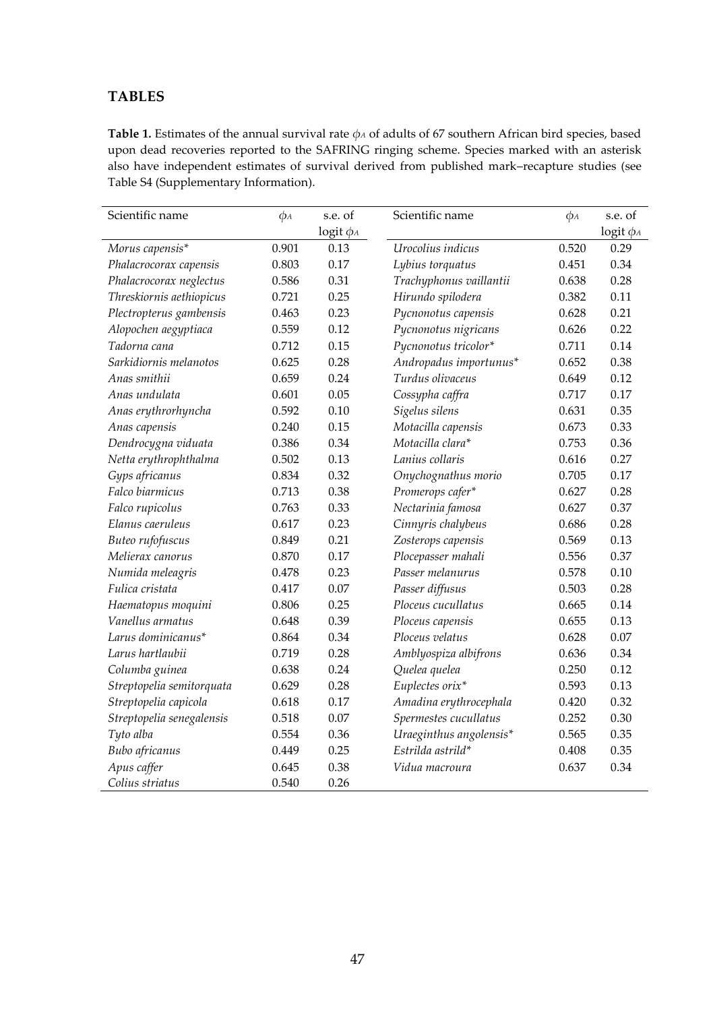# **TABLES**

**Table 1.** Estimates of the annual survival rate *φ<sup>A</sup>* of adults of 67 southern African bird species, based upon dead recoveries reported to the SAFRING ringing scheme. Species marked with an asterisk also have independent estimates of survival derived from published mark–recapture studies (see Table S4 (Supplementary Information).

| Scientific name           | $\phi_A$ | s.e. of        | Scientific name         | $\phi_A$ | s.e. of           |
|---------------------------|----------|----------------|-------------------------|----------|-------------------|
|                           |          | $logit \phi_A$ |                         |          | $logit \, \phi_A$ |
| Morus capensis*           | 0.901    | 0.13           | Urocolius indicus       | 0.520    | 0.29              |
| Phalacrocorax capensis    | 0.803    | 0.17           | Lybius torquatus        | 0.451    | 0.34              |
| Phalacrocorax neglectus   | 0.586    | 0.31           | Trachyphonus vaillantii | 0.638    | 0.28              |
| Threskiornis aethiopicus  | 0.721    | 0.25           | Hirundo spilodera       | 0.382    | 0.11              |
| Plectropterus gambensis   | 0.463    | 0.23           | Pycnonotus capensis     | 0.628    | 0.21              |
| Alopochen aegyptiaca      | 0.559    | 0.12           | Pycnonotus nigricans    | 0.626    | 0.22              |
| Tadorna cana              | 0.712    | 0.15           | Pycnonotus tricolor*    | 0.711    | 0.14              |
| Sarkidiornis melanotos    | 0.625    | 0.28           | Andropadus importunus*  | 0.652    | 0.38              |
| Anas smithii              | 0.659    | 0.24           | Turdus olivaceus        | 0.649    | 0.12              |
| Anas undulata             | 0.601    | 0.05           | Cossypha caffra         | 0.717    | 0.17              |
| Anas erythrorhyncha       | 0.592    | 0.10           | Sigelus silens          | 0.631    | 0.35              |
| Anas capensis             | 0.240    | 0.15           | Motacilla capensis      | 0.673    | 0.33              |
| Dendrocygna viduata       | 0.386    | 0.34           | Motacilla clara*        | 0.753    | 0.36              |
| Netta erythrophthalma     | 0.502    | 0.13           | Lanius collaris         | 0.616    | 0.27              |
| Gyps africanus            | 0.834    | 0.32           | Onychognathus morio     | 0.705    | 0.17              |
| Falco biarmicus           | 0.713    | 0.38           | Promerops cafer*        | 0.627    | 0.28              |
| Falco rupicolus           | 0.763    | 0.33           | Nectarinia famosa       | 0.627    | 0.37              |
| Elanus caeruleus          | 0.617    | 0.23           | Cinnyris chalybeus      | 0.686    | 0.28              |
| Buteo rufofuscus          | 0.849    | 0.21           | Zosterops capensis      | 0.569    | 0.13              |
| Melierax canorus          | 0.870    | 0.17           | Plocepasser mahali      | 0.556    | 0.37              |
| Numida meleagris          | 0.478    | 0.23           | Passer melanurus        | 0.578    | 0.10              |
| Fulica cristata           | 0.417    | 0.07           | Passer diffusus         | 0.503    | 0.28              |
| Haematopus moquini        | 0.806    | 0.25           | Ploceus cucullatus      | 0.665    | 0.14              |
| Vanellus armatus          | 0.648    | 0.39           | Ploceus capensis        | 0.655    | 0.13              |
| Larus dominicanus*        | 0.864    | 0.34           | Ploceus velatus         | 0.628    | $0.07\,$          |
| Larus hartlaubii          | 0.719    | 0.28           | Amblyospiza albifrons   | 0.636    | 0.34              |
| Columba guinea            | 0.638    | 0.24           | Quelea quelea           | 0.250    | 0.12              |
| Streptopelia semitorquata | 0.629    | 0.28           | Euplectes orix*         | 0.593    | 0.13              |
| Streptopelia capicola     | 0.618    | 0.17           | Amadina erythrocephala  | 0.420    | 0.32              |
| Streptopelia senegalensis | 0.518    | 0.07           | Spermestes cucullatus   | 0.252    | 0.30              |
| Tyto alba                 | 0.554    | 0.36           | Uraeginthus angolensis* | 0.565    | 0.35              |
| Bubo africanus            | 0.449    | 0.25           | Estrilda astrild*       | 0.408    | 0.35              |
| Apus caffer               | 0.645    | 0.38           | Vidua macroura          | 0.637    | 0.34              |
| Colius striatus           | 0.540    | 0.26           |                         |          |                   |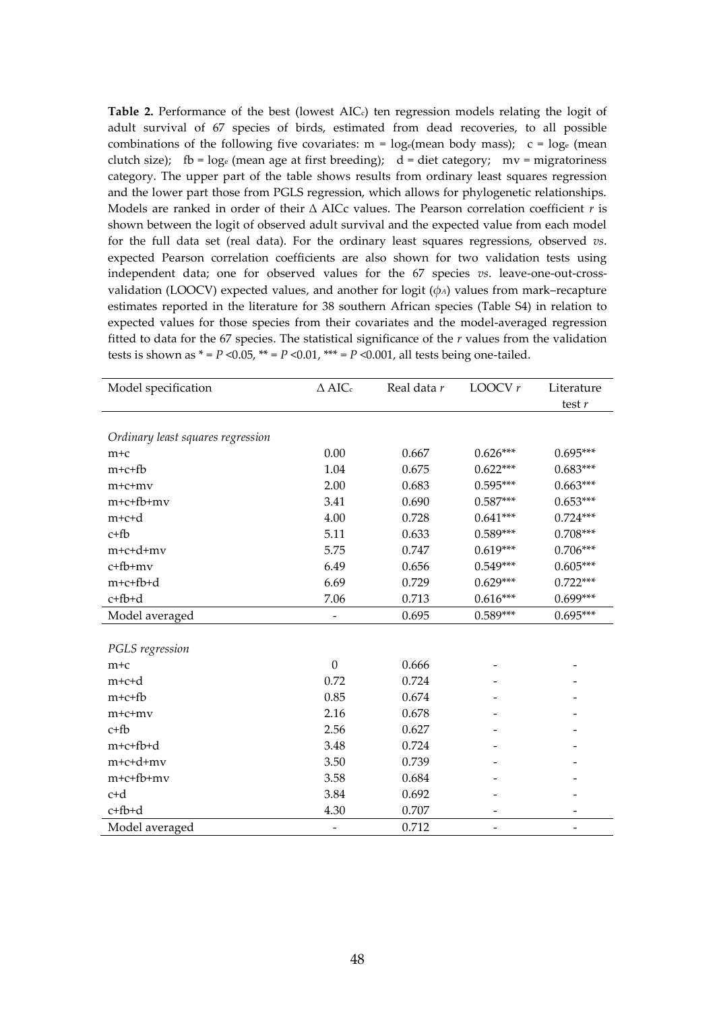Table 2. Performance of the best (lowest AIC<sub>c</sub>) ten regression models relating the logit of adult survival of 67 species of birds, estimated from dead recoveries, to all possible combinations of the following five covariates:  $m = log_e$  (mean body mass); c =  $log_e$  (mean clutch size); fb =  $log_e$  (mean age at first breeding); d = diet category; mv = migratoriness category. The upper part of the table shows results from ordinary least squares regression and the lower part those from PGLS regression, which allows for phylogenetic relationships. Models are ranked in order of their ∆ AICc values. The Pearson correlation coefficient *r* is shown between the logit of observed adult survival and the expected value from each model for the full data set (real data). For the ordinary least squares regressions, observed *vs*. expected Pearson correlation coefficients are also shown for two validation tests using independent data; one for observed values for the 67 species *vs*. leave-one-out-crossvalidation (LOOCV) expected values, and another for logit  $(\phi_A)$  values from mark–recapture estimates reported in the literature for 38 southern African species (Table S4) in relation to expected values for those species from their covariates and the model-averaged regression fitted to data for the 67 species. The statistical significance of the *r* values from the validation tests is shown as  $* = P \le 0.05$ ,  $** = P \le 0.01$ ,  $*** = P \le 0.001$ , all tests being one-tailed.

| Model specification               | $\Delta$ AICc    | Real data r | LOOCV $r$  | Literature |
|-----------------------------------|------------------|-------------|------------|------------|
|                                   |                  |             |            | test $r$   |
|                                   |                  |             |            |            |
| Ordinary least squares regression |                  |             |            |            |
| $m+c$                             | 0.00             | 0.667       | $0.626***$ | $0.695***$ |
| $m+c+f$                           | 1.04             | 0.675       | $0.622***$ | $0.683***$ |
| $m+c+mv$                          | 2.00             | 0.683       | $0.595***$ | $0.663***$ |
| m+c+fb+mv                         | 3.41             | 0.690       | $0.587***$ | $0.653***$ |
| m+c+d                             | 4.00             | 0.728       | $0.641***$ | $0.724***$ |
| $c+fb$                            | 5.11             | 0.633       | $0.589***$ | $0.708***$ |
| m+c+d+mv                          | 5.75             | 0.747       | $0.619***$ | $0.706***$ |
| c+fb+mv                           | 6.49             | 0.656       | $0.549***$ | $0.605***$ |
| m+c+fb+d                          | 6.69             | 0.729       | $0.629***$ | $0.722***$ |
| c+fb+d                            | 7.06             | 0.713       | $0.616***$ | 0.699***   |
| Model averaged                    |                  | 0.695       | $0.589***$ | $0.695***$ |
|                                   |                  |             |            |            |
| PGLS regression                   |                  |             |            |            |
| $m+c$                             | $\boldsymbol{0}$ | 0.666       |            |            |
| m+c+d                             | 0.72             | 0.724       |            |            |
| $m+c+fb$                          | 0.85             | 0.674       |            |            |
| $m+c+mv$                          | 2.16             | 0.678       |            |            |
| $c + fb$                          | 2.56             | 0.627       |            |            |
| m+c+fb+d                          | 3.48             | 0.724       |            |            |
| m+c+d+mv                          | 3.50             | 0.739       |            |            |
| m+c+fb+mv                         | 3.58             | 0.684       |            |            |
| c+d                               | 3.84             | 0.692       |            |            |
| c+fb+d                            | 4.30             | 0.707       |            |            |
| Model averaged                    | -                | 0.712       |            |            |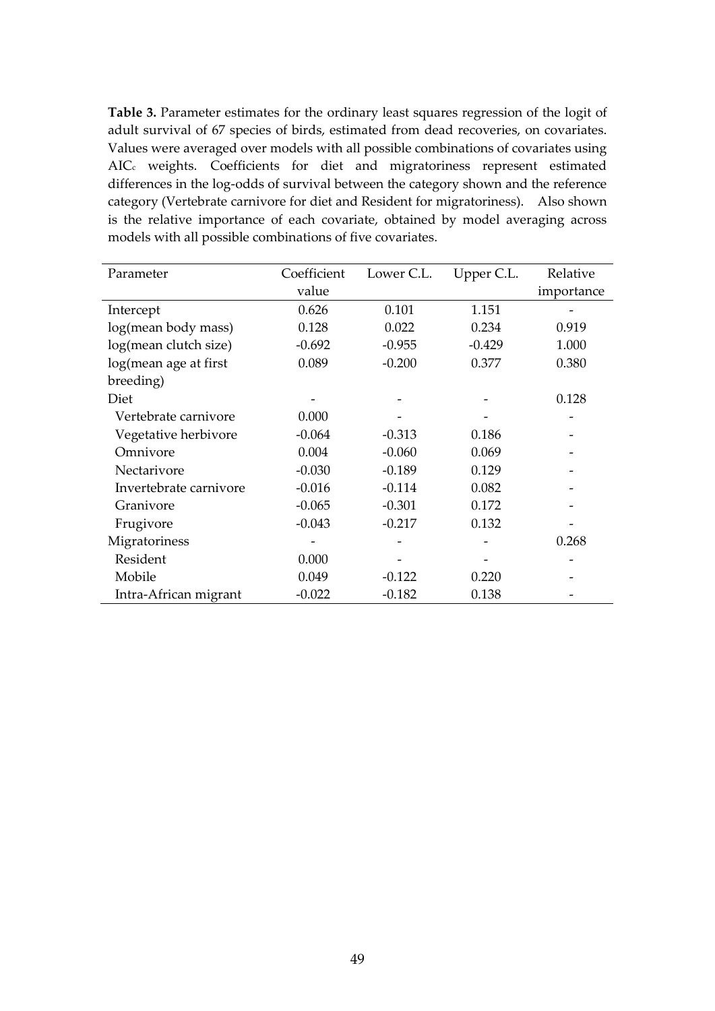**Table 3.** Parameter estimates for the ordinary least squares regression of the logit of adult survival of 67 species of birds, estimated from dead recoveries, on covariates. Values were averaged over models with all possible combinations of covariates using AIC<sup>c</sup> weights. Coefficients for diet and migratoriness represent estimated differences in the log-odds of survival between the category shown and the reference category (Vertebrate carnivore for diet and Resident for migratoriness). Also shown is the relative importance of each covariate, obtained by model averaging across models with all possible combinations of five covariates.

| Parameter              | Coefficient | Lower C.L. | Upper C.L. | Relative   |
|------------------------|-------------|------------|------------|------------|
|                        | value       |            |            | importance |
| Intercept              | 0.626       | 0.101      | 1.151      |            |
| log(mean body mass)    | 0.128       | 0.022      | 0.234      | 0.919      |
| log(mean clutch size)  | $-0.692$    | $-0.955$   | $-0.429$   | 1.000      |
| log(mean age at first  | 0.089       | $-0.200$   | 0.377      | 0.380      |
| breeding)              |             |            |            |            |
| Diet                   |             |            |            | 0.128      |
| Vertebrate carnivore   | 0.000       |            |            |            |
| Vegetative herbivore   | $-0.064$    | $-0.313$   | 0.186      |            |
| Omnivore               | 0.004       | $-0.060$   | 0.069      |            |
| Nectarivore            | $-0.030$    | $-0.189$   | 0.129      |            |
| Invertebrate carnivore | $-0.016$    | $-0.114$   | 0.082      |            |
| Granivore              | $-0.065$    | $-0.301$   | 0.172      |            |
| Frugivore              | $-0.043$    | $-0.217$   | 0.132      |            |
| Migratoriness          |             |            |            | 0.268      |
| Resident               | 0.000       |            |            |            |
| Mobile                 | 0.049       | $-0.122$   | 0.220      |            |
| Intra-African migrant  | $-0.022$    | $-0.182$   | 0.138      |            |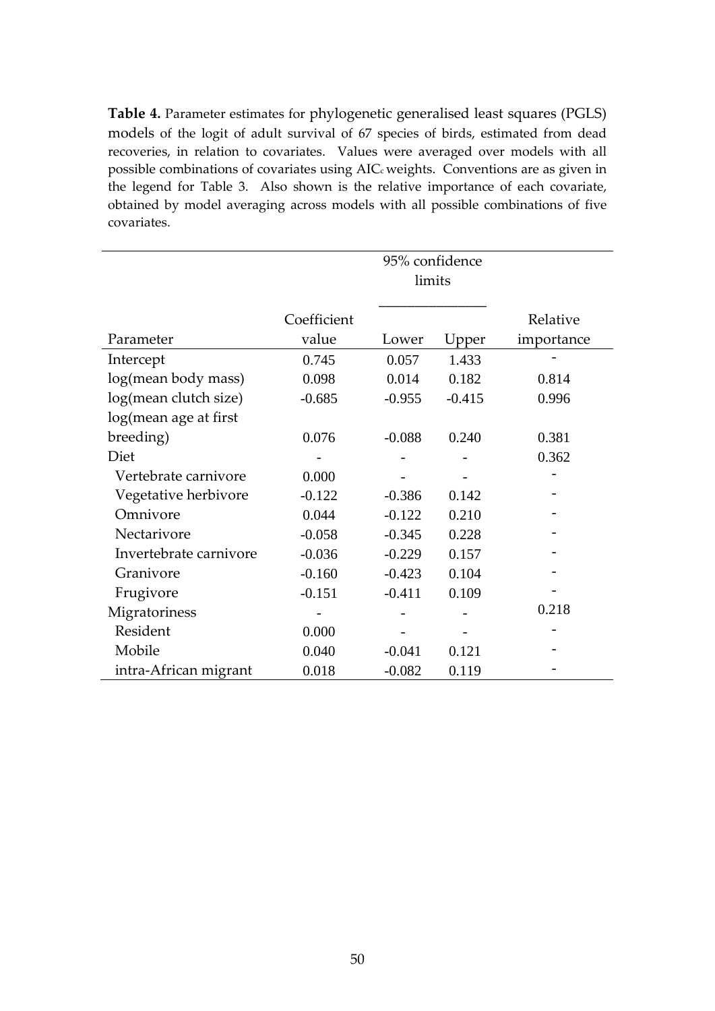**Table 4.** Parameter estimates for phylogenetic generalised least squares (PGLS) models of the logit of adult survival of 67 species of birds, estimated from dead recoveries, in relation to covariates. Values were averaged over models with all possible combinations of covariates using AIC<sub>c</sub> weights. Conventions are as given in the legend for Table 3. Also shown is the relative importance of each covariate, obtained by model averaging across models with all possible combinations of five covariates.

|                        |             | 95% confidence |          |            |
|------------------------|-------------|----------------|----------|------------|
|                        |             | limits         |          |            |
|                        |             |                |          |            |
|                        | Coefficient |                |          | Relative   |
| Parameter              | value       | Lower          | Upper    | importance |
| Intercept              | 0.745       | 0.057          | 1.433    |            |
| log(mean body mass)    | 0.098       | 0.014          | 0.182    | 0.814      |
| log(mean clutch size)  | $-0.685$    | $-0.955$       | $-0.415$ | 0.996      |
| log(mean age at first  |             |                |          |            |
| breeding)              | 0.076       | $-0.088$       | 0.240    | 0.381      |
| Diet                   |             |                |          | 0.362      |
| Vertebrate carnivore   | 0.000       |                |          |            |
| Vegetative herbivore   | $-0.122$    | $-0.386$       | 0.142    |            |
| Omnivore               | 0.044       | $-0.122$       | 0.210    |            |
| Nectarivore            | $-0.058$    | $-0.345$       | 0.228    |            |
| Invertebrate carnivore | $-0.036$    | $-0.229$       | 0.157    |            |
| Granivore              | $-0.160$    | $-0.423$       | 0.104    |            |
| Frugivore              | $-0.151$    | $-0.411$       | 0.109    |            |
| Migratoriness          |             |                |          | 0.218      |
| Resident               | 0.000       |                |          |            |
| Mobile                 | 0.040       | $-0.041$       | 0.121    |            |
| intra-African migrant  | 0.018       | $-0.082$       | 0.119    |            |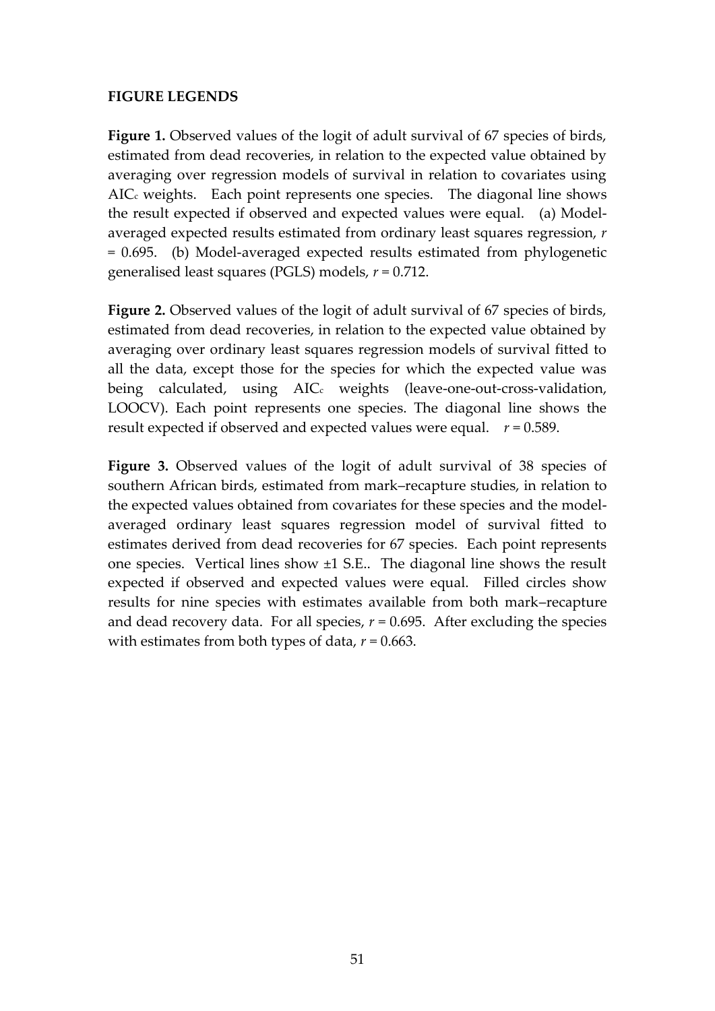# **FIGURE LEGENDS**

Figure 1. Observed values of the logit of adult survival of 67 species of birds, estimated from dead recoveries, in relation to the expected value obtained by averaging over regression models of survival in relation to covariates using  $AIC<sub>c</sub>$  weights. Each point represents one species. The diagonal line shows the result expected if observed and expected values were equal. (a) Modelaveraged expected results estimated from ordinary least squares regression, *r* = 0.695. (b) Model-averaged expected results estimated from phylogenetic generalised least squares (PGLS) models, *r* = 0.712.

**Figure 2.** Observed values of the logit of adult survival of 67 species of birds, estimated from dead recoveries, in relation to the expected value obtained by averaging over ordinary least squares regression models of survival fitted to all the data, except those for the species for which the expected value was being calculated, using AIC<sub>c</sub> weights (leave-one-out-cross-validation, LOOCV). Each point represents one species. The diagonal line shows the result expected if observed and expected values were equal. *r* = 0.589.

**Figure 3.** Observed values of the logit of adult survival of 38 species of southern African birds, estimated from mark–recapture studies, in relation to the expected values obtained from covariates for these species and the modelaveraged ordinary least squares regression model of survival fitted to estimates derived from dead recoveries for 67 species. Each point represents one species. Vertical lines show ±1 S.E.. The diagonal line shows the result expected if observed and expected values were equal. Filled circles show results for nine species with estimates available from both mark–recapture and dead recovery data. For all species,  $r = 0.695$ . After excluding the species with estimates from both types of data, *r* = 0.663.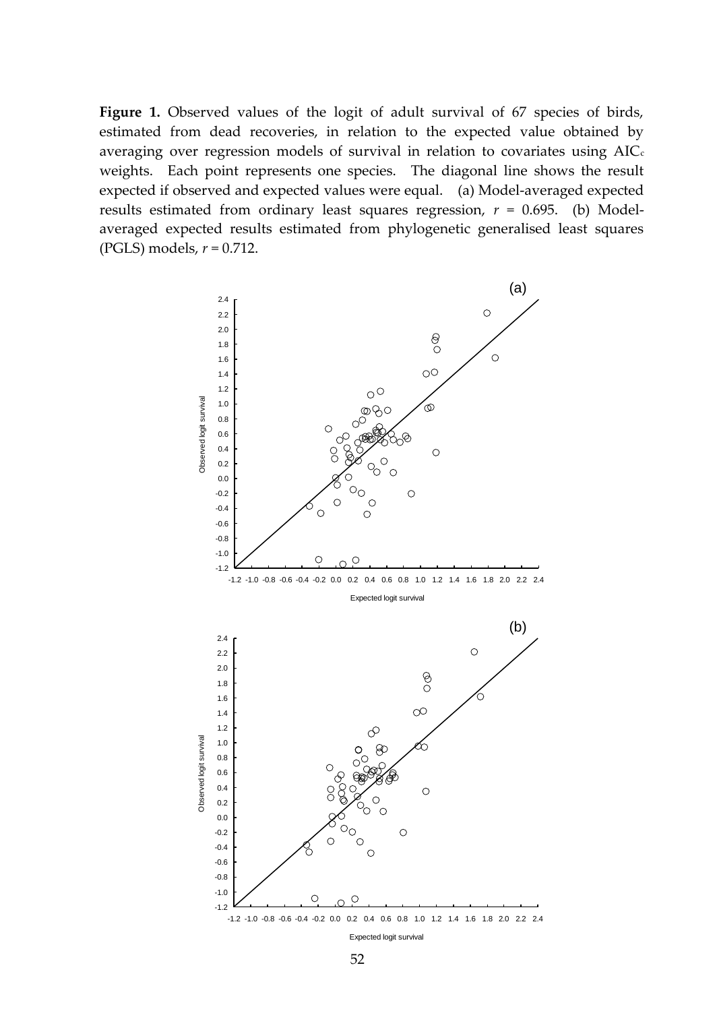Figure 1. Observed values of the logit of adult survival of 67 species of birds, estimated from dead recoveries, in relation to the expected value obtained by averaging over regression models of survival in relation to covariates using  $AIC<sub>c</sub>$ weights. Each point represents one species. The diagonal line shows the result expected if observed and expected values were equal. (a) Model-averaged expected results estimated from ordinary least squares regression, *r* = 0.695. (b) Modelaveraged expected results estimated from phylogenetic generalised least squares (PGLS) models, *r* = 0.712.

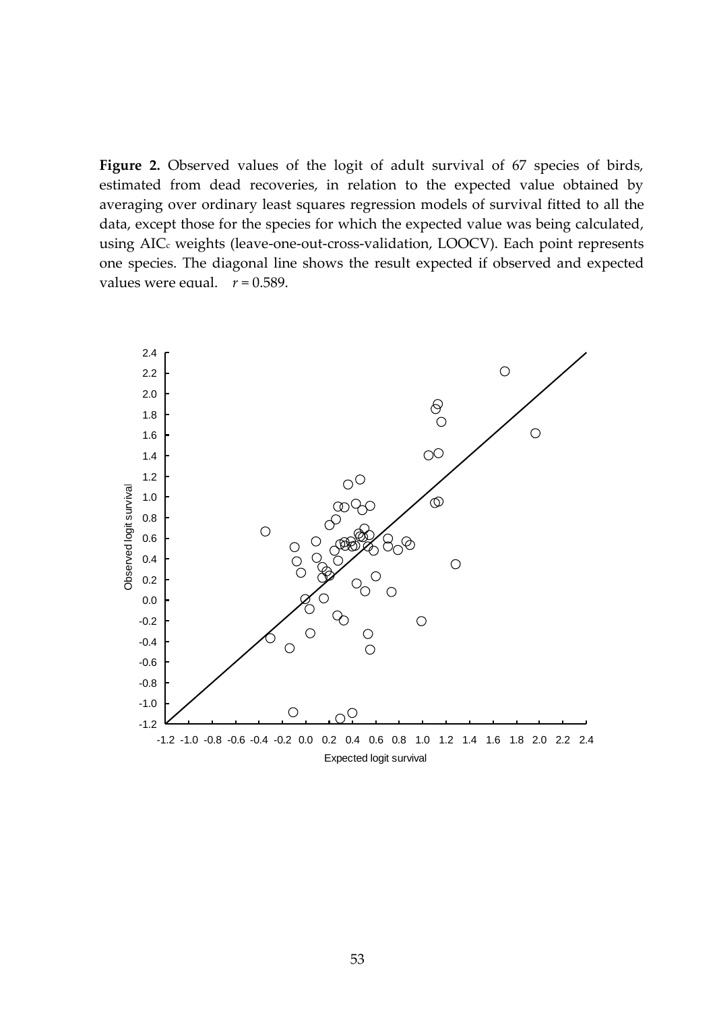Figure 2. Observed values of the logit of adult survival of 67 species of birds, estimated from dead recoveries, in relation to the expected value obtained by averaging over ordinary least squares regression models of survival fitted to all the data, except those for the species for which the expected value was being calculated, using AIC<sub>c</sub> weights (leave-one-out-cross-validation, LOOCV). Each point represents one species. The diagonal line shows the result expected if observed and expected values were equal.  $r = 0.589$ .